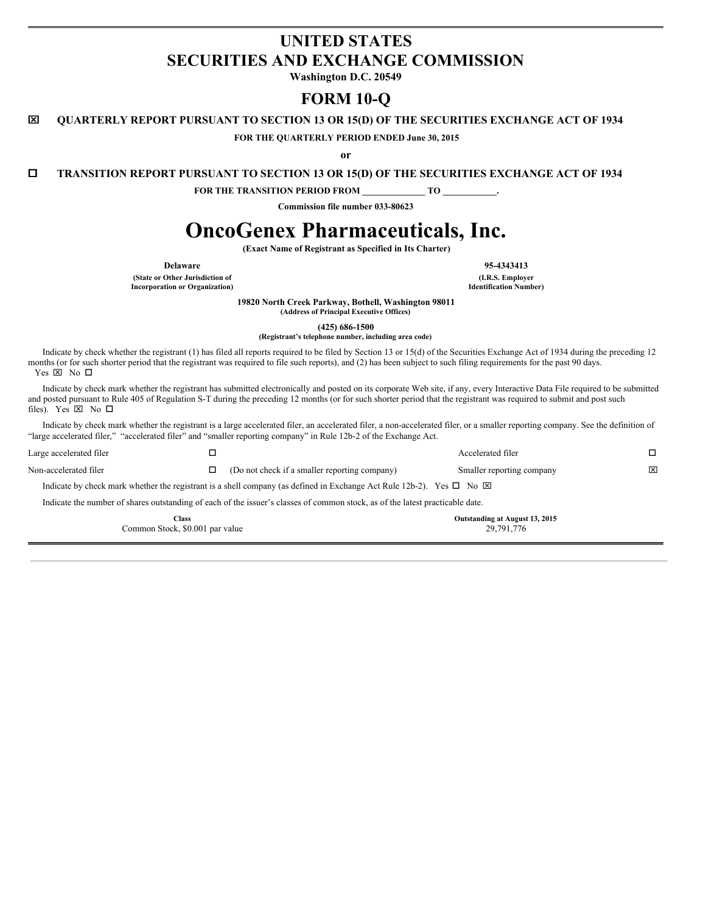## **UNITED STATES SECURITIES AND EXCHANGE COMMISSION**

**Washington D.C. 20549**

# **FORM 10-Q**

x **QUARTERLY REPORT PURSUANT TO SECTION 13 OR 15(D) OF THE SECURITIES EXCHANGE ACT OF 1934**

**FOR THE QUARTERLY PERIOD ENDED June 30, 2015**

**or**

o **TRANSITION REPORT PURSUANT TO SECTION 13 OR 15(D) OF THE SECURITIES EXCHANGE ACT OF 1934**

**FOR THE TRANSITION PERIOD FROM \_\_\_\_\_\_\_\_\_\_\_\_\_\_ TO \_\_\_\_\_\_\_\_\_\_\_\_.**

**Commission file number 033-80623**

# **OncoGenex Pharmaceuticals, Inc.**

**(Exact Name of Registrant as Specified in Its Charter)**

**(State or Other Jurisdiction of (I.R.S. Employer Incorporation** or **Organization**)

**Delaware 95-4343413**

**19820 North Creek Parkway, Bothell, Washington 98011**

**(Address of Principal Executive Offices)**

**(425) 686-1500**

**(Registrant's telephone number, including area code)**

Indicate by check whether the registrant (1) has filed all reports required to be filed by Section 13 or 15(d) of the Securities Exchange Act of 1934 during the preceding 12 months (or for such shorter period that the registrant was required to file such reports), and (2) has been subject to such filing requirements for the past 90 days. Yes  $\boxtimes$  No  $\square$ 

Indicate by check mark whether the registrant has submitted electronically and posted on its corporate Web site, if any, every Interactive Data File required to be submitted and posted pursuant to Rule 405 of Regulation S-T during the preceding 12 months (or for such shorter period that the registrant was required to submit and post such files). Yes  $\boxtimes$  No  $\square$ 

Indicate by check mark whether the registrant is a large accelerated filer, an accelerated filer, a non-accelerated filer, or a smaller reporting company. See the definition of "large accelerated filer," "accelerated filer" and "smaller reporting company" in Rule 12b-2 of the Exchange Act.

|                         | <b>Class</b><br>Common Stock, \$0.001 par value |                                                                                                                                      | Outstanding at August 13, 2015<br>29,791,776 |   |
|-------------------------|-------------------------------------------------|--------------------------------------------------------------------------------------------------------------------------------------|----------------------------------------------|---|
|                         |                                                 | Indicate the number of shares outstanding of each of the issuer's classes of common stock, as of the latest practicable date.        |                                              |   |
|                         |                                                 | Indicate by check mark whether the registrant is a shell company (as defined in Exchange Act Rule 12b-2). Yes $\square$ No $\square$ |                                              |   |
| Non-accelerated filer   |                                                 | (Do not check if a smaller reporting company)                                                                                        | Smaller reporting company                    | ⊠ |
| Large accelerated filer |                                                 |                                                                                                                                      | Accelerated filer                            |   |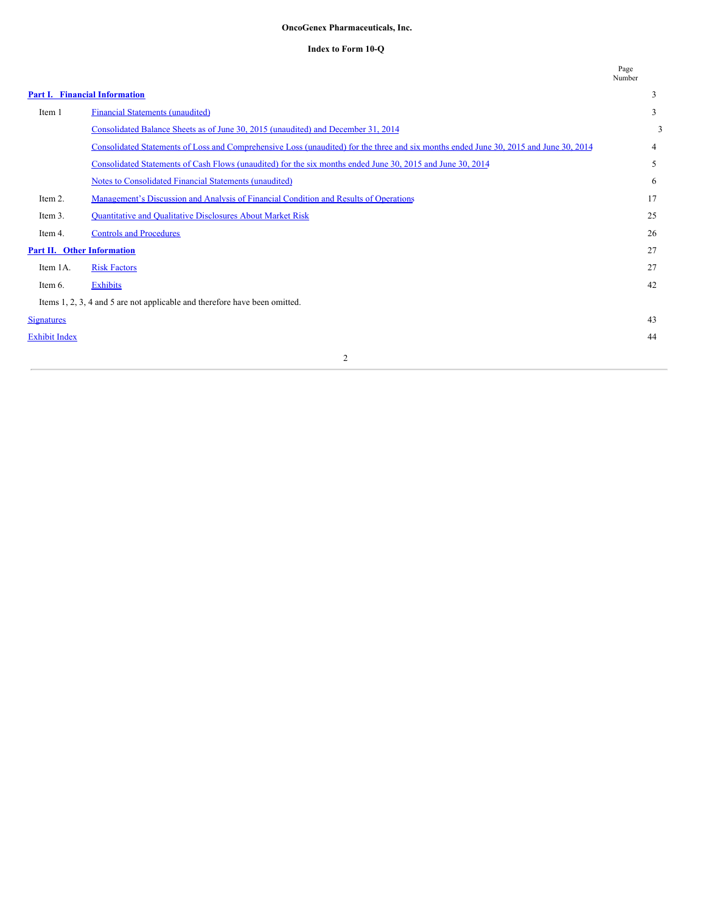## **OncoGenex Pharmaceuticals, Inc.**

#### **Index to Form 10-Q**

|                                   |                                                                                                                                       | Page<br>Number |
|-----------------------------------|---------------------------------------------------------------------------------------------------------------------------------------|----------------|
|                                   | Part I. Financial Information                                                                                                         | 3              |
| Item 1                            | Financial Statements (unaudited)                                                                                                      | 3              |
|                                   | Consolidated Balance Sheets as of June 30, 2015 (unaudited) and December 31, 2014                                                     | 3              |
|                                   | Consolidated Statements of Loss and Comprehensive Loss (unaudited) for the three and six months ended June 30, 2015 and June 30, 2014 | $\overline{4}$ |
|                                   | Consolidated Statements of Cash Flows (unaudited) for the six months ended June 30, 2015 and June 30, 2014                            | 5              |
|                                   | Notes to Consolidated Financial Statements (unaudited)                                                                                | 6              |
| Item 2.                           | Management's Discussion and Analysis of Financial Condition and Results of Operations                                                 | 17             |
| Item 3.                           | Quantitative and Qualitative Disclosures About Market Risk                                                                            | 25             |
| Item 4.                           | <b>Controls and Procedures</b>                                                                                                        | 26             |
| <b>Part II. Other Information</b> |                                                                                                                                       | 27             |
| Item 1A.                          | <b>Risk Factors</b>                                                                                                                   | 27             |
| Item 6.                           | <b>Exhibits</b>                                                                                                                       | 42             |
|                                   | Items 1, 2, 3, 4 and 5 are not applicable and therefore have been omitted.                                                            |                |
| <b>Signatures</b>                 |                                                                                                                                       | 43             |
| <b>Exhibit Index</b>              |                                                                                                                                       | 44             |
|                                   | $\overline{2}$                                                                                                                        |                |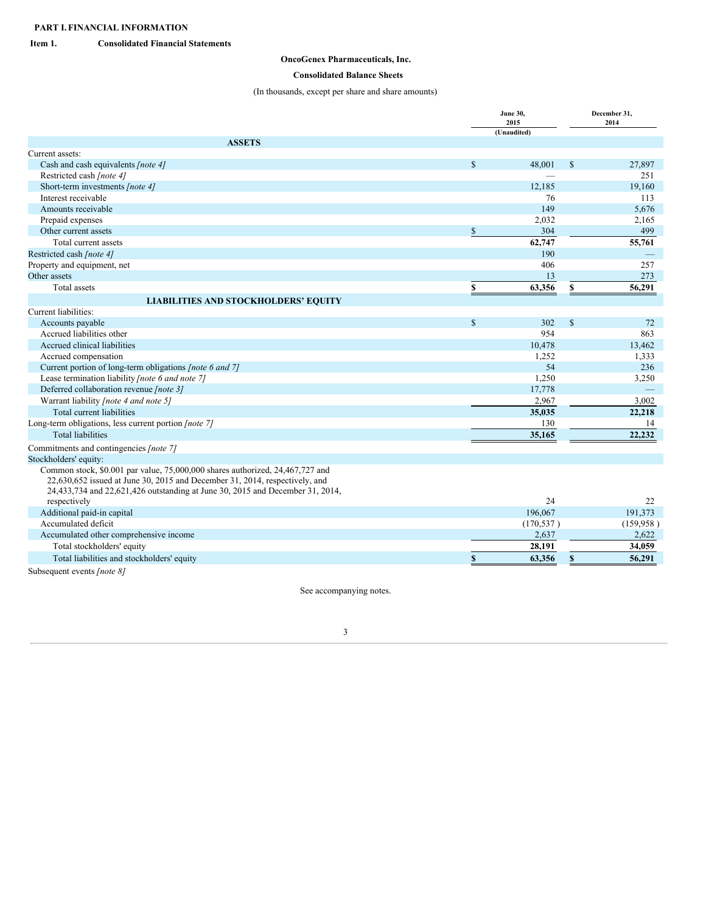## <span id="page-2-1"></span><span id="page-2-0"></span>**Item 1. Consolidated Financial Statements**

## **OncoGenex Pharmaceuticals, Inc.**

## <span id="page-2-2"></span>**Consolidated Balance Sheets**

(In thousands, except per share and share amounts)

|                                                                                                                                                              | <b>June 30,</b> | December 31,<br>2014 |              |            |
|--------------------------------------------------------------------------------------------------------------------------------------------------------------|-----------------|----------------------|--------------|------------|
|                                                                                                                                                              |                 | (Unaudited)          |              |            |
| <b>ASSETS</b>                                                                                                                                                |                 |                      |              |            |
| Current assets:                                                                                                                                              |                 |                      |              |            |
| Cash and cash equivalents [note 4]                                                                                                                           | <sup>\$</sup>   | 48.001               | $\mathbb{S}$ | 27,897     |
| Restricted cash [note 4]                                                                                                                                     |                 |                      |              | 251        |
| Short-term investments [note 4]                                                                                                                              |                 | 12,185               |              | 19,160     |
| Interest receivable                                                                                                                                          |                 | 76                   |              | 113        |
| Amounts receivable                                                                                                                                           |                 | 149                  |              | 5,676      |
| Prepaid expenses                                                                                                                                             |                 | 2,032                |              | 2,165      |
| Other current assets                                                                                                                                         | <sup>\$</sup>   | 304                  |              | 499        |
| Total current assets                                                                                                                                         |                 | 62,747               |              | 55,761     |
| Restricted cash [note 4]                                                                                                                                     |                 | 190                  |              |            |
| Property and equipment, net                                                                                                                                  |                 | 406                  |              | 257        |
| Other assets                                                                                                                                                 |                 | 13                   |              | 273        |
| Total assets                                                                                                                                                 | \$              | 63,356               | \$           | 56,291     |
| <b>LIABILITIES AND STOCKHOLDERS' EQUITY</b>                                                                                                                  |                 |                      |              |            |
| Current liabilities:                                                                                                                                         |                 |                      |              |            |
| Accounts payable                                                                                                                                             | <sup>\$</sup>   | 302                  | $\mathbb{S}$ | 72         |
| Accrued liabilities other                                                                                                                                    |                 | 954                  |              | 863        |
| Accrued clinical liabilities                                                                                                                                 |                 | 10,478               |              | 13,462     |
| Accrued compensation                                                                                                                                         |                 | 1,252                |              | 1,333      |
| Current portion of long-term obligations [note 6 and 7]                                                                                                      |                 | 54                   |              | 236        |
| Lease termination liability [note 6 and note 7]                                                                                                              |                 | 1,250                |              | 3,250      |
| Deferred collaboration revenue [note 3]                                                                                                                      |                 | 17,778               |              |            |
| Warrant liability [note 4 and note 5]                                                                                                                        |                 | 2,967                |              | 3.002      |
| Total current liabilities                                                                                                                                    |                 | 35,035               |              | 22,218     |
| Long-term obligations, less current portion [note 7]                                                                                                         |                 | 130                  |              | 14         |
| <b>Total liabilities</b>                                                                                                                                     |                 | 35,165               |              | 22,232     |
| Commitments and contingencies [note 7]                                                                                                                       |                 |                      |              |            |
| Stockholders' equity:                                                                                                                                        |                 |                      |              |            |
| Common stock, \$0.001 par value, 75,000,000 shares authorized, 24,467,727 and<br>22,630,652 issued at June 30, 2015 and December 31, 2014, respectively, and |                 |                      |              |            |
| 24,433,734 and 22,621,426 outstanding at June 30, 2015 and December 31, 2014,                                                                                |                 |                      |              |            |
| respectively                                                                                                                                                 |                 | 24                   |              | 22         |
| Additional paid-in capital                                                                                                                                   |                 | 196,067              |              | 191,373    |
| Accumulated deficit                                                                                                                                          |                 | (170, 537)           |              | (159, 958) |
| Accumulated other comprehensive income                                                                                                                       |                 | 2,637                |              | 2.622      |
| Total stockholders' equity                                                                                                                                   |                 | 28.191               |              | 34,059     |
| Total liabilities and stockholders' equity                                                                                                                   | \$              | 63,356               | \$           | 56,291     |
|                                                                                                                                                              |                 |                      |              |            |

Subsequent events *[note 8]*

See accompanying notes.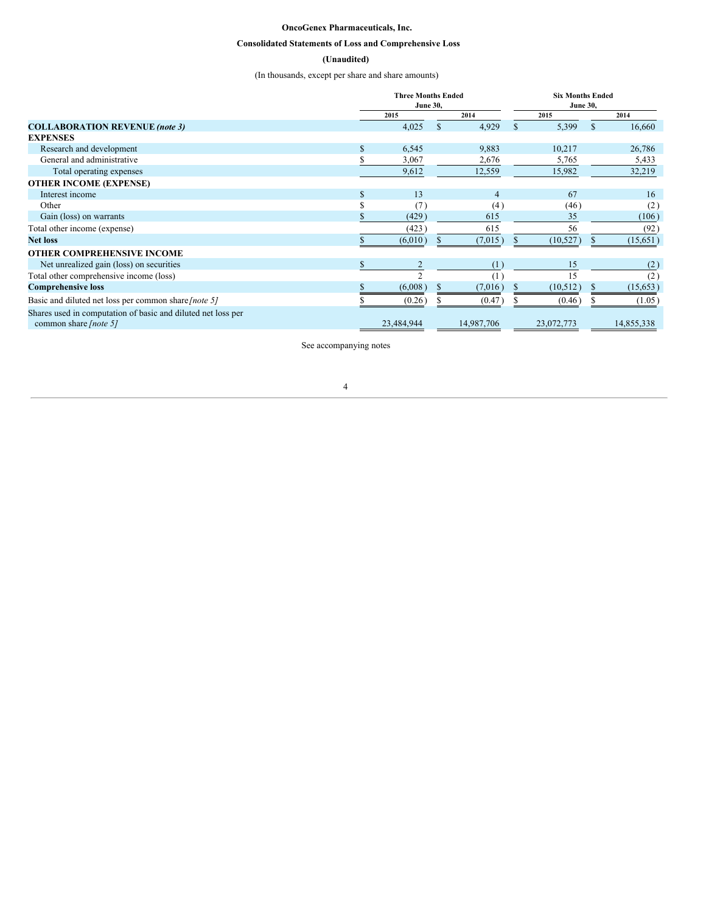## **OncoGenex Pharmaceuticals, Inc.**

## <span id="page-3-0"></span>**Consolidated Statements of Loss and Comprehensive Loss**

## **(Unaudited)**

(In thousands, except per share and share amounts)

|                                                              | <b>Three Months Ended</b><br><b>June 30,</b> |                |                | <b>Six Months Ended</b><br><b>June 30,</b> |            |          |            |
|--------------------------------------------------------------|----------------------------------------------|----------------|----------------|--------------------------------------------|------------|----------|------------|
|                                                              |                                              | 2015           | 2014           |                                            | 2015       |          | 2014       |
| <b>COLLABORATION REVENUE (note 3)</b>                        |                                              | 4,025          | 4,929<br>\$.   | \$.                                        | 5,399      | <b>S</b> | 16,660     |
| <b>EXPENSES</b>                                              |                                              |                |                |                                            |            |          |            |
| Research and development                                     |                                              | 6,545          | 9,883          |                                            | 10,217     |          | 26,786     |
| General and administrative                                   |                                              | 3,067          | 2,676          |                                            | 5,765      |          | 5,433      |
| Total operating expenses                                     |                                              | 9,612          | 12,559         |                                            | 15,982     |          | 32,219     |
| <b>OTHER INCOME (EXPENSE)</b>                                |                                              |                |                |                                            |            |          |            |
| Interest income                                              |                                              | 13             | $\overline{4}$ |                                            | 67         |          | 16         |
| Other                                                        |                                              | (7)            | (4)            |                                            | (46)       |          | (2)        |
| Gain (loss) on warrants                                      |                                              | (429)          | 615            |                                            | 35         |          | (106)      |
| Total other income (expense)                                 |                                              | (423)          | 615            |                                            | 56         |          | (92)       |
| <b>Net loss</b>                                              |                                              | (6,010)        | (7,015)        |                                            | (10, 527)  |          | (15, 651)  |
| <b>OTHER COMPREHENSIVE INCOME</b>                            |                                              |                |                |                                            |            |          |            |
| Net unrealized gain (loss) on securities                     | \$                                           | $\overline{2}$ | (1)            |                                            | 15         |          | (2)        |
| Total other comprehensive income (loss)                      |                                              |                | (1)            |                                            | 15         |          | (2)        |
| <b>Comprehensive loss</b>                                    |                                              | (6,008)        | (7,016)        |                                            | (10, 512)  |          | (15, 653)  |
| Basic and diluted net loss per common share [note 5]         |                                              | (0.26)         | (0.47)         |                                            | (0.46)     |          | (1.05)     |
| Shares used in computation of basic and diluted net loss per |                                              |                |                |                                            |            |          |            |
| common share [note 5]                                        |                                              | 23,484,944     | 14,987,706     |                                            | 23,072,773 |          | 14,855,338 |

See accompanying notes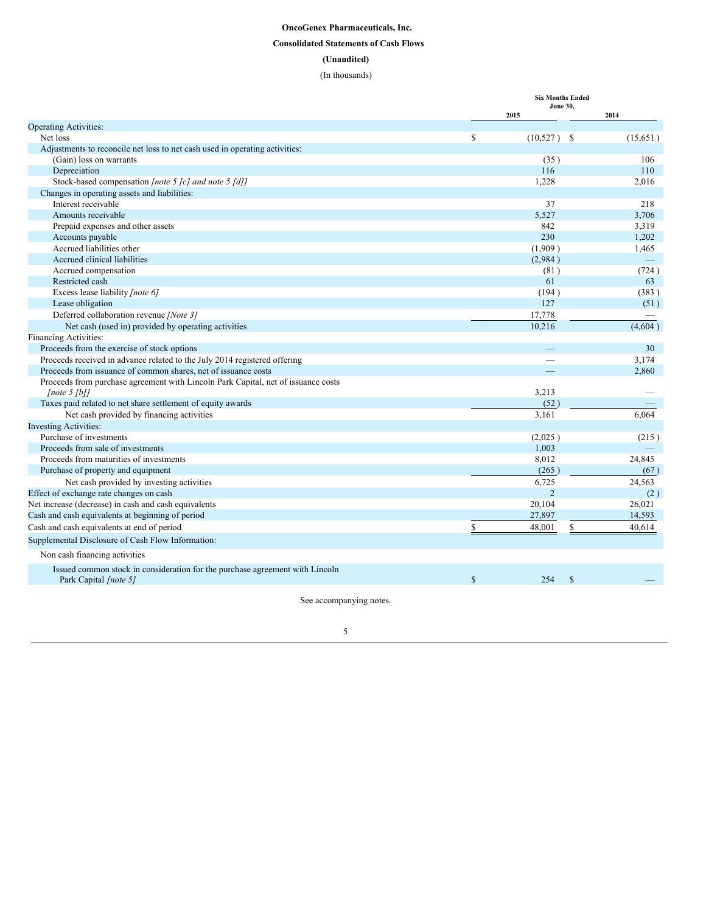## <span id="page-4-0"></span>**OncoGenex Pharmaceuticals, Inc. Consolidated Statements of Cash Flows (Unaudited)** (In thousands)

|                                                                                      | <b>Six Months Ended</b> |                         |                  |  |  |  |
|--------------------------------------------------------------------------------------|-------------------------|-------------------------|------------------|--|--|--|
|                                                                                      |                         | <b>June 30.</b><br>2015 | 2014             |  |  |  |
| <b>Operating Activities:</b>                                                         |                         |                         |                  |  |  |  |
| Net loss                                                                             | <sup>\$</sup>           | $(10,527)$ \$           | (15,651)         |  |  |  |
| Adjustments to reconcile net loss to net cash used in operating activities:          |                         |                         |                  |  |  |  |
| (Gain) loss on warrants                                                              |                         | (35)                    | 106              |  |  |  |
| Depreciation                                                                         |                         | 116                     | 110              |  |  |  |
| Stock-based compensation [note 5 [c] and note 5 [d]]                                 |                         | 1,228                   | 2,016            |  |  |  |
| Changes in operating assets and liabilities:                                         |                         |                         |                  |  |  |  |
| Interest receivable                                                                  |                         | 37                      | 218              |  |  |  |
| Amounts receivable                                                                   |                         | 5.527                   | 3.706            |  |  |  |
| Prepaid expenses and other assets                                                    |                         | 842                     | 3,319            |  |  |  |
| Accounts payable                                                                     |                         | 230                     | 1,202            |  |  |  |
| Accrued liabilities other                                                            |                         | (1,909)                 | 1,465            |  |  |  |
| Accrued clinical liabilities                                                         |                         | (2,984)                 |                  |  |  |  |
| Accrued compensation                                                                 |                         | (81)                    | (724)            |  |  |  |
| Restricted cash                                                                      |                         | 61                      | 63               |  |  |  |
| Excess lease liability [note 6]                                                      |                         | (194)                   | (383)            |  |  |  |
| Lease obligation                                                                     |                         | 127                     | (51)             |  |  |  |
| Deferred collaboration revenue /Note 3/                                              |                         | 17,778                  |                  |  |  |  |
| Net cash (used in) provided by operating activities                                  |                         | 10.216                  | (4,604)          |  |  |  |
| Financing Activities:                                                                |                         |                         |                  |  |  |  |
| Proceeds from the exercise of stock options                                          |                         |                         | 30               |  |  |  |
| Proceeds received in advance related to the July 2014 registered offering            |                         |                         | 3,174            |  |  |  |
| Proceeds from issuance of common shares, net of issuance costs                       |                         |                         | 2.860            |  |  |  |
| Proceeds from purchase agreement with Lincoln Park Capital, net of issuance costs    |                         |                         |                  |  |  |  |
| [note 5 [b]]                                                                         |                         | 3,213                   |                  |  |  |  |
| Taxes paid related to net share settlement of equity awards                          |                         | (52)                    |                  |  |  |  |
| Net cash provided by financing activities                                            |                         | 3,161                   | 6.064            |  |  |  |
| <b>Investing Activities:</b>                                                         |                         |                         |                  |  |  |  |
| Purchase of investments<br>Proceeds from sale of investments                         |                         | (2,025)                 | (215)            |  |  |  |
|                                                                                      |                         | 1,003                   |                  |  |  |  |
| Proceeds from maturities of investments                                              |                         | 8,012                   | 24,845           |  |  |  |
| Purchase of property and equipment                                                   |                         | (265)<br>6.725          | (67)<br>24.563   |  |  |  |
| Net cash provided by investing activities<br>Effect of exchange rate changes on cash |                         | $\overline{2}$          |                  |  |  |  |
|                                                                                      |                         |                         | (2)              |  |  |  |
| Net increase (decrease) in cash and cash equivalents                                 |                         | 20,104<br>27,897        | 26,021<br>14,593 |  |  |  |
| Cash and cash equivalents at beginning of period                                     |                         | \$                      |                  |  |  |  |
| Cash and cash equivalents at end of period                                           | \$                      | 48,001                  | 40.614           |  |  |  |
| Supplemental Disclosure of Cash Flow Information:                                    |                         |                         |                  |  |  |  |
| Non cash financing activities                                                        |                         |                         |                  |  |  |  |
| Issued common stock in consideration for the purchase agreement with Lincoln         |                         |                         |                  |  |  |  |
| Park Capital [note 5]                                                                | $\mathbf S$             | $\mathbf S$<br>254      |                  |  |  |  |

See accompanying notes.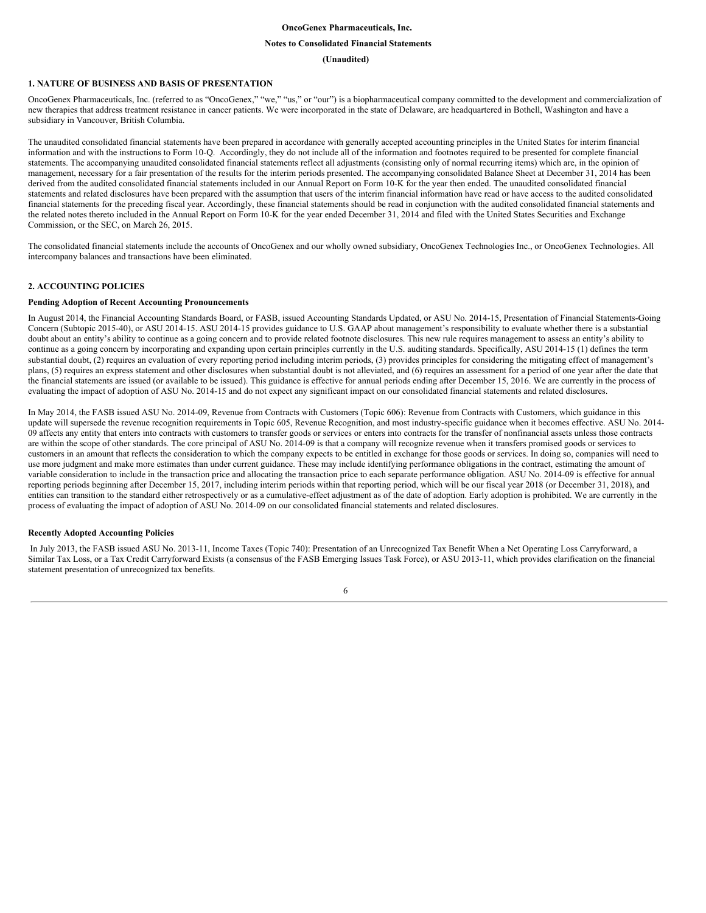#### **OncoGenex Pharmaceuticals, Inc.**

#### <span id="page-5-0"></span>**Notes to Consolidated Financial Statements**

#### **(Unaudited)**

## **1. NATURE OF BUSINESS AND BASIS OF PRESENTATION**

OncoGenex Pharmaceuticals, Inc. (referred to as "OncoGenex," "we," "us," or "our") is a biopharmaceutical company committed to the development and commercialization of new therapies that address treatment resistance in cancer patients. We were incorporated in the state of Delaware, are headquartered in Bothell, Washington and have a subsidiary in Vancouver, British Columbia.

The unaudited consolidated financial statements have been prepared in accordance with generally accepted accounting principles in the United States for interim financial information and with the instructions to Form 10-Q. Accordingly, they do not include all of the information and footnotes required to be presented for complete financial statements. The accompanying unaudited consolidated financial statements reflect all adjustments (consisting only of normal recurring items) which are, in the opinion of management, necessary for a fair presentation of the results for the interim periods presented. The accompanying consolidated Balance Sheet at December 31, 2014 has been derived from the audited consolidated financial statements included in our Annual Report on Form 10-K for the year then ended. The unaudited consolidated financial statements and related disclosures have been prepared with the assumption that users of the interim financial information have read or have access to the audited consolidated financial statements for the preceding fiscal year. Accordingly, these financial statements should be read in conjunction with the audited consolidated financial statements and the related notes thereto included in the Annual Report on Form 10-K for the year ended December 31, 2014 and filed with the United States Securities and Exchange Commission, or the SEC, on March 26, 2015.

The consolidated financial statements include the accounts of OncoGenex and our wholly owned subsidiary, OncoGenex Technologies Inc., or OncoGenex Technologies. All intercompany balances and transactions have been eliminated.

## **2. ACCOUNTING POLICIES**

#### **Pending Adoption of Recent Accounting Pronouncements**

In August 2014, the Financial Accounting Standards Board, or FASB, issued Accounting Standards Updated, or ASU No. 2014-15, Presentation of Financial Statements-Going Concern (Subtopic 2015-40), or ASU 2014-15. ASU 2014-15 provides guidance to U.S. GAAP about management's responsibility to evaluate whether there is a substantial doubt about an entity's ability to continue as a going concern and to provide related footnote disclosures. This new rule requires management to assess an entity's ability to continue as a going concern by incorporating and expanding upon certain principles currently in the U.S. auditing standards. Specifically, ASU 2014-15 (1) defines the term substantial doubt, (2) requires an evaluation of every reporting period including interim periods, (3) provides principles for considering the mitigating effect of management's plans, (5) requires an express statement and other disclosures when substantial doubt is not alleviated, and (6) requires an assessment for a period of one year after the date that the financial statements are issued (or available to be issued). This guidance is effective for annual periods ending after December 15, 2016. We are currently in the process of evaluating the impact of adoption of ASU No. 2014-15 and do not expect any significant impact on our consolidated financial statements and related disclosures.

In May 2014, the FASB issued ASU No. 2014-09, Revenue from Contracts with Customers (Topic 606): Revenue from Contracts with Customers, which guidance in this update will supersede the revenue recognition requirements in Topic 605, Revenue Recognition, and most industry-specific guidance when it becomes effective. ASU No. 2014- 09 affects any entity that enters into contracts with customers to transfer goods or services or enters into contracts for the transfer of nonfinancial assets unless those contracts are within the scope of other standards. The core principal of ASU No. 2014-09 is that a company will recognize revenue when it transfers promised goods or services to customers in an amount that reflects the consideration to which the company expects to be entitled in exchange for those goods or services. In doing so, companies will need to use more judgment and make more estimates than under current guidance. These may include identifying performance obligations in the contract, estimating the amount of variable consideration to include in the transaction price and allocating the transaction price to each separate performance obligation. ASU No. 2014-09 is effective for annual reporting periods beginning after December 15, 2017, including interim periods within that reporting period, which will be our fiscal year 2018 (or December 31, 2018), and entities can transition to the standard either retrospectively or as a cumulative-effect adjustment as of the date of adoption. Early adoption is prohibited. We are currently in the process of evaluating the impact of adoption of ASU No. 2014-09 on our consolidated financial statements and related disclosures.

#### **Recently Adopted Accounting Policies**

In July 2013, the FASB issued ASU No. 2013-11, Income Taxes (Topic 740): Presentation of an Unrecognized Tax Benefit When a Net Operating Loss Carryforward, a Similar Tax Loss, or a Tax Credit Carryforward Exists (a consensus of the FASB Emerging Issues Task Force), or ASU 2013-11, which provides clarification on the financial statement presentation of unrecognized tax benefits.

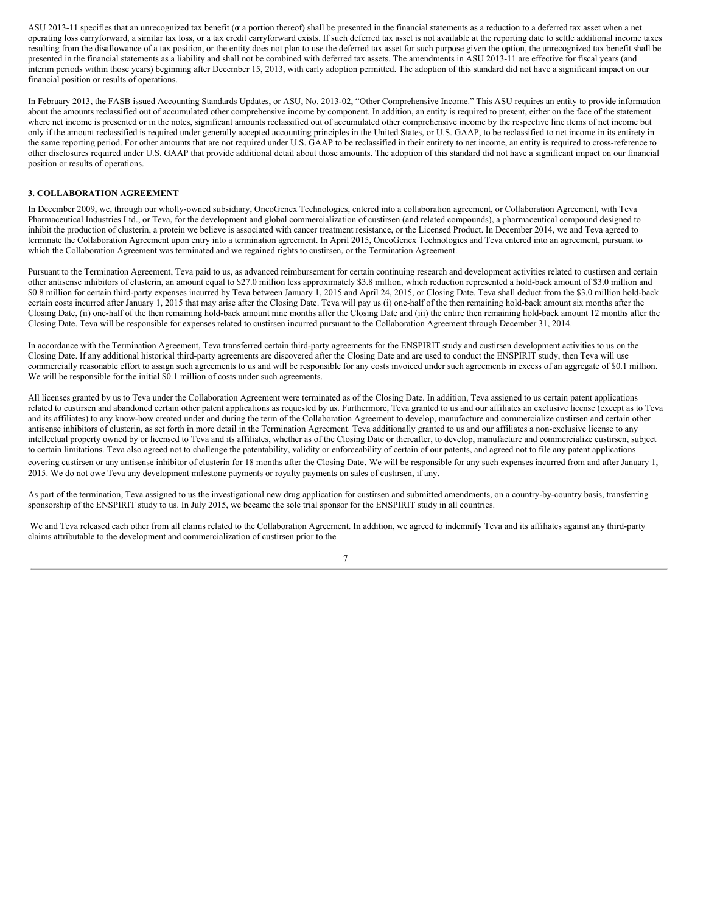ASU 2013-11 specifies that an unrecognized tax benefit (or a portion thereof) shall be presented in the financial statements as a reduction to a deferred tax asset when a net operating loss carryforward, a similar tax loss, or a tax credit carryforward exists. If such deferred tax asset is not available at the reporting date to settle additional income taxes resulting from the disallowance of a tax position, or the entity does not plan to use the deferred tax asset for such purpose given the option, the unrecognized tax benefit shall be presented in the financial statements as a liability and shall not be combined with deferred tax assets. The amendments in ASU 2013-11 are effective for fiscal years (and interim periods within those years) beginning after December 15, 2013, with early adoption permitted. The adoption of this standard did not have a significant impact on our financial position or results of operations.

In February 2013, the FASB issued Accounting Standards Updates, or ASU, No. 2013-02, "Other Comprehensive Income." This ASU requires an entity to provide information about the amounts reclassified out of accumulated other comprehensive income by component. In addition, an entity is required to present, either on the face of the statement where net income is presented or in the notes, significant amounts reclassified out of accumulated other comprehensive income by the respective line items of net income but only if the amount reclassified is required under generally accepted accounting principles in the United States, or U.S. GAAP, to be reclassified to net income in its entirety in the same reporting period. For other amounts that are not required under U.S. GAAP to be reclassified in their entirety to net income, an entity is required to cross-reference to other disclosures required under U.S. GAAP that provide additional detail about those amounts. The adoption of this standard did not have a significant impact on our financial position or results of operations.

#### **3. COLLABORATION AGREEMENT**

In December 2009, we, through our wholly-owned subsidiary, OncoGenex Technologies, entered into a collaboration agreement, or Collaboration Agreement, with Teva Pharmaceutical Industries Ltd., or Teva, for the development and global commercialization of custirsen (and related compounds), a pharmaceutical compound designed to inhibit the production of clusterin, a protein we believe is associated with cancer treatment resistance, or the Licensed Product. In December 2014, we and Teva agreed to terminate the Collaboration Agreement upon entry into a termination agreement. In April 2015, OncoGenex Technologies and Teva entered into an agreement, pursuant to which the Collaboration Agreement was terminated and we regained rights to custirsen, or the Termination Agreement.

Pursuant to the Termination Agreement, Teva paid to us, as advanced reimbursement for certain continuing research and development activities related to custirsen and certain other antisense inhibitors of clusterin, an amount equal to \$27.0 million less approximately \$3.8 million, which reduction represented a hold-back amount of \$3.0 million and \$0.8 million for certain third-party expenses incurred by Teva between January 1, 2015 and April 24, 2015, or Closing Date. Teva shall deduct from the \$3.0 million hold-back certain costs incurred after January 1, 2015 that may arise after the Closing Date. Teva will pay us (i) one-half of the then remaining hold-back amount six months after the Closing Date, (ii) one-half of the then remaining hold-back amount nine months after the Closing Date and (iii) the entire then remaining hold-back amount 12 months after the Closing Date. Teva will be responsible for expenses related to custirsen incurred pursuant to the Collaboration Agreement through December 31, 2014.

In accordance with the Termination Agreement, Teva transferred certain third-party agreements for the ENSPIRIT study and custirsen development activities to us on the Closing Date. If any additional historical third-party agreements are discovered after the Closing Date and are used to conduct the ENSPIRIT study, then Teva will use commercially reasonable effort to assign such agreements to us and will be responsible for any costs invoiced under such agreements in excess of an aggregate of \$0.1 million. We will be responsible for the initial \$0.1 million of costs under such agreements.

All licenses granted by us to Teva under the Collaboration Agreement were terminated as of the Closing Date. In addition, Teva assigned to us certain patent applications related to custirsen and abandoned certain other patent applications as requested by us. Furthermore, Teva granted to us and our affiliates an exclusive license (except as to Teva and its affiliates) to any know-how created under and during the term of the Collaboration Agreement to develop, manufacture and commercialize custirsen and certain other antisense inhibitors of clusterin, as set forth in more detail in the Termination Agreement. Teva additionally granted to us and our affiliates a non-exclusive license to any intellectual property owned by or licensed to Teva and its affiliates, whether as of the Closing Date or thereafter, to develop, manufacture and commercialize custirsen, subject to certain limitations. Teva also agreed not to challenge the patentability, validity or enforceability of certain of our patents, and agreed not to file any patent applications covering custirsen or any antisense inhibitor of clusterin for 18 months after the Closing Date. We will be responsible for any such expenses incurred from and after January 1, 2015. We do not owe Teva any development milestone payments or royalty payments on sales of custirsen, if any.

As part of the termination, Teva assigned to us the investigational new drug application for custirsen and submitted amendments, on a country-by-country basis, transferring sponsorship of the ENSPIRIT study to us. In July 2015, we became the sole trial sponsor for the ENSPIRIT study in all countries.

We and Teva released each other from all claims related to the Collaboration Agreement. In addition, we agreed to indemnify Teva and its affiliates against any third-party claims attributable to the development and commercialization of custirsen prior to the

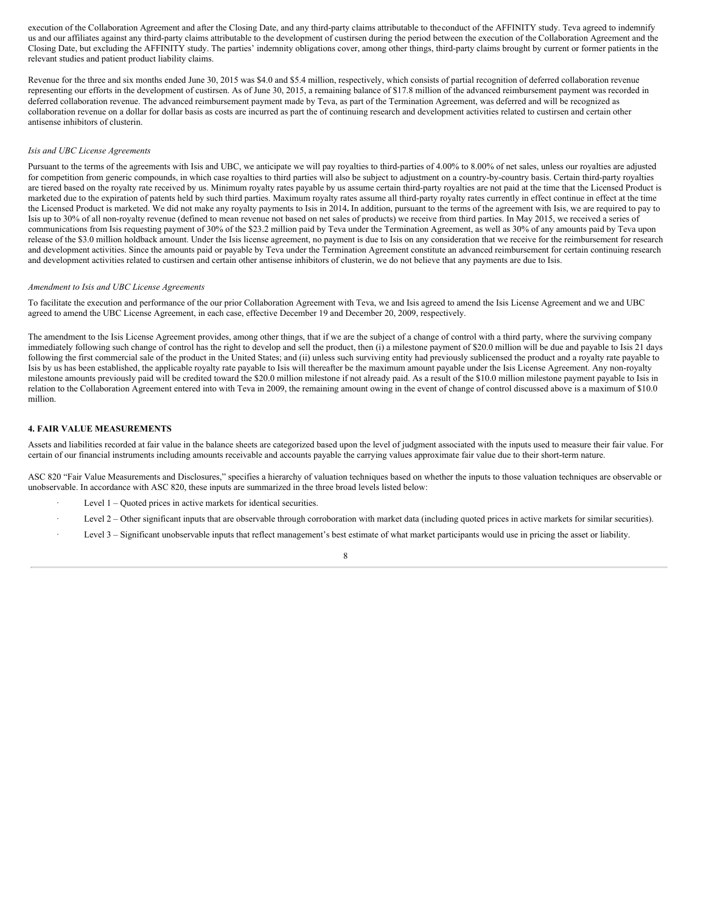execution of the Collaboration Agreement and after the Closing Date, and any third-party claims attributable to the conduct of the AFFINITY study. Teva agreed to indemnify us and our affiliates against any third-party claims attributable to the development of custirsen during the period between the execution of the Collaboration Agreement and the Closing Date, but excluding the AFFINITY study. The parties' indemnity obligations cover, among other things, third-party claims brought by current or former patients in the relevant studies and patient product liability claims.

Revenue for the three and six months ended June 30, 2015 was \$4.0 and \$5.4 million, respectively, which consists of partial recognition of deferred collaboration revenue representing our efforts in the development of custirsen. As of June 30, 2015, a remaining balance of \$17.8 million of the advanced reimbursement payment was recorded in deferred collaboration revenue. The advanced reimbursement payment made by Teva, as part of the Termination Agreement, was deferred and will be recognized as collaboration revenue on a dollar for dollar basis as costs are incurred as part the of continuing research and development activities related to custirsen and certain other antisense inhibitors of clusterin.

#### *Isis and UBC License Agreements*

Pursuant to the terms of the agreements with Isis and UBC, we anticipate we will pay royalties to third-parties of 4.00% to 8.00% of net sales, unless our royalties are adjusted for competition from generic compounds, in which case royalties to third parties will also be subject to adjustment on a country-by-country basis. Certain third-party royalties are tiered based on the royalty rate received by us. Minimum royalty rates payable by us assume certain third-party royalties are not paid at the time that the Licensed Product is marketed due to the expiration of patents held by such third parties. Maximum royalty rates assume all third-party royalty rates currently in effect continue in effect at the time the Licensed Product is marketed. We did not make any royalty payments to Isis in 2014**.** In addition, pursuant to the terms of the agreement with Isis, we are required to pay to Isis up to 30% of all non-royalty revenue (defined to mean revenue not based on net sales of products) we receive from third parties. In May 2015, we received a series of communications from Isis requesting payment of 30% of the \$23.2 million paid by Teva under the Termination Agreement, as well as 30% of any amounts paid by Teva upon release of the \$3.0 million holdback amount. Under the Isis license agreement, no payment is due to Isis on any consideration that we receive for the reimbursement for research and development activities. Since the amounts paid or payable by Teva under the Termination Agreement constitute an advanced reimbursement for certain continuing research and development activities related to custirsen and certain other antisense inhibitors of clusterin, we do not believe that any payments are due to Isis.

#### *Amendment to Isis and UBC License Agreements*

To facilitate the execution and performance of the our prior Collaboration Agreement with Teva, we and Isis agreed to amend the Isis License Agreement and we and UBC agreed to amend the UBC License Agreement, in each case, effective December 19 and December 20, 2009, respectively.

The amendment to the Isis License Agreement provides, among other things, that if we are the subject of a change of control with a third party, where the surviving company immediately following such change of control has the right to develop and sell the product, then (i) a milestone payment of \$20.0 million will be due and payable to Isis 21 days following the first commercial sale of the product in the United States; and (ii) unless such surviving entity had previously sublicensed the product and a royalty rate payable to Isis by us has been established, the applicable royalty rate payable to Isis will thereafter be the maximum amount payable under the Isis License Agreement. Any non-royalty milestone amounts previously paid will be credited toward the \$20.0 million milestone if not already paid. As a result of the \$10.0 million milestone payment payable to Isis in relation to the Collaboration Agreement entered into with Teva in 2009, the remaining amount owing in the event of change of control discussed above is a maximum of \$10.0 million.

#### **4. FAIR VALUE MEASUREMENTS**

Assets and liabilities recorded at fair value in the balance sheets are categorized based upon the level of judgment associated with the inputs used to measure their fair value. For certain of our financial instruments including amounts receivable and accounts payable the carrying values approximate fair value due to their short-term nature.

ASC 820 "Fair Value Measurements and Disclosures," specifies a hierarchy of valuation techniques based on whether the inputs to those valuation techniques are observable or unobservable. In accordance with ASC 820, these inputs are summarized in the three broad levels listed below:

- Level  $1 -$ Quoted prices in active markets for identical securities.
- Level 2 Other significant inputs that are observable through corroboration with market data (including quoted prices in active markets for similar securities).
- Level  $3$  Significant unobservable inputs that reflect management's best estimate of what market participants would use in pricing the asset or liability.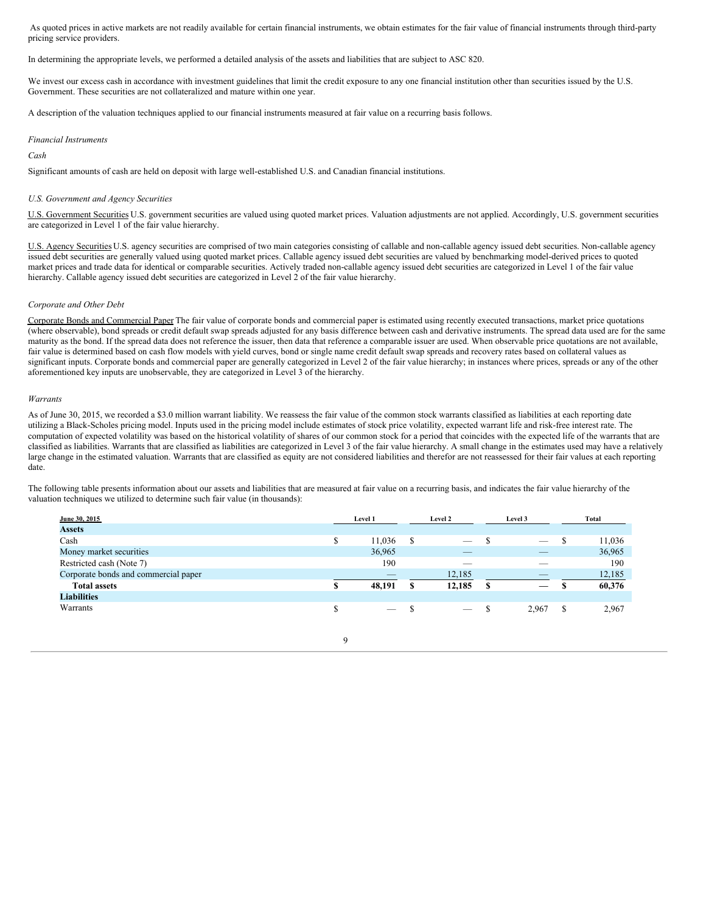As quoted prices in active markets are not readily available for certain financial instruments, we obtain estimates for the fair value of financial instruments through third-party pricing service providers.

In determining the appropriate levels, we performed a detailed analysis of the assets and liabilities that are subject to ASC 820.

We invest our excess cash in accordance with investment guidelines that limit the credit exposure to any one financial institution other than securities issued by the U.S. Government. These securities are not collateralized and mature within one year.

A description of the valuation techniques applied to our financial instruments measured at fair value on a recurring basis follows.

#### *Financial Instruments*

*Cash*

Significant amounts of cash are held on deposit with large well-established U.S. and Canadian financial institutions.

#### *U.S. Government and Agency Securities*

U.S. Government Securities U.S. government securities are valued using quoted market prices. Valuation adjustments are not applied. Accordingly, U.S. government securities are categorized in Level 1 of the fair value hierarchy.

U.S. Agency Securities U.S. agency securities are comprised of two main categories consisting of callable and non-callable agency issued debt securities. Non-callable agency issued debt securities are generally valued using quoted market prices. Callable agency issued debt securities are valued by benchmarking model-derived prices to quoted market prices and trade data for identical or comparable securities. Actively traded non-callable agency issued debt securities are categorized in Level 1 of the fair value hierarchy. Callable agency issued debt securities are categorized in Level 2 of the fair value hierarchy.

#### *Corporate and Other Debt*

Corporate Bonds and Commercial Paper The fair value of corporate bonds and commercial paper is estimated using recently executed transactions, market price quotations (where observable), bond spreads or credit default swap spreads adjusted for any basis difference between cash and derivative instruments. The spread data used are for the same maturity as the bond. If the spread data does not reference the issuer, then data that reference a comparable issuer are used. When observable price quotations are not available, fair value is determined based on cash flow models with yield curves, bond or single name credit default swap spreads and recovery rates based on collateral values as significant inputs. Corporate bonds and commercial paper are generally categorized in Level 2 of the fair value hierarchy; in instances where prices, spreads or any of the other aforementioned key inputs are unobservable, they are categorized in Level 3 of the hierarchy.

#### *Warrants*

As of June 30, 2015, we recorded a \$3.0 million warrant liability. We reassess the fair value of the common stock warrants classified as liabilities at each reporting date utilizing a Black-Scholes pricing model. Inputs used in the pricing model include estimates of stock price volatility, expected warrant life and risk-free interest rate. The computation of expected volatility was based on the historical volatility of shares of our common stock for a period that coincides with the expected life of the warrants that are classified as liabilities. Warrants that are classified as liabilities are categorized in Level 3 of the fair value hierarchy. A small change in the estimates used may have a relatively large change in the estimated valuation. Warrants that are classified as equity are not considered liabilities and therefor are not reassessed for their fair values at each reporting date.

The following table presents information about our assets and liabilities that are measured at fair value on a recurring basis, and indicates the fair value hierarchy of the valuation techniques we utilized to determine such fair value (in thousands):

| June 30, 2015                        |    | <b>Level 1</b>                                                                                                                                                                                                                                                                                                                                                                                |   | <b>Level 2</b> |   | Level 3                  |   | Total  |
|--------------------------------------|----|-----------------------------------------------------------------------------------------------------------------------------------------------------------------------------------------------------------------------------------------------------------------------------------------------------------------------------------------------------------------------------------------------|---|----------------|---|--------------------------|---|--------|
| <b>Assets</b>                        |    |                                                                                                                                                                                                                                                                                                                                                                                               |   |                |   |                          |   |        |
| Cash                                 | \$ | 11,036                                                                                                                                                                                                                                                                                                                                                                                        | S | _              |   | _                        | S | 11,036 |
| Money market securities              |    | 36,965                                                                                                                                                                                                                                                                                                                                                                                        |   |                |   | $\overline{\phantom{a}}$ |   | 36,965 |
| Restricted cash (Note 7)             |    | 190                                                                                                                                                                                                                                                                                                                                                                                           |   | $-$            |   | __                       |   | 190    |
| Corporate bonds and commercial paper |    | $-$                                                                                                                                                                                                                                                                                                                                                                                           |   | 12,185         |   | $\overline{\phantom{a}}$ |   | 12,185 |
| <b>Total assets</b>                  | S  | 48,191                                                                                                                                                                                                                                                                                                                                                                                        | S | 12,185         | S | —                        | S | 60,376 |
| <b>Liabilities</b>                   |    |                                                                                                                                                                                                                                                                                                                                                                                               |   |                |   |                          |   |        |
| Warrants                             |    | $\hspace{1.0cm} \overline{\hspace{1.0cm} \hspace{1.0cm} \hspace{1.0cm} } \hspace{1.0cm} \hspace{1.0cm} \overline{\hspace{1.0cm} \hspace{1.0cm} \hspace{1.0cm} } \hspace{1.0cm} \hspace{1.0cm} \overline{\hspace{1.0cm} \hspace{1.0cm} \hspace{1.0cm} } \hspace{1.0cm} \hspace{1.0cm} \overline{\hspace{1.0cm} \hspace{1.0cm} \hspace{1.0cm} } \hspace{1.0cm} \hspace{1.0cm} \hspace{1.0cm} }$ |   |                | S | 2,967                    | S | 2,967  |
|                                      |    |                                                                                                                                                                                                                                                                                                                                                                                               |   |                |   |                          |   |        |

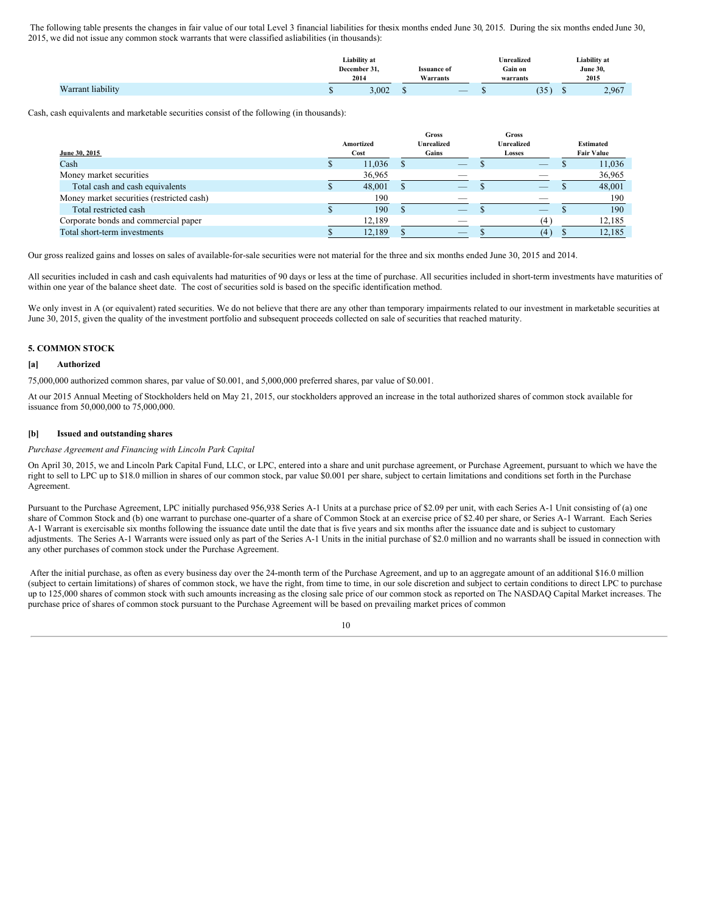The following table presents the changes in fair value of our total Level 3 financial liabilities for thesix months ended June 30, 2015. During the six months ended June 30, 2015, we did not issue any common stock warrants that were classified asliabilities (in thousands):

|                   |   | Liability at<br>December 31.<br><b>Issuance of</b><br>2014<br>Warrants |    | <b>Inrealized</b><br>Gain on<br>warrants           | Liability at<br><b>June 30,</b><br>2015 |  |       |
|-------------------|---|------------------------------------------------------------------------|----|----------------------------------------------------|-----------------------------------------|--|-------|
| Warrant liability | Ψ | 3,002                                                                  | ۰υ | $\overline{\phantom{a}}$<br><b>Service Service</b> | . J J                                   |  | 2,967 |

Cash, cash equivalents and marketable securities consist of the following (in thousands):

|                                           | Amortized | <b>Gross</b><br><b>Unrealized</b> | Gross<br>Unrealized |                   | <b>Estimated</b> |
|-------------------------------------------|-----------|-----------------------------------|---------------------|-------------------|------------------|
| June 30, 2015                             | Cost      | Gains                             | Losses              | <b>Fair Value</b> |                  |
| Cash                                      | 11,036    |                                   |                     |                   | 11,036           |
| Money market securities                   | 36,965    |                                   |                     |                   | 36,965           |
| Total cash and cash equivalents           | 48,001    |                                   |                     |                   | 48,001           |
| Money market securities (restricted cash) | 190       |                                   |                     |                   | 190              |
| Total restricted cash                     | 190       |                                   |                     |                   | 190              |
| Corporate bonds and commercial paper      | 12,189    |                                   | $\overline{4}$      |                   | 12,185           |
| Total short-term investments              | 12,189    |                                   | 14                  |                   | 12,185           |

Our gross realized gains and losses on sales of available-for-sale securities were not material for the three and six months ended June 30, 2015 and 2014.

All securities included in cash and cash equivalents had maturities of 90 days or less at the time of purchase. All securities included in short-term investments have maturities of within one year of the balance sheet date. The cost of securities sold is based on the specific identification method.

We only invest in A (or equivalent) rated securities. We do not believe that there are any other than temporary impairments related to our investment in marketable securities at June 30, 2015, given the quality of the investment portfolio and subsequent proceeds collected on sale of securities that reached maturity.

#### **5. COMMON STOCK**

#### **[a] Authorized**

75,000,000 authorized common shares, par value of \$0.001, and 5,000,000 preferred shares, par value of \$0.001.

At our 2015 Annual Meeting of Stockholders held on May 21, 2015, our stockholders approved an increase in the total authorized shares of common stock available for issuance from 50,000,000 to 75,000,000.

#### **[b] Issued and outstanding shares**

#### *Purchase Agreement and Financing with Lincoln Park Capital*

On April 30, 2015, we and Lincoln Park Capital Fund, LLC, or LPC, entered into a share and unit purchase agreement, or Purchase Agreement, pursuant to which we have the right to sell to LPC up to \$18.0 million in shares of our common stock, par value \$0.001 per share, subject to certain limitations and conditions set forth in the Purchase Agreement.

Pursuant to the Purchase Agreement, LPC initially purchased 956,938 Series A-1 Units at a purchase price of \$2.09 per unit, with each Series A-1 Unit consisting of (a) one share of Common Stock and (b) one warrant to purchase one-quarter of a share of Common Stock at an exercise price of \$2.40 per share, or Series A-1 Warrant. Each Series A-1 Warrant is exercisable six months following the issuance date until the date that is five years and six months after the issuance date and is subject to customary adjustments. The Series A-1 Warrants were issued only as part of the Series A-1 Units in the initial purchase of \$2.0 million and no warrants shall be issued in connection with any other purchases of common stock under the Purchase Agreement.

After the initial purchase, as often as every business day over the 24-month term of the Purchase Agreement, and up to an aggregate amount of an additional \$16.0 million (subject to certain limitations) of shares of common stock, we have the right, from time to time, in our sole discretion and subject to certain conditions to direct LPC to purchase up to 125,000 shares of common stock with such amounts increasing as the closing sale price of our common stock as reported on The NASDAQ Capital Market increases. The purchase price of shares of common stock pursuant to the Purchase Agreement will be based on prevailing market prices of common

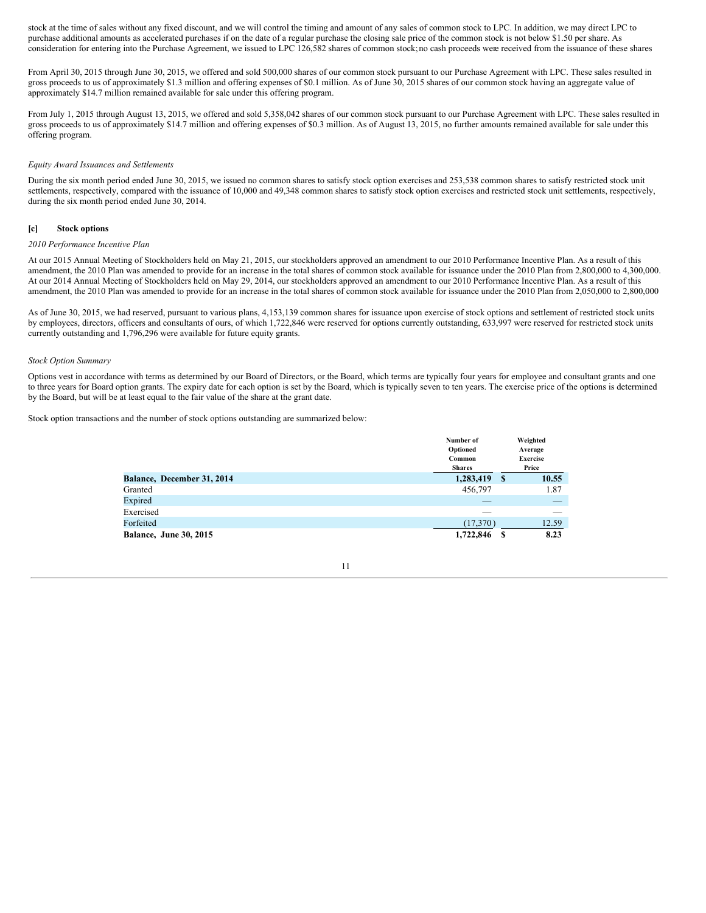stock at the time of sales without any fixed discount, and we will control the timing and amount of any sales of common stock to LPC. In addition, we may direct LPC to purchase additional amounts as accelerated purchases if on the date of a regular purchase the closing sale price of the common stock is not below \$1.50 per share. As consideration for entering into the Purchase Agreement, we issued to LPC 126,582 shares of common stock;no cash proceeds were received from the issuance of these shares

From April 30, 2015 through June 30, 2015, we offered and sold 500,000 shares of our common stock pursuant to our Purchase Agreement with LPC. These sales resulted in gross proceeds to us of approximately \$1.3 million and offering expenses of \$0.1 million. As of June 30, 2015 shares of our common stock having an aggregate value of approximately \$14.7 million remained available for sale under this offering program.

From July 1, 2015 through August 13, 2015, we offered and sold 5,358,042 shares of our common stock pursuant to our Purchase Agreement with LPC. These sales resulted in gross proceeds to us of approximately \$14.7 million and offering expenses of \$0.3 million. As of August 13, 2015, no further amounts remained available for sale under this offering program.

#### *Equity Award Issuances and Settlements*

During the six month period ended June 30, 2015, we issued no common shares to satisfy stock option exercises and 253,538 common shares to satisfy restricted stock unit settlements, respectively, compared with the issuance of 10,000 and 49,348 common shares to satisfy stock option exercises and restricted stock unit settlements, respectively, during the six month period ended June 30, 2014.

#### **[c] Stock options**

#### *2010 Performance Incentive Plan*

At our 2015 Annual Meeting of Stockholders held on May 21, 2015, our stockholders approved an amendment to our 2010 Performance Incentive Plan. As a result of this amendment, the 2010 Plan was amended to provide for an increase in the total shares of common stock available for issuance under the 2010 Plan from 2,800,000 to 4,300,000. At our 2014 Annual Meeting of Stockholders held on May 29, 2014, our stockholders approved an amendment to our 2010 Performance Incentive Plan. As a result of this amendment, the 2010 Plan was amended to provide for an increase in the total shares of common stock available for issuance under the 2010 Plan from 2,050,000 to 2,800,000

As of June 30, 2015, we had reserved, pursuant to various plans, 4,153,139 common shares for issuance upon exercise of stock options and settlement of restricted stock units by employees, directors, officers and consultants of ours, of which 1,722,846 were reserved for options currently outstanding, 633,997 were reserved for restricted stock units currently outstanding and 1,796,296 were available for future equity grants.

#### *Stock Option Summary*

Options vest in accordance with terms as determined by our Board of Directors, or the Board, which terms are typically four years for employee and consultant grants and one to three years for Board option grants. The expiry date for each option is set by the Board, which is typically seven to ten years. The exercise price of the options is determined by the Board, but will be at least equal to the fair value of the share at the grant date.

Stock option transactions and the number of stock options outstanding are summarized below:

|                               | Number of     |    | Weighted        |
|-------------------------------|---------------|----|-----------------|
|                               | Optioned      |    | Average         |
|                               | Common        |    | <b>Exercise</b> |
|                               | <b>Shares</b> |    | Price           |
| Balance, December 31, 2014    | 1,283,419     | -S | 10.55           |
| Granted                       | 456,797       |    | 1.87            |
| Expired                       |               |    |                 |
| Exercised                     | ___           |    |                 |
| Forfeited                     | (17,370)      |    | 12.59           |
| <b>Balance, June 30, 2015</b> | 1,722,846     | S  | 8.23            |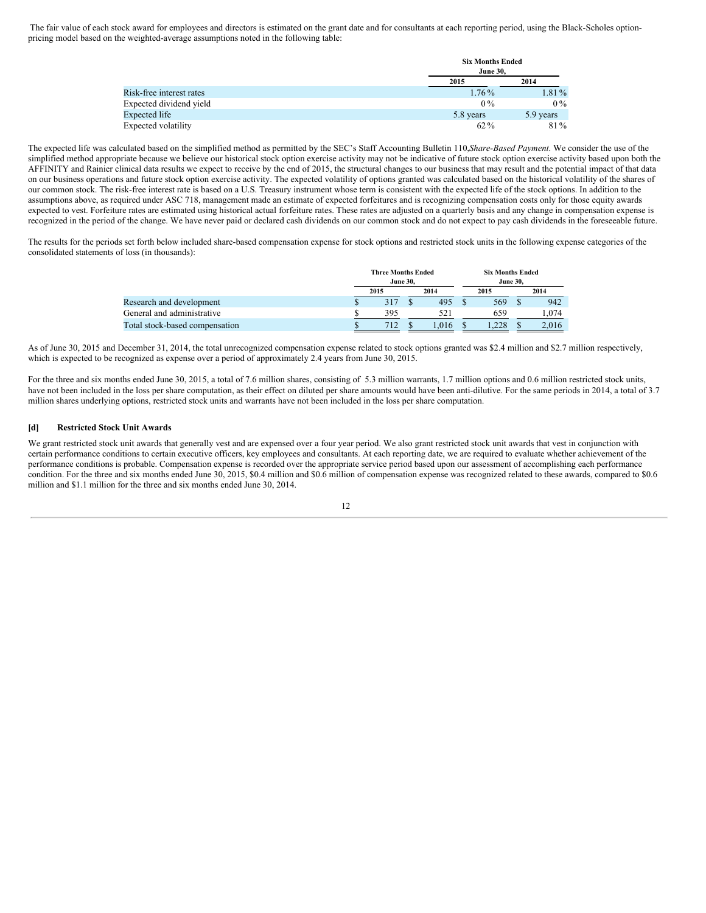The fair value of each stock award for employees and directors is estimated on the grant date and for consultants at each reporting period, using the Black-Scholes optionpricing model based on the weighted-average assumptions noted in the following table:

|                          | <b>June 30.</b> | <b>Six Months Ended</b> |  |  |  |  |
|--------------------------|-----------------|-------------------------|--|--|--|--|
|                          | 2015            | 2014                    |  |  |  |  |
| Risk-free interest rates | $1.76\%$        | $1.81\%$                |  |  |  |  |
| Expected dividend yield  | $0\%$           | $0\%$                   |  |  |  |  |
| Expected life            | 5.8 years       | 5.9 years               |  |  |  |  |
| Expected volatility      | $62\%$          | 81%                     |  |  |  |  |

The expected life was calculated based on the simplified method as permitted by the SEC's Staff Accounting Bulletin 110,*Share-Based Payment*. We consider the use of the simplified method appropriate because we believe our historical stock option exercise activity may not be indicative of future stock option exercise activity based upon both the AFFINITY and Rainier clinical data results we expect to receive by the end of 2015, the structural changes to our business that may result and the potential impact of that data on our business operations and future stock option exercise activity. The expected volatility of options granted was calculated based on the historical volatility of the shares of our common stock. The risk-free interest rate is based on a U.S. Treasury instrument whose term is consistent with the expected life of the stock options. In addition to the assumptions above, as required under ASC 718, management made an estimate of expected forfeitures and is recognizing compensation costs only for those equity awards expected to vest. Forfeiture rates are estimated using historical actual forfeiture rates. These rates are adjusted on a quarterly basis and any change in compensation expense is recognized in the period of the change. We have never paid or declared cash dividends on our common stock and do not expect to pay cash dividends in the foreseeable future.

The results for the periods set forth below included share-based compensation expense for stock options and restricted stock units in the following expense categories of the consolidated statements of loss (in thousands):

|                                |   | <b>Three Months Ended</b> |  |      | <b>Six Months Ended</b> |      |  |       |
|--------------------------------|---|---------------------------|--|------|-------------------------|------|--|-------|
|                                |   | <b>June 30.</b>           |  |      | <b>June 30.</b>         |      |  |       |
|                                |   | 2015                      |  | 2014 |                         | 2015 |  | 2014  |
| Research and development       | Φ |                           |  | 495  |                         | 569  |  | 942   |
| General and administrative     |   | 395                       |  | 521  |                         | 659  |  | .074  |
| Total stock-based compensation |   | 712                       |  | .016 |                         |      |  | 2.016 |

As of June 30, 2015 and December 31, 2014, the total unrecognized compensation expense related to stock options granted was \$2.4 million and \$2.7 million respectively, which is expected to be recognized as expense over a period of approximately 2.4 years from June 30, 2015.

For the three and six months ended June 30, 2015, a total of 7.6 million shares, consisting of 5.3 million warrants, 1.7 million options and 0.6 million restricted stock units, have not been included in the loss per share computation, as their effect on diluted per share amounts would have been anti-dilutive. For the same periods in 2014, a total of 3.7 million shares underlying options, restricted stock units and warrants have not been included in the loss per share computation.

#### **[d] Restricted Stock Unit Awards**

We grant restricted stock unit awards that generally vest and are expensed over a four year period. We also grant restricted stock unit awards that vest in conjunction with certain performance conditions to certain executive officers, key employees and consultants. At each reporting date, we are required to evaluate whether achievement of the performance conditions is probable. Compensation expense is recorded over the appropriate service period based upon our assessment of accomplishing each performance condition. For the three and six months ended June 30, 2015, \$0.4 million and \$0.6 million of compensation expense was recognized related to these awards, compared to \$0.6 million and \$1.1 million for the three and six months ended June 30, 2014.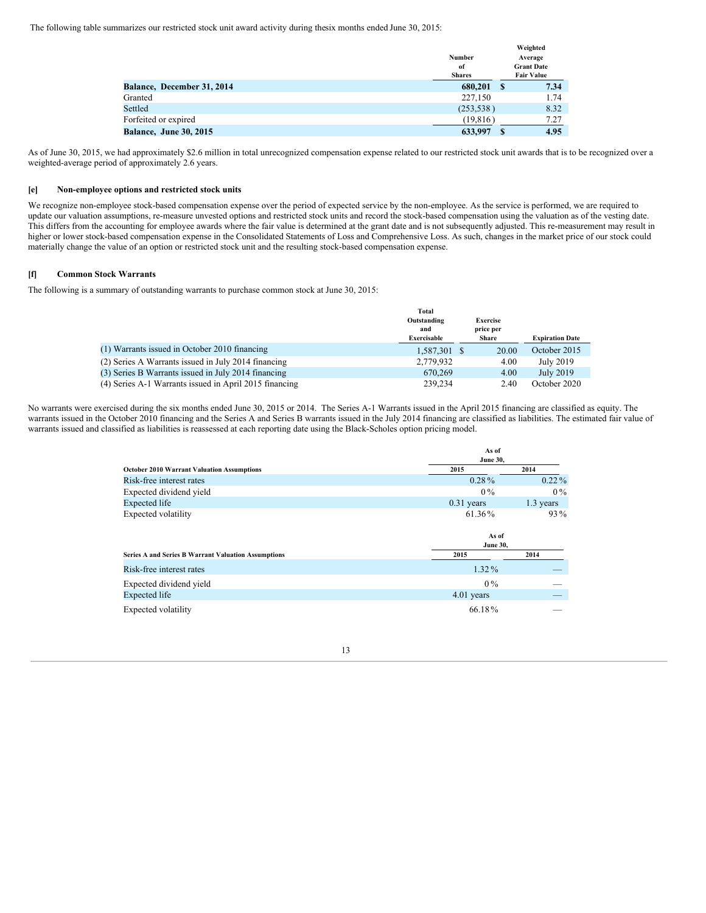The following table summarizes our restricted stock unit award activity during thesix months ended June 30, 2015:

|                               | Number<br>of<br><b>Shares</b> |              | Weighted<br>Average<br><b>Grant Date</b><br><b>Fair Value</b> |
|-------------------------------|-------------------------------|--------------|---------------------------------------------------------------|
| Balance, December 31, 2014    | 680,201                       | $\mathbf{s}$ | 7.34                                                          |
| Granted                       | 227,150                       |              | 1.74                                                          |
| Settled                       | (253, 538)                    |              | 8.32                                                          |
| Forfeited or expired          | (19, 816)                     |              | 7.27                                                          |
| <b>Balance, June 30, 2015</b> | 633,997                       | S            | 4.95                                                          |

As of June 30, 2015, we had approximately \$2.6 million in total unrecognized compensation expense related to our restricted stock unit awards that is to be recognized over a weighted-average period of approximately 2.6 years.

#### **[e] Non-employee options and restricted stock units**

We recognize non-employee stock-based compensation expense over the period of expected service by the non-employee. As the service is performed, we are required to update our valuation assumptions, re-measure unvested options and restricted stock units and record the stock-based compensation using the valuation as of the vesting date. This differs from the accounting for employee awards where the fair value is determined at the grant date and is not subsequently adjusted. This re-measurement may result in higher or lower stock-based compensation expense in the Consolidated Statements of Loss and Comprehensive Loss. As such, changes in the market price of our stock could materially change the value of an option or restricted stock unit and the resulting stock-based compensation expense.

#### **[f] Common Stock Warrants**

The following is a summary of outstanding warrants to purchase common stock at June 30, 2015:

|                                                        | <b>Total</b> |                 |                        |
|--------------------------------------------------------|--------------|-----------------|------------------------|
|                                                        | Outstanding  | <b>Exercise</b> |                        |
|                                                        | and          | price per       |                        |
|                                                        | Exercisable  | <b>Share</b>    | <b>Expiration Date</b> |
| (1) Warrants issued in October 2010 financing          | 1,587,301    | 20.00           | October 2015           |
| (2) Series A Warrants issued in July 2014 financing    | 2,779,932    | 4.00            | July 2019              |
| (3) Series B Warrants issued in July 2014 financing    | 670,269      | 4.00            | July 2019              |
| (4) Series A-1 Warrants issued in April 2015 financing | 239,234      | 2.40            | October 2020           |

No warrants were exercised during the six months ended June 30, 2015 or 2014. The Series A-1 Warrants issued in the April 2015 financing are classified as equity. The warrants issued in the October 2010 financing and the Series A and Series B warrants issued in the July 2014 financing are classified as liabilities. The estimated fair value of warrants issued and classified as liabilities is reassessed at each reporting date using the Black-Scholes option pricing model.

|                                                            | As of<br><b>June 30,</b> |           |  |  |  |  |
|------------------------------------------------------------|--------------------------|-----------|--|--|--|--|
| <b>October 2010 Warrant Valuation Assumptions</b>          | 2015                     | 2014      |  |  |  |  |
| Risk-free interest rates                                   | $0.28\%$                 | $0.22\%$  |  |  |  |  |
| Expected dividend yield                                    | $0\%$                    | $0\%$     |  |  |  |  |
| Expected life                                              | $0.31$ years             | 1.3 years |  |  |  |  |
| Expected volatility                                        | 61.36%                   | $93\%$    |  |  |  |  |
|                                                            |                          |           |  |  |  |  |
|                                                            | As of<br><b>June 30,</b> |           |  |  |  |  |
| <b>Series A and Series B Warrant Valuation Assumptions</b> | 2015                     | 2014      |  |  |  |  |
| Risk-free interest rates                                   | $1.32\%$                 |           |  |  |  |  |
| Expected dividend yield                                    | $0\%$                    |           |  |  |  |  |
| <b>Expected</b> life                                       | 4.01 years               |           |  |  |  |  |

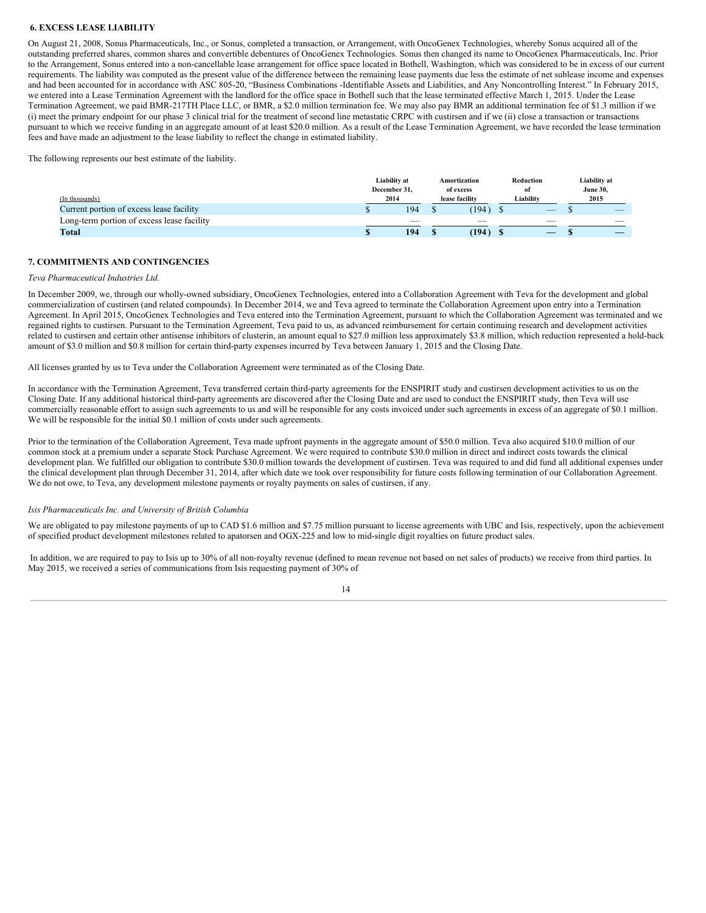#### **6. EXCESS LEASE LIABILITY**

On August 21, 2008, Sonus Pharmaceuticals, Inc., or Sonus, completed a transaction, or Arrangement, with OncoGenex Technologies, whereby Sonus acquired all of the outstanding preferred shares, common shares and convertible debentures of OncoGenex Technologies. Sonus then changed its name to OncoGenex Pharmaceuticals, Inc. Prior to the Arrangement, Sonus entered into a non-cancellable lease arrangement for office space located in Bothell, Washington, which was considered to be in excess of our current requirements. The liability was computed as the present value of the difference between the remaining lease payments due less the estimate of net sublease income and expenses and had been accounted for in accordance with ASC 805-20, "Business Combinations -Identifiable Assets and Liabilities, and Any Noncontrolling Interest." In February 2015, we entered into a Lease Termination Agreement with the landlord for the office space in Bothell such that the lease terminated effective March 1, 2015. Under the Lease Termination Agreement, we paid BMR-217TH Place LLC, or BMR, a \$2.0 million termination fee. We may also pay BMR an additional termination fee of \$1.3 million if we (i) meet the primary endpoint for our phase 3 clinical trial for the treatment of second line metastatic CRPC with custirsen and if we (ii) close a transaction or transactions pursuant to which we receive funding in an aggregate amount of at least \$20.0 million. As a result of the Lease Termination Agreement, we have recorded the lease termination fees and have made an adjustment to the lease liability to reflect the change in estimated liability.

The following represents our best estimate of the liability.

|                                                            | Liability at<br>December 31, | Amortization<br>of excess       | Reduction<br>-of | Liability at<br><b>June 30,</b>  |
|------------------------------------------------------------|------------------------------|---------------------------------|------------------|----------------------------------|
| (In thousands)<br>Current portion of excess lease facility | 2014<br>194                  | lease facility<br>$194^{\circ}$ | Liability<br>$-$ | 2015<br>$\overline{\phantom{a}}$ |
| Long-term portion of excess lease facility                 |                              | $\overline{\phantom{a}}$        | $\sim$           | ___                              |
| Total                                                      | 194                          | (194)                           |                  |                                  |

#### **7. COMMITMENTS AND CONTINGENCIES**

#### *Teva Pharmaceutical Industries Ltd.*

In December 2009, we, through our wholly-owned subsidiary, OncoGenex Technologies, entered into a Collaboration Agreement with Teva for the development and global commercialization of custirsen (and related compounds). In December 2014, we and Teva agreed to terminate the Collaboration Agreement upon entry into a Termination Agreement. In April 2015, OncoGenex Technologies and Teva entered into the Termination Agreement, pursuant to which the Collaboration Agreement was terminated and we regained rights to custirsen. Pursuant to the Termination Agreement, Teva paid to us, as advanced reimbursement for certain continuing research and development activities related to custirsen and certain other antisense inhibitors of clusterin, an amount equal to \$27.0 million less approximately \$3.8 million, which reduction represented a hold-back amount of \$3.0 million and \$0.8 million for certain third-party expenses incurred by Teva between January 1, 2015 and the Closing Date.

All licenses granted by us to Teva under the Collaboration Agreement were terminated as of the Closing Date.

In accordance with the Termination Agreement, Teva transferred certain third-party agreements for the ENSPIRIT study and custirsen development activities to us on the Closing Date. If any additional historical third-party agreements are discovered after the Closing Date and are used to conduct the ENSPIRIT study, then Teva will use commercially reasonable effort to assign such agreements to us and will be responsible for any costs invoiced under such agreements in excess of an aggregate of \$0.1 million. We will be responsible for the initial \$0.1 million of costs under such agreements.

Prior to the termination of the Collaboration Agreement, Teva made upfront payments in the aggregate amount of \$50.0 million. Teva also acquired \$10.0 million of our common stock at a premium under a separate Stock Purchase Agreement. We were required to contribute \$30.0 million in direct and indirect costs towards the clinical development plan. We fulfilled our obligation to contribute \$30.0 million towards the development of custirsen. Teva was required to and did fund all additional expenses under the clinical development plan through December 31, 2014, after which date we took over responsibility for future costs following termination of our Collaboration Agreement. We do not owe, to Teva, any development milestone payments or royalty payments on sales of custirsen, if any.

#### *Isis Pharmaceuticals Inc. and University of British Columbia*

We are obligated to pay milestone payments of up to CAD \$1.6 million and \$7.75 million pursuant to license agreements with UBC and Isis, respectively, upon the achievement of specified product development milestones related to apatorsen and OGX-225 and low to mid-single digit royalties on future product sales.

In addition, we are required to pay to Isis up to 30% of all non-royalty revenue (defined to mean revenue not based on net sales of products) we receive from third parties. In May 2015, we received a series of communications from Isis requesting payment of 30% of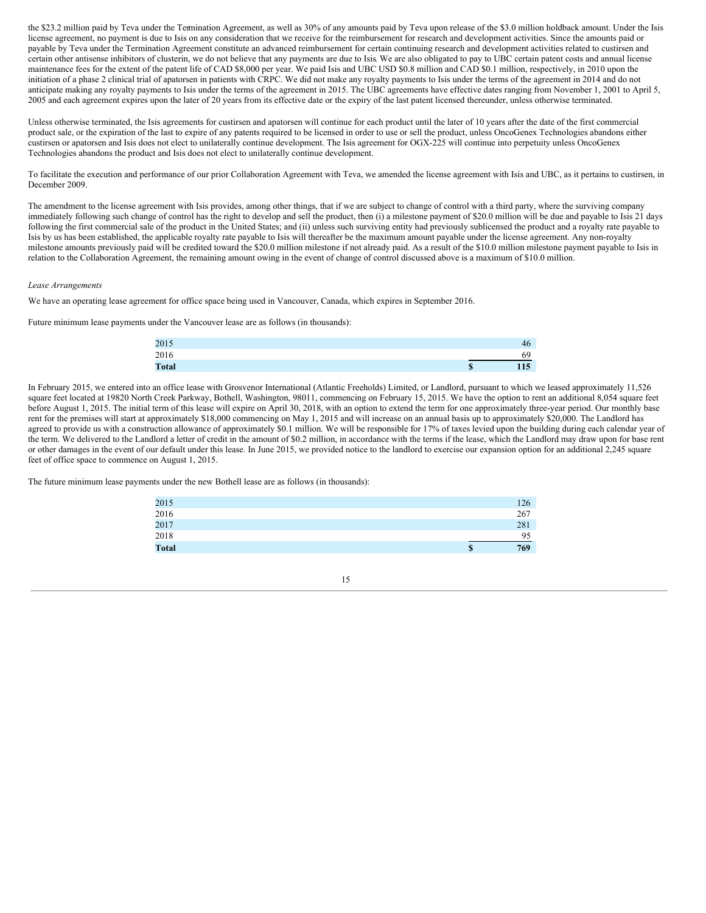the \$23.2 million paid by Teva under the Termination Agreement, as well as 30% of any amounts paid by Teva upon release of the \$3.0 million holdback amount. Under the Isis license agreement, no payment is due to Isis on any consideration that we receive for the reimbursement for research and development activities. Since the amounts paid or payable by Teva under the Termination Agreement constitute an advanced reimbursement for certain continuing research and development activities related to custirsen and certain other antisense inhibitors of clusterin, we do not believe that any payments are due to Isis. We are also obligated to pay to UBC certain patent costs and annual license maintenance fees for the extent of the patent life of CAD \$8,000 per year. We paid Isis and UBC USD \$0.8 million and CAD \$0.1 million, respectively, in 2010 upon the initiation of a phase 2 clinical trial of apatorsen in patients with CRPC. We did not make any royalty payments to Isis under the terms of the agreement in 2014 and do not anticipate making any royalty payments to Isis under the terms of the agreement in 2015. The UBC agreements have effective dates ranging from November 1, 2001 to April 5, 2005 and each agreement expires upon the later of 20 years from its effective date or the expiry of the last patent licensed thereunder, unless otherwise terminated.

Unless otherwise terminated, the Isis agreements for custirsen and apatorsen will continue for each product until the later of 10 years after the date of the first commercial product sale, or the expiration of the last to expire of any patents required to be licensed in order to use or sell the product, unless OncoGenex Technologies abandons either custirsen or apatorsen and Isis does not elect to unilaterally continue development. The Isis agreement for OGX-225 will continue into perpetuity unless OncoGenex Technologies abandons the product and Isis does not elect to unilaterally continue development.

To facilitate the execution and performance of our prior Collaboration Agreement with Teva, we amended the license agreement with Isis and UBC, as it pertains to custirsen, in December 2009.

The amendment to the license agreement with Isis provides, among other things, that if we are subject to change of control with a third party, where the surviving company immediately following such change of control has the right to develop and sell the product, then (i) a milestone payment of \$20.0 million will be due and payable to Isis 21 days following the first commercial sale of the product in the United States; and (ii) unless such surviving entity had previously sublicensed the product and a royalty rate payable to Isis by us has been established, the applicable royalty rate payable to Isis will thereafter be the maximum amount payable under the license agreement. Any non-royalty milestone amounts previously paid will be credited toward the \$20.0 million milestone if not already paid. As a result of the \$10.0 million milestone payment payable to Isis in relation to the Collaboration Agreement, the remaining amount owing in the event of change of control discussed above is a maximum of \$10.0 million.

#### *Lease Arrangements*

We have an operating lease agreement for office space being used in Vancouver, Canada, which expires in September 2016.

Future minimum lease payments under the Vancouver lease are as follows (in thousands):

| 2015         | 46        |  |
|--------------|-----------|--|
| 2016         | 69        |  |
| <b>Total</b> | 115<br>\$ |  |

In February 2015, we entered into an office lease with Grosvenor International (Atlantic Freeholds) Limited, or Landlord, pursuant to which we leased approximately 11,526 square feet located at 19820 North Creek Parkway, Bothell, Washington, 98011, commencing on February 15, 2015. We have the option to rent an additional 8,054 square feet before August 1, 2015. The initial term of this lease will expire on April 30, 2018, with an option to extend the term for one approximately three-year period. Our monthly base rent for the premises will start at approximately \$18,000 commencing on May 1, 2015 and will increase on an annual basis up to approximately \$20,000. The Landlord has agreed to provide us with a construction allowance of approximately \$0.1 million. We will be responsible for 17% of taxes levied upon the building during each calendar year of the term. We delivered to the Landlord a letter of credit in the amount of \$0.2 million, in accordance with the terms if the lease, which the Landlord may draw upon for base rent or other damages in the event of our default under this lease. In June 2015, we provided notice to the landlord to exercise our expansion option for an additional 2,245 square feet of office space to commence on August 1, 2015.

The future minimum lease payments under the new Bothell lease are as follows (in thousands):

| 2015         | 126       |
|--------------|-----------|
| 2016         | 267       |
| 2017         | 281       |
| 2018         | 95        |
| <b>Total</b> | 769<br>\$ |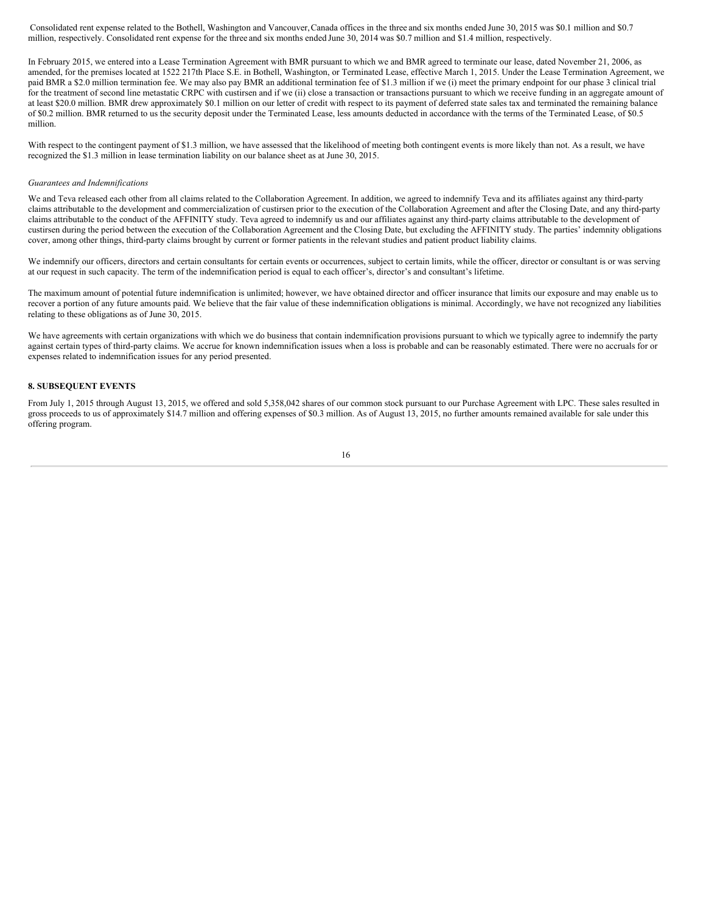Consolidated rent expense related to the Bothell, Washington and Vancouver,Canada offices in the three and six months ended June 30, 2015 was \$0.1 million and \$0.7 million, respectively. Consolidated rent expense for the three and six months ended June 30, 2014 was \$0.7 million and \$1.4 million, respectively.

In February 2015, we entered into a Lease Termination Agreement with BMR pursuant to which we and BMR agreed to terminate our lease, dated November 21, 2006, as amended, for the premises located at 1522 217th Place S.E. in Bothell, Washington, or Terminated Lease, effective March 1, 2015. Under the Lease Termination Agreement, we paid BMR a \$2.0 million termination fee. We may also pay BMR an additional termination fee of \$1.3 million if we (i) meet the primary endpoint for our phase 3 clinical trial for the treatment of second line metastatic CRPC with custirsen and if we (ii) close a transaction or transactions pursuant to which we receive funding in an aggregate amount of at least \$20.0 million. BMR drew approximately \$0.1 million on our letter of credit with respect to its payment of deferred state sales tax and terminated the remaining balance of \$0.2 million. BMR returned to us the security deposit under the Terminated Lease, less amounts deducted in accordance with the terms of the Terminated Lease, of \$0.5 million.

With respect to the contingent payment of \$1.3 million, we have assessed that the likelihood of meeting both contingent events is more likely than not. As a result, we have recognized the \$1.3 million in lease termination liability on our balance sheet as at June 30, 2015.

#### *Guarantees and Indemnifications*

We and Teva released each other from all claims related to the Collaboration Agreement. In addition, we agreed to indemnify Teva and its affiliates against any third-party claims attributable to the development and commercialization of custirsen prior to the execution of the Collaboration Agreement and after the Closing Date, and any third-party claims attributable to the conduct of the AFFINITY study. Teva agreed to indemnify us and our affiliates against any third-party claims attributable to the development of custirsen during the period between the execution of the Collaboration Agreement and the Closing Date, but excluding the AFFINITY study. The parties' indemnity obligations cover, among other things, third-party claims brought by current or former patients in the relevant studies and patient product liability claims.

We indemnify our officers, directors and certain consultants for certain events or occurrences, subject to certain limits, while the officer, director or consultant is or was serving at our request in such capacity. The term of the indemnification period is equal to each officer's, director's and consultant's lifetime.

The maximum amount of potential future indemnification is unlimited; however, we have obtained director and officer insurance that limits our exposure and may enable us to recover a portion of any future amounts paid. We believe that the fair value of these indemnification obligations is minimal. Accordingly, we have not recognized any liabilities relating to these obligations as of June 30, 2015.

We have agreements with certain organizations with which we do business that contain indemnification provisions pursuant to which we typically agree to indemnify the party against certain types of third-party claims. We accrue for known indemnification issues when a loss is probable and can be reasonably estimated. There were no accruals for or expenses related to indemnification issues for any period presented.

#### **8. SUBSEQUENT EVENTS**

From July 1, 2015 through August 13, 2015, we offered and sold 5,358,042 shares of our common stock pursuant to our Purchase Agreement with LPC. These sales resulted in gross proceeds to us of approximately \$14.7 million and offering expenses of \$0.3 million. As of August 13, 2015, no further amounts remained available for sale under this offering program.

$$
16 \\
$$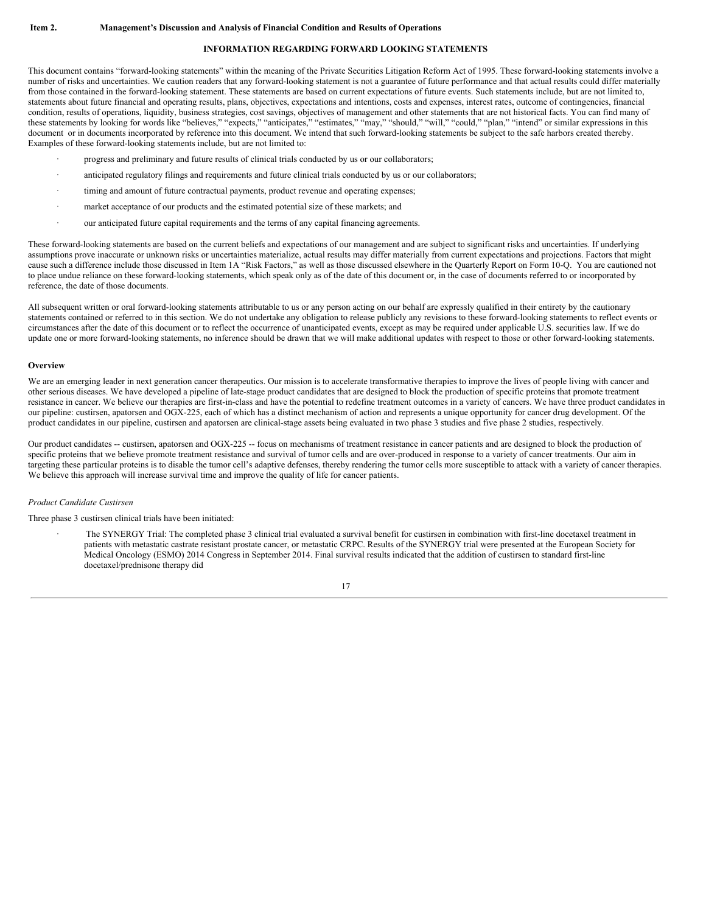#### **INFORMATION REGARDING FORWARD LOOKING STATEMENTS**

<span id="page-16-0"></span>This document contains "forward-looking statements" within the meaning of the Private Securities Litigation Reform Act of 1995. These forward-looking statements involve a number of risks and uncertainties. We caution readers that any forward-looking statement is not a guarantee of future performance and that actual results could differ materially from those contained in the forward-looking statement. These statements are based on current expectations of future events. Such statements include, but are not limited to, statements about future financial and operating results, plans, objectives, expectations and intentions, costs and expenses, interest rates, outcome of contingencies, financial condition, results of operations, liquidity, business strategies, cost savings, objectives of management and other statements that are not historical facts. You can find many of these statements by looking for words like "believes," "expects," "anticipates," "estimates," "may," "should," "will," "could," "plan," "intend" or similar expressions in this document or in documents incorporated by reference into this document. We intend that such forward-looking statements be subject to the safe harbors created thereby. Examples of these forward-looking statements include, but are not limited to:

- progress and preliminary and future results of clinical trials conducted by us or our collaborators;
- anticipated regulatory filings and requirements and future clinical trials conducted by us or our collaborators;
- timing and amount of future contractual payments, product revenue and operating expenses;
- market acceptance of our products and the estimated potential size of these markets; and
- our anticipated future capital requirements and the terms of any capital financing agreements.

These forward-looking statements are based on the current beliefs and expectations of our management and are subject to significant risks and uncertainties. If underlying assumptions prove inaccurate or unknown risks or uncertainties materialize, actual results may differ materially from current expectations and projections. Factors that might cause such a difference include those discussed in Item 1A "Risk Factors," as well as those discussed elsewhere in the Quarterly Report on Form 10-Q. You are cautioned not to place undue reliance on these forward-looking statements, which speak only as of the date of this document or, in the case of documents referred to or incorporated by reference, the date of those documents.

All subsequent written or oral forward-looking statements attributable to us or any person acting on our behalf are expressly qualified in their entirety by the cautionary statements contained or referred to in this section. We do not undertake any obligation to release publicly any revisions to these forward-looking statements to reflect events or circumstances after the date of this document or to reflect the occurrence of unanticipated events, except as may be required under applicable U.S. securities law. If we do update one or more forward-looking statements, no inference should be drawn that we will make additional updates with respect to those or other forward-looking statements.

#### **Overview**

We are an emerging leader in next generation cancer therapeutics. Our mission is to accelerate transformative therapies to improve the lives of people living with cancer and other serious diseases. We have developed a pipeline of late-stage product candidates that are designed to block the production of specific proteins that promote treatment resistance in cancer. We believe our therapies are first-in-class and have the potential to redefine treatment outcomes in a variety of cancers. We have three product candidates in our pipeline: custirsen, apatorsen and OGX-225, each of which has a distinct mechanism of action and represents a unique opportunity for cancer drug development. Of the product candidates in our pipeline, custirsen and apatorsen are clinical-stage assets being evaluated in two phase 3 studies and five phase 2 studies, respectively.

Our product candidates -- custirsen, apatorsen and OGX-225 -- focus on mechanisms of treatment resistance in cancer patients and are designed to block the production of specific proteins that we believe promote treatment resistance and survival of tumor cells and are over-produced in response to a variety of cancer treatments. Our aim in targeting these particular proteins is to disable the tumor cell's adaptive defenses, thereby rendering the tumor cells more susceptible to attack with a variety of cancer therapies. We believe this approach will increase survival time and improve the quality of life for cancer patients.

#### *Product Candidate Custirsen*

Three phase 3 custirsen clinical trials have been initiated:

The SYNERGY Trial: The completed phase 3 clinical trial evaluated a survival benefit for custirsen in combination with first-line docetaxel treatment in patients with metastatic castrate resistant prostate cancer, or metastatic CRPC. Results of the SYNERGY trial were presented at the European Society for Medical Oncology (ESMO) 2014 Congress in September 2014. Final survival results indicated that the addition of custirsen to standard first-line docetaxel/prednisone therapy did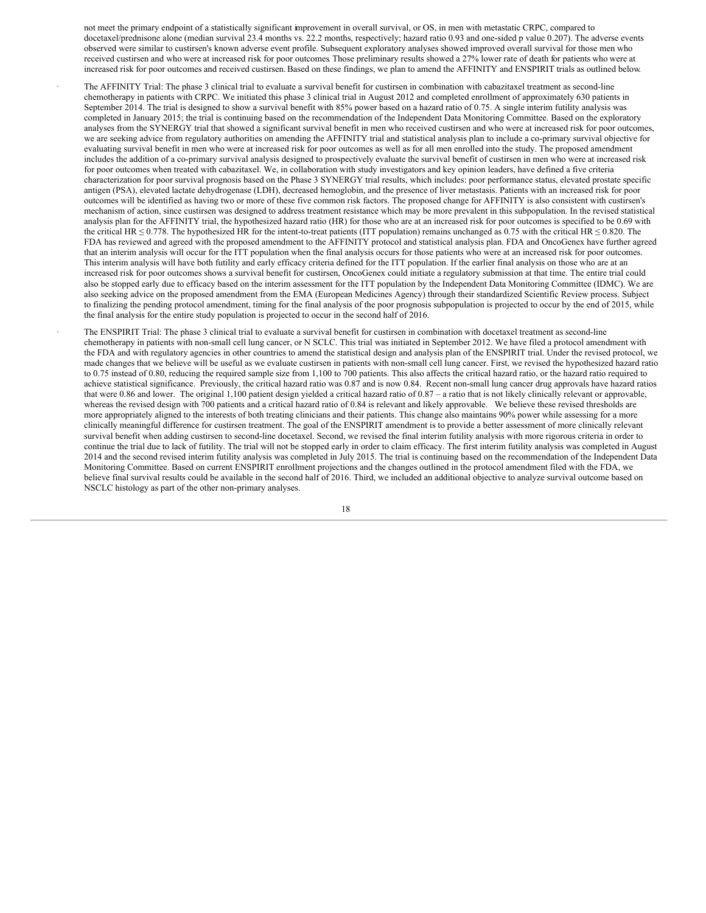not meet the primary endpoint of a statistically significant improvement in overall survival, or OS, in men with metastatic CRPC, compared to docetaxel/prednisone alone (median survival 23.4 months vs. 22.2 months, respectively; hazard ratio 0.93 and one-sided p value 0.207). The adverse events observed were similar to custirsen's known adverse event profile. Subsequent exploratory analyses showed improved overall survival for those men who received custirsen and who were at increased risk for poor outcomes. Those preliminary results showed a 27% lower rate of death for patients who were at increased risk for poor outcomes and received custirsen.Based on these findings, we plan to amend the AFFINITY and ENSPIRIT trials as outlined below.

The AFFINITY Trial: The phase 3 clinical trial to evaluate a survival benefit for custirsen in combination with cabazitaxel treatment as second-line chemotherapy in patients with CRPC. We initiated this phase 3 clinical trial in August 2012 and completed enrollment of approximately 630 patients in September 2014. The trial is designed to show a survival benefit with 85% power based on a hazard ratio of 0.75. A single interim futility analysis was completed in January 2015; the trial is continuing based on the recommendation of the Independent Data Monitoring Committee. Based on the exploratory analyses from the SYNERGY trial that showed a significant survival benefit in men who received custirsen and who were at increased risk for poor outcomes, we are seeking advice from regulatory authorities on amending the AFFINITY trial and statistical analysis plan to include a co-primary survival objective for evaluating survival benefit in men who were at increased risk for poor outcomes as well as for all men enrolled into the study. The proposed amendment includes the addition of a co-primary survival analysis designed to prospectively evaluate the survival benefit of custirsen in men who were at increased risk for poor outcomes when treated with cabazitaxel. We, in collaboration with study investigators and key opinion leaders, have defined a five criteria characterization for poor survival prognosis based on the Phase 3 SYNERGY trial results, which includes: poor performance status, elevated prostate specific antigen (PSA), elevated lactate dehydrogenase (LDH), decreased hemoglobin, and the presence of liver metastasis. Patients with an increased risk for poor outcomes will be identified as having two or more of these five common risk factors. The proposed change for AFFINITY is also consistent with custirsen's mechanism of action, since custirsen was designed to address treatment resistance which may be more prevalent in this subpopulation. In the revised statistical analysis plan for the AFFINITY trial, the hypothesized hazard ratio (HR) for those who are at an increased risk for poor outcomes is specified to be 0.69 with the critical HR  $\leq$  0.778. The hypothesized HR for the intent-to-treat patients (ITT population) remains unchanged as 0.75 with the critical HR  $\leq$  0.820. The FDA has reviewed and agreed with the proposed amendment to the AFFINITY protocol and statistical analysis plan. FDA and OncoGenex have further agreed that an interim analysis will occur for the ITT population when the final analysis occurs for those patients who were at an increased risk for poor outcomes. This interim analysis will have both futility and early efficacy criteria defined for the ITT population. If the earlier final analysis on those who are at an increased risk for poor outcomes shows a survival benefit for custirsen, OncoGenex could initiate a regulatory submission at that time. The entire trial could also be stopped early due to efficacy based on the interim assessment for the ITT population by the Independent Data Monitoring Committee (IDMC). We are also seeking advice on the proposed amendment from the EMA (European Medicines Agency) through their standardized Scientific Review process. Subject to finalizing the pending protocol amendment, timing for the final analysis of the poor prognosis subpopulation is projected to occur by the end of 2015, while the final analysis for the entire study population is projected to occur in the second half of 2016.

· The ENSPIRIT Trial: The phase 3 clinical trial to evaluate a survival benefit for custirsen in combination with docetaxel treatment as second-line chemotherapy in patients with non-small cell lung cancer, or N SCLC. This trial was initiated in September 2012. We have filed a protocol amendment with the FDA and with regulatory agencies in other countries to amend the statistical design and analysis plan of the ENSPIRIT trial. Under the revised protocol, we made changes that we believe will be useful as we evaluate custirsen in patients with non-small cell lung cancer. First, we revised the hypothesized hazard ratio to 0.75 instead of 0.80, reducing the required sample size from 1,100 to 700 patients. This also affects the critical hazard ratio, or the hazard ratio required to achieve statistical significance. Previously, the critical hazard ratio was 0.87 and is now 0.84. Recent non-small lung cancer drug approvals have hazard ratios that were 0.86 and lower. The original 1,100 patient design yielded a critical hazard ratio of 0.87 – a ratio that is not likely clinically relevant or approvable, whereas the revised design with 700 patients and a critical hazard ratio of 0.84 is relevant and likely approvable. We believe these revised thresholds are more appropriately aligned to the interests of both treating clinicians and their patients. This change also maintains 90% power while assessing for a more clinically meaningful difference for custirsen treatment. The goal of the ENSPIRIT amendment is to provide a better assessment of more clinically relevant survival benefit when adding custirsen to second-line docetaxel. Second, we revised the final interim futility analysis with more rigorous criteria in order to continue the trial due to lack of futility. The trial will not be stopped early in order to claim efficacy. The first interim futility analysis was completed in August 2014 and the second revised interim futility analysis was completed in July 2015. The trial is continuing based on the recommendation of the Independent Data Monitoring Committee. Based on current ENSPIRIT enrollment projections and the changes outlined in the protocol amendment filed with the FDA, we believe final survival results could be available in the second half of 2016. Third, we included an additional objective to analyze survival outcome based on NSCLC histology as part of the other non-primary analyses.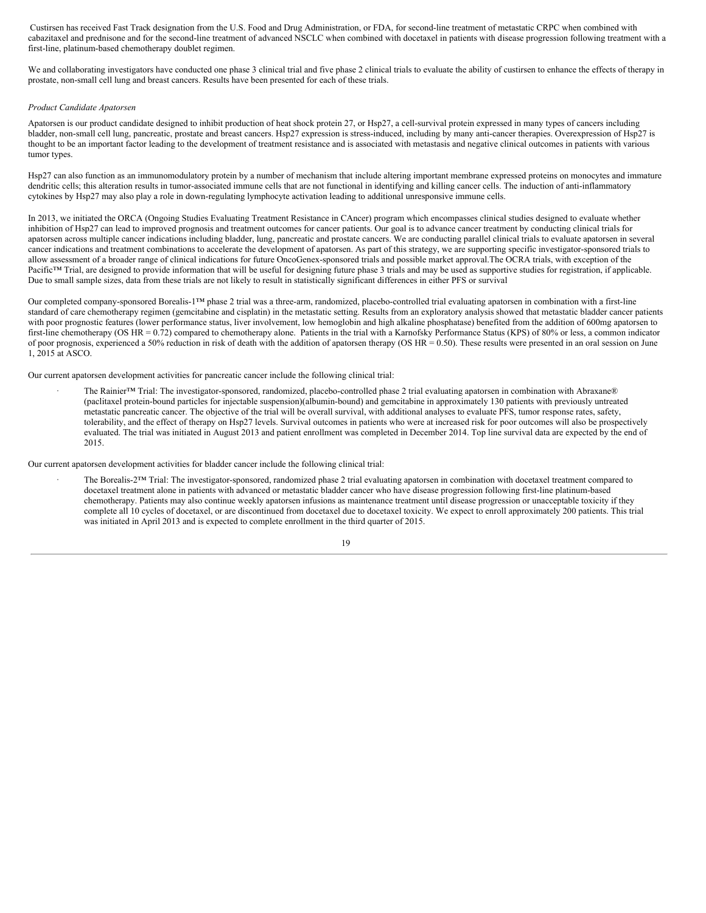Custirsen has received Fast Track designation from the U.S. Food and Drug Administration, or FDA, for second-line treatment of metastatic CRPC when combined with cabazitaxel and prednisone and for the second-line treatment of advanced NSCLC when combined with docetaxel in patients with disease progression following treatment with a first-line, platinum-based chemotherapy doublet regimen.

We and collaborating investigators have conducted one phase 3 clinical trial and five phase 2 clinical trials to evaluate the ability of custirsen to enhance the effects of therapy in prostate, non-small cell lung and breast cancers. Results have been presented for each of these trials.

#### *Product Candidate Apatorsen*

Apatorsen is our product candidate designed to inhibit production of heat shock protein 27, or Hsp27, a cell-survival protein expressed in many types of cancers including bladder, non-small cell lung, pancreatic, prostate and breast cancers. Hsp27 expression is stress-induced, including by many anti-cancer therapies. Overexpression of Hsp27 is thought to be an important factor leading to the development of treatment resistance and is associated with metastasis and negative clinical outcomes in patients with various tumor types.

Hsp27 can also function as an immunomodulatory protein by a number of mechanism that include altering important membrane expressed proteins on monocytes and immature dendritic cells; this alteration results in tumor-associated immune cells that are not functional in identifying and killing cancer cells. The induction of anti-inflammatory cytokines by Hsp27 may also play a role in down-regulating lymphocyte activation leading to additional unresponsive immune cells.

In 2013, we initiated the ORCA (Ongoing Studies Evaluating Treatment Resistance in CAncer) program which encompasses clinical studies designed to evaluate whether inhibition of Hsp27 can lead to improved prognosis and treatment outcomes for cancer patients. Our goal is to advance cancer treatment by conducting clinical trials for apatorsen across multiple cancer indications including bladder, lung, pancreatic and prostate cancers. We are conducting parallel clinical trials to evaluate apatorsen in several cancer indications and treatment combinations to accelerate the development of apatorsen. As part of this strategy, we are supporting specific investigator-sponsored trials to allow assessment of a broader range of clinical indications for future OncoGenex-sponsored trials and possible market approval.The OCRA trials, with exception of the Pacific™ Trial, are designed to provide information that will be useful for designing future phase 3 trials and may be used as supportive studies for registration, if applicable. Due to small sample sizes, data from these trials are not likely to result in statistically significant differences in either PFS or survival

Our completed company-sponsored Borealis-1™ phase 2 trial was a three-arm, randomized, placebo-controlled trial evaluating apatorsen in combination with a first-line standard of care chemotherapy regimen (gemcitabine and cisplatin) in the metastatic setting. Results from an exploratory analysis showed that metastatic bladder cancer patients with poor prognostic features (lower performance status, liver involvement, low hemoglobin and high alkaline phosphatase) benefited from the addition of 600mg apatorsen to first-line chemotherapy (OS HR = 0.72) compared to chemotherapy alone. Patients in the trial with a Karnofsky Performance Status (KPS) of 80% or less, a common indicator of poor prognosis, experienced a 50% reduction in risk of death with the addition of apatorsen therapy (OS HR = 0.50). These results were presented in an oral session on June 1, 2015 at ASCO.

Our current apatorsen development activities for pancreatic cancer include the following clinical trial:

· The Rainier™ Trial: The investigator-sponsored, randomized, placebo-controlled phase 2 trial evaluating apatorsen in combination with Abraxane® (paclitaxel protein-bound particles for injectable suspension)(albumin-bound) and gemcitabine in approximately 130 patients with previously untreated metastatic pancreatic cancer. The objective of the trial will be overall survival, with additional analyses to evaluate PFS, tumor response rates, safety, tolerability, and the effect of therapy on Hsp27 levels. Survival outcomes in patients who were at increased risk for poor outcomes will also be prospectively evaluated. The trial was initiated in August 2013 and patient enrollment was completed in December 2014. Top line survival data are expected by the end of 2015.

Our current apatorsen development activities for bladder cancer include the following clinical trial:

The Borealis-2™ Trial: The investigator-sponsored, randomized phase 2 trial evaluating apatorsen in combination with docetaxel treatment compared to docetaxel treatment alone in patients with advanced or metastatic bladder cancer who have disease progression following first-line platinum-based chemotherapy. Patients may also continue weekly apatorsen infusions as maintenance treatment until disease progression or unacceptable toxicity if they complete all 10 cycles of docetaxel, or are discontinued from docetaxel due to docetaxel toxicity. We expect to enroll approximately 200 patients. This trial was initiated in April 2013 and is expected to complete enrollment in the third quarter of 2015.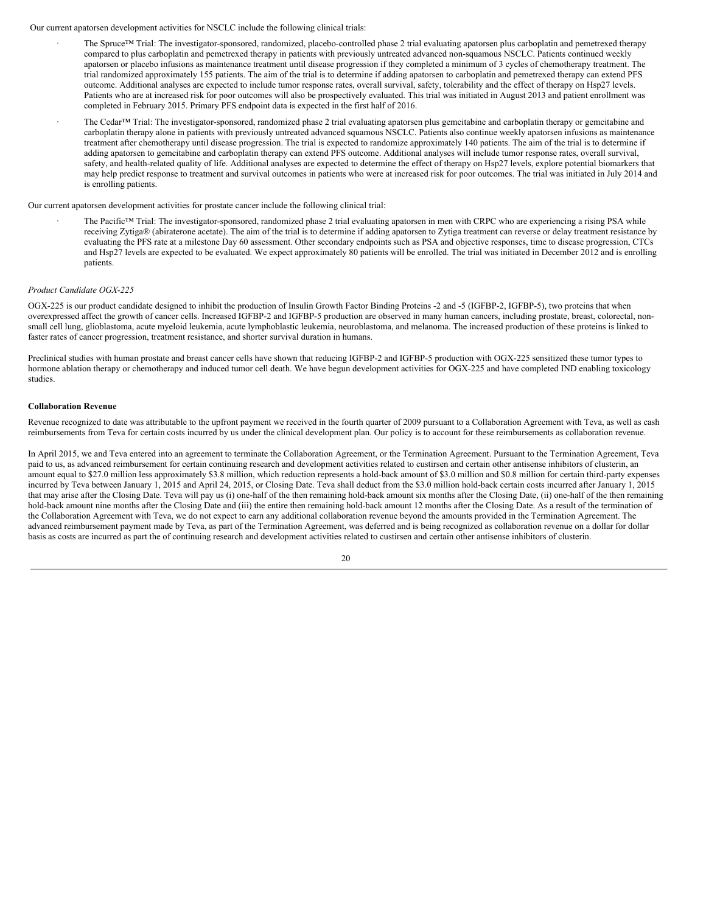Our current apatorsen development activities for NSCLC include the following clinical trials:

- The Spruce™ Trial: The investigator-sponsored, randomized, placebo-controlled phase 2 trial evaluating apatorsen plus carboplatin and pemetrexed therapy compared to plus carboplatin and pemetrexed therapy in patients with previously untreated advanced non-squamous NSCLC. Patients continued weekly apatorsen or placebo infusions as maintenance treatment until disease progression if they completed a minimum of 3 cycles of chemotherapy treatment. The trial randomized approximately 155 patients. The aim of the trial is to determine if adding apatorsen to carboplatin and pemetrexed therapy can extend PFS outcome. Additional analyses are expected to include tumor response rates, overall survival, safety, tolerability and the effect of therapy on Hsp27 levels. Patients who are at increased risk for poor outcomes will also be prospectively evaluated. This trial was initiated in August 2013 and patient enrollment was completed in February 2015. Primary PFS endpoint data is expected in the first half of 2016.
- The Cedar™ Trial: The investigator-sponsored, randomized phase 2 trial evaluating apatorsen plus gemcitabine and carboplatin therapy or gemcitabine and carboplatin therapy alone in patients with previously untreated advanced squamous NSCLC. Patients also continue weekly apatorsen infusions as maintenance treatment after chemotherapy until disease progression. The trial is expected to randomize approximately 140 patients. The aim of the trial is to determine if adding apatorsen to gemcitabine and carboplatin therapy can extend PFS outcome. Additional analyses will include tumor response rates, overall survival, safety, and health-related quality of life. Additional analyses are expected to determine the effect of therapy on Hsp27 levels, explore potential biomarkers that may help predict response to treatment and survival outcomes in patients who were at increased risk for poor outcomes. The trial was initiated in July 2014 and is enrolling patients.

Our current apatorsen development activities for prostate cancer include the following clinical trial:

The Pacific™ Trial: The investigator-sponsored, randomized phase 2 trial evaluating apatorsen in men with CRPC who are experiencing a rising PSA while receiving Zytiga® (abiraterone acetate). The aim of the trial is to determine if adding apatorsen to Zytiga treatment can reverse or delay treatment resistance by evaluating the PFS rate at a milestone Day 60 assessment. Other secondary endpoints such as PSA and objective responses, time to disease progression, CTCs and Hsp27 levels are expected to be evaluated. We expect approximately 80 patients will be enrolled. The trial was initiated in December 2012 and is enrolling patients.

#### *Product Candidate OGX-225*

OGX-225 is our product candidate designed to inhibit the production of Insulin Growth Factor Binding Proteins -2 and -5 (IGFBP-2, IGFBP-5), two proteins that when overexpressed affect the growth of cancer cells. Increased IGFBP-2 and IGFBP-5 production are observed in many human cancers, including prostate, breast, colorectal, nonsmall cell lung, glioblastoma, acute myeloid leukemia, acute lymphoblastic leukemia, neuroblastoma, and melanoma. The increased production of these proteins is linked to faster rates of cancer progression, treatment resistance, and shorter survival duration in humans.

Preclinical studies with human prostate and breast cancer cells have shown that reducing IGFBP-2 and IGFBP-5 production with OGX-225 sensitized these tumor types to hormone ablation therapy or chemotherapy and induced tumor cell death. We have begun development activities for OGX-225 and have completed IND enabling toxicology studies.

#### **Collaboration Revenue**

Revenue recognized to date was attributable to the upfront payment we received in the fourth quarter of 2009 pursuant to a Collaboration Agreement with Teva, as well as cash reimbursements from Teva for certain costs incurred by us under the clinical development plan. Our policy is to account for these reimbursements as collaboration revenue.

In April 2015, we and Teva entered into an agreement to terminate the Collaboration Agreement, or the Termination Agreement. Pursuant to the Termination Agreement, Teva paid to us, as advanced reimbursement for certain continuing research and development activities related to custirsen and certain other antisense inhibitors of clusterin, an amount equal to \$27.0 million less approximately \$3.8 million, which reduction represents a hold-back amount of \$3.0 million and \$0.8 million for certain third-party expenses incurred by Teva between January 1, 2015 and April 24, 2015, or Closing Date. Teva shall deduct from the \$3.0 million hold-back certain costs incurred after January 1, 2015 that may arise after the Closing Date. Teva will pay us (i) one-half of the then remaining hold-back amount six months after the Closing Date, (ii) one-half of the then remaining hold-back amount nine months after the Closing Date and (iii) the entire then remaining hold-back amount 12 months after the Closing Date. As a result of the termination of the Collaboration Agreement with Teva, we do not expect to earn any additional collaboration revenue beyond the amounts provided in the Termination Agreement. The advanced reimbursement payment made by Teva, as part of the Termination Agreement, was deferred and is being recognized as collaboration revenue on a dollar for dollar basis as costs are incurred as part the of continuing research and development activities related to custirsen and certain other antisense inhibitors of clusterin.

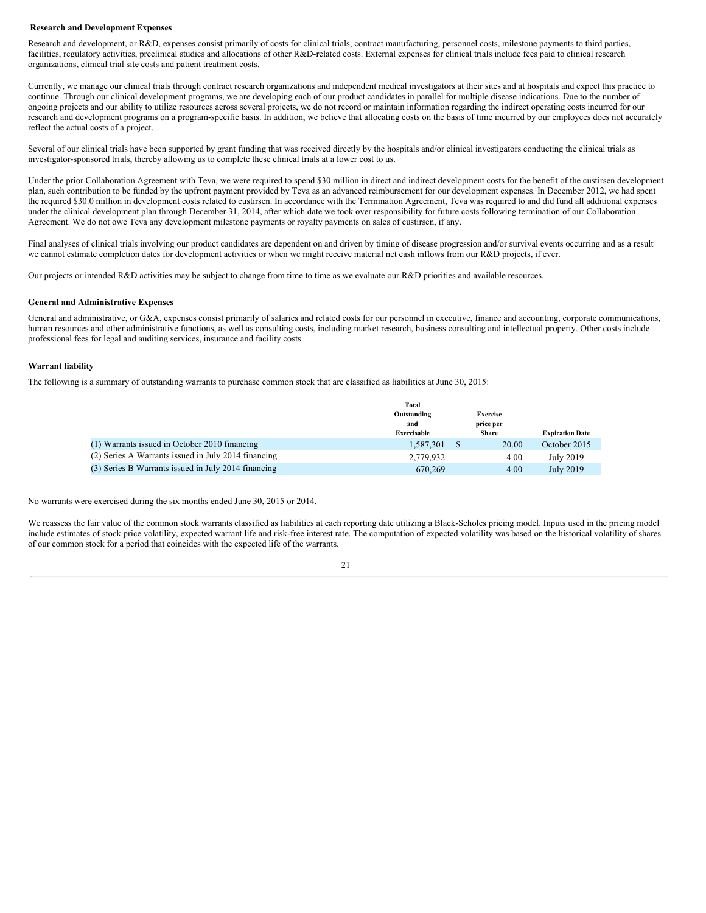#### **Research and Development Expenses**

Research and development, or R&D, expenses consist primarily of costs for clinical trials, contract manufacturing, personnel costs, milestone payments to third parties, facilities, regulatory activities, preclinical studies and allocations of other R&D-related costs. External expenses for clinical trials include fees paid to clinical research organizations, clinical trial site costs and patient treatment costs.

Currently, we manage our clinical trials through contract research organizations and independent medical investigators at their sites and at hospitals and expect this practice to continue. Through our clinical development programs, we are developing each of our product candidates in parallel for multiple disease indications. Due to the number of ongoing projects and our ability to utilize resources across several projects, we do not record or maintain information regarding the indirect operating costs incurred for our research and development programs on a program-specific basis. In addition, we believe that allocating costs on the basis of time incurred by our employees does not accurately reflect the actual costs of a project.

Several of our clinical trials have been supported by grant funding that was received directly by the hospitals and/or clinical investigators conducting the clinical trials as investigator-sponsored trials, thereby allowing us to complete these clinical trials at a lower cost to us.

Under the prior Collaboration Agreement with Teva, we were required to spend \$30 million in direct and indirect development costs for the benefit of the custirsen development plan, such contribution to be funded by the upfront payment provided by Teva as an advanced reimbursement for our development expenses. In December 2012, we had spent the required \$30.0 million in development costs related to custirsen. In accordance with the Termination Agreement, Teva was required to and did fund all additional expenses under the clinical development plan through December 31, 2014, after which date we took over responsibility for future costs following termination of our Collaboration Agreement. We do not owe Teva any development milestone payments or royalty payments on sales of custirsen, if any.

Final analyses of clinical trials involving our product candidates are dependent on and driven by timing of disease progression and/or survival events occurring and as a result we cannot estimate completion dates for development activities or when we might receive material net cash inflows from our R&D projects, if ever.

Our projects or intended R&D activities may be subject to change from time to time as we evaluate our R&D priorities and available resources.

#### **General and Administrative Expenses**

General and administrative, or G&A, expenses consist primarily of salaries and related costs for our personnel in executive, finance and accounting, corporate communications, human resources and other administrative functions, as well as consulting costs, including market research, business consulting and intellectual property. Other costs include professional fees for legal and auditing services, insurance and facility costs.

#### **Warrant liability**

The following is a summary of outstanding warrants to purchase common stock that are classified as liabilities at June 30, 2015:

|                                                     | Total       |                              |       |                        |
|-----------------------------------------------------|-------------|------------------------------|-------|------------------------|
|                                                     | Outstanding | <b>Exercise</b><br>price per |       |                        |
|                                                     | and         |                              |       |                        |
|                                                     | Exercisable |                              | Share | <b>Expiration Date</b> |
| (1) Warrants issued in October 2010 financing       | 1.587.301   | S                            | 20.00 | October 2015           |
| (2) Series A Warrants issued in July 2014 financing | 2,779,932   |                              | 4.00  | July 2019              |
| (3) Series B Warrants issued in July 2014 financing | 670,269     |                              | 4.00  | July 2019              |

No warrants were exercised during the six months ended June 30, 2015 or 2014.

We reassess the fair value of the common stock warrants classified as liabilities at each reporting date utilizing a Black-Scholes pricing model. Inputs used in the pricing model include estimates of stock price volatility, expected warrant life and risk-free interest rate. The computation of expected volatility was based on the historical volatility of shares of our common stock for a period that coincides with the expected life of the warrants.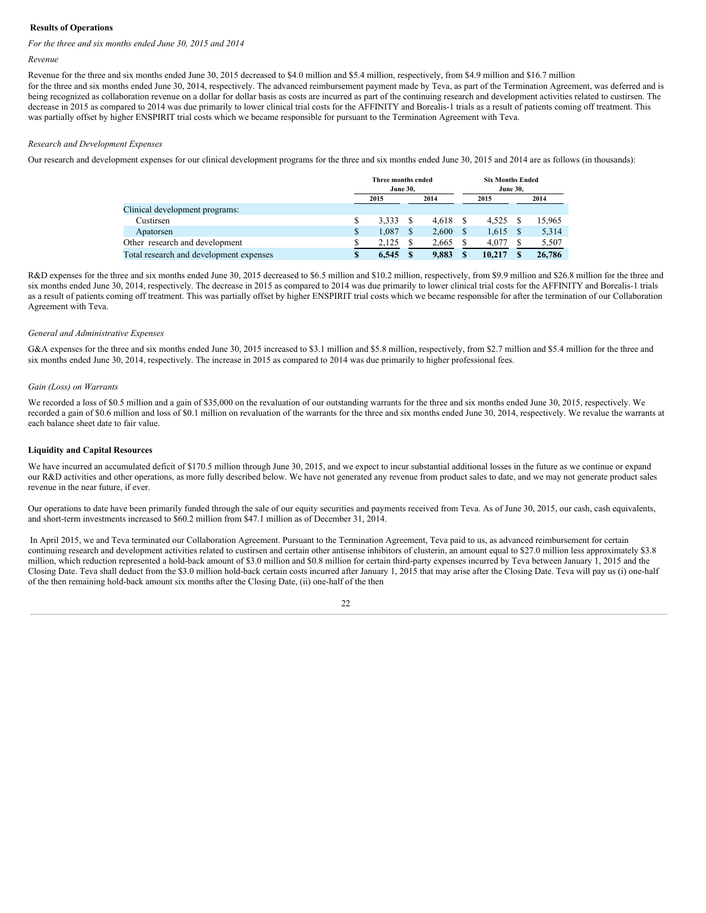#### **Results of Operations**

#### *For the three and six months ended June 30, 2015 and 2014*

#### *Revenue*

Revenue for the three and six months ended June 30, 2015 decreased to \$4.0 million and \$5.4 million, respectively, from \$4.9 million and \$16.7 million for the three and six months ended June 30, 2014, respectively. The advanced reimbursement payment made by Teva, as part of the Termination Agreement, was deferred and is being recognized as collaboration revenue on a dollar for dollar basis as costs are incurred as part of the continuing research and development activities related to custirsen. The decrease in 2015 as compared to 2014 was due primarily to lower clinical trial costs for the AFFINITY and Borealis-1 trials as a result of patients coming off treatment. This was partially offset by higher ENSPIRIT trial costs which we became responsible for pursuant to the Termination Agreement with Teva.

#### *Research and Development Expenses*

Our research and development expenses for our clinical development programs for the three and six months ended June 30, 2015 and 2014 are as follows (in thousands):

|                                         |   | Three months ended<br><b>June 30.</b> |  |       | <b>Six Months Ended</b><br><b>June 30.</b> |        |  |        |
|-----------------------------------------|---|---------------------------------------|--|-------|--------------------------------------------|--------|--|--------|
|                                         |   | 2014<br>2015                          |  | 2015  |                                            | 2014   |  |        |
| Clinical development programs:          |   |                                       |  |       |                                            |        |  |        |
| Custirsen                               |   | 3.333                                 |  | 4.618 |                                            | 4.525  |  | 15.965 |
| Apatorsen                               | S | 1.087                                 |  | 2,600 |                                            | 1,615  |  | 5,314  |
| Other research and development          |   | 2.125                                 |  | 2,665 |                                            | 4,077  |  | 5,507  |
| Total research and development expenses | S | 6.545                                 |  | 9.883 |                                            | 10.217 |  | 26,786 |

R&D expenses for the three and six months ended June 30, 2015 decreased to \$6.5 million and \$10.2 million, respectively, from \$9.9 million and \$26.8 million for the three and six months ended June 30, 2014, respectively. The decrease in 2015 as compared to 2014 was due primarily to lower clinical trial costs for the AFFINITY and Borealis-1 trials as a result of patients coming off treatment. This was partially offset by higher ENSPIRIT trial costs which we became responsible for after the termination of our Collaboration Agreement with Teva.

#### *General and Administrative Expenses*

G&A expenses for the three and six months ended June 30, 2015 increased to \$3.1 million and \$5.8 million, respectively, from \$2.7 million and \$5.4 million for the three and six months ended June 30, 2014, respectively. The increase in 2015 as compared to 2014 was due primarily to higher professional fees.

#### *Gain (Loss) on Warrants*

We recorded a loss of \$0.5 million and a gain of \$35,000 on the revaluation of our outstanding warrants for the three and six months ended June 30, 2015, respectively. We recorded a gain of \$0.6 million and loss of \$0.1 million on revaluation of the warrants for the three and six months ended June 30, 2014, respectively. We revalue the warrants at each balance sheet date to fair value.

#### **Liquidity and Capital Resources**

We have incurred an accumulated deficit of \$170.5 million through June 30, 2015, and we expect to incur substantial additional losses in the future as we continue or expand our R&D activities and other operations, as more fully described below. We have not generated any revenue from product sales to date, and we may not generate product sales revenue in the near future, if ever.

Our operations to date have been primarily funded through the sale of our equity securities and payments received from Teva. As of June 30, 2015, our cash, cash equivalents, and short-term investments increased to \$60.2 million from \$47.1 million as of December 31, 2014.

In April 2015, we and Teva terminated our Collaboration Agreement. Pursuant to the Termination Agreement, Teva paid to us, as advanced reimbursement for certain continuing research and development activities related to custirsen and certain other antisense inhibitors of clusterin, an amount equal to \$27.0 million less approximately \$3.8 million, which reduction represented a hold-back amount of \$3.0 million and \$0.8 million for certain third-party expenses incurred by Teva between January 1, 2015 and the Closing Date. Teva shall deduct from the \$3.0 million hold-back certain costs incurred after January 1, 2015 that may arise after the Closing Date. Teva will pay us (i) one-half of the then remaining hold-back amount six months after the Closing Date, (ii) one-half of the then

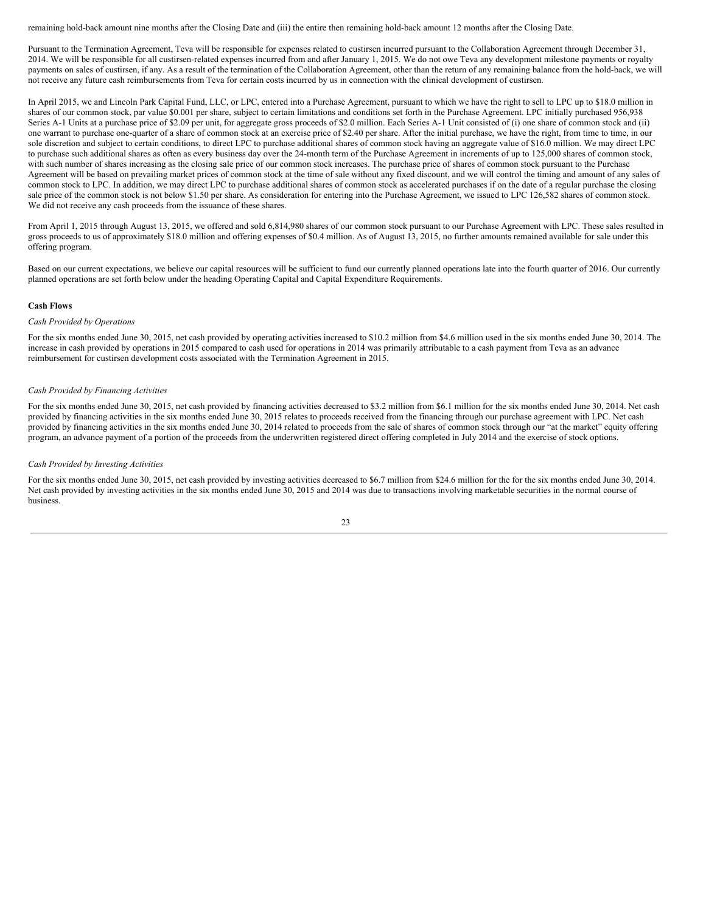remaining hold-back amount nine months after the Closing Date and (iii) the entire then remaining hold-back amount 12 months after the Closing Date.

Pursuant to the Termination Agreement, Teva will be responsible for expenses related to custirsen incurred pursuant to the Collaboration Agreement through December 31, 2014. We will be responsible for all custirsen-related expenses incurred from and after January 1, 2015. We do not owe Teva any development milestone payments or royalty payments on sales of custirsen, if any. As a result of the termination of the Collaboration Agreement, other than the return of any remaining balance from the hold-back, we will not receive any future cash reimbursements from Teva for certain costs incurred by us in connection with the clinical development of custirsen.

In April 2015, we and Lincoln Park Capital Fund, LLC, or LPC, entered into a Purchase Agreement, pursuant to which we have the right to sell to LPC up to \$18.0 million in shares of our common stock, par value \$0.001 per share, subject to certain limitations and conditions set forth in the Purchase Agreement. LPC initially purchased 956,938 Series A-1 Units at a purchase price of \$2.09 per unit, for aggregate gross proceeds of \$2.0 million. Each Series A-1 Unit consisted of (i) one share of common stock and (ii) one warrant to purchase one-quarter of a share of common stock at an exercise price of \$2.40 per share. After the initial purchase, we have the right, from time to time, in our sole discretion and subject to certain conditions, to direct LPC to purchase additional shares of common stock having an aggregate value of \$16.0 million. We may direct LPC to purchase such additional shares as often as every business day over the 24-month term of the Purchase Agreement in increments of up to 125,000 shares of common stock, with such number of shares increasing as the closing sale price of our common stock increases. The purchase price of shares of common stock pursuant to the Purchase Agreement will be based on prevailing market prices of common stock at the time of sale without any fixed discount, and we will control the timing and amount of any sales of common stock to LPC. In addition, we may direct LPC to purchase additional shares of common stock as accelerated purchases if on the date of a regular purchase the closing sale price of the common stock is not below \$1.50 per share. As consideration for entering into the Purchase Agreement, we issued to LPC 126,582 shares of common stock. We did not receive any cash proceeds from the issuance of these shares.

From April 1, 2015 through August 13, 2015, we offered and sold 6,814,980 shares of our common stock pursuant to our Purchase Agreement with LPC. These sales resulted in gross proceeds to us of approximately \$18.0 million and offering expenses of \$0.4 million. As of August 13, 2015, no further amounts remained available for sale under this offering program.

Based on our current expectations, we believe our capital resources will be sufficient to fund our currently planned operations late into the fourth quarter of 2016. Our currently planned operations are set forth below under the heading Operating Capital and Capital Expenditure Requirements.

#### **Cash Flows**

#### *Cash Provided by Operations*

For the six months ended June 30, 2015, net cash provided by operating activities increased to \$10.2 million from \$4.6 million used in the six months ended June 30, 2014. The increase in cash provided by operations in 2015 compared to cash used for operations in 2014 was primarily attributable to a cash payment from Teva as an advance reimbursement for custirsen development costs associated with the Termination Agreement in 2015.

#### *Cash Provided by Financing Activities*

For the six months ended June 30, 2015, net cash provided by financing activities decreased to \$3.2 million from \$6.1 million for the six months ended June 30, 2014. Net cash provided by financing activities in the six months ended June 30, 2015 relates to proceeds received from the financing through our purchase agreement with LPC. Net cash provided by financing activities in the six months ended June 30, 2014 related to proceeds from the sale of shares of common stock through our "at the market" equity offering program, an advance payment of a portion of the proceeds from the underwritten registered direct offering completed in July 2014 and the exercise of stock options.

#### *Cash Provided by Investing Activities*

For the six months ended June 30, 2015, net cash provided by investing activities decreased to \$6.7 million from \$24.6 million for the for the six months ended June 30, 2014. Net cash provided by investing activities in the six months ended June 30, 2015 and 2014 was due to transactions involving marketable securities in the normal course of business.

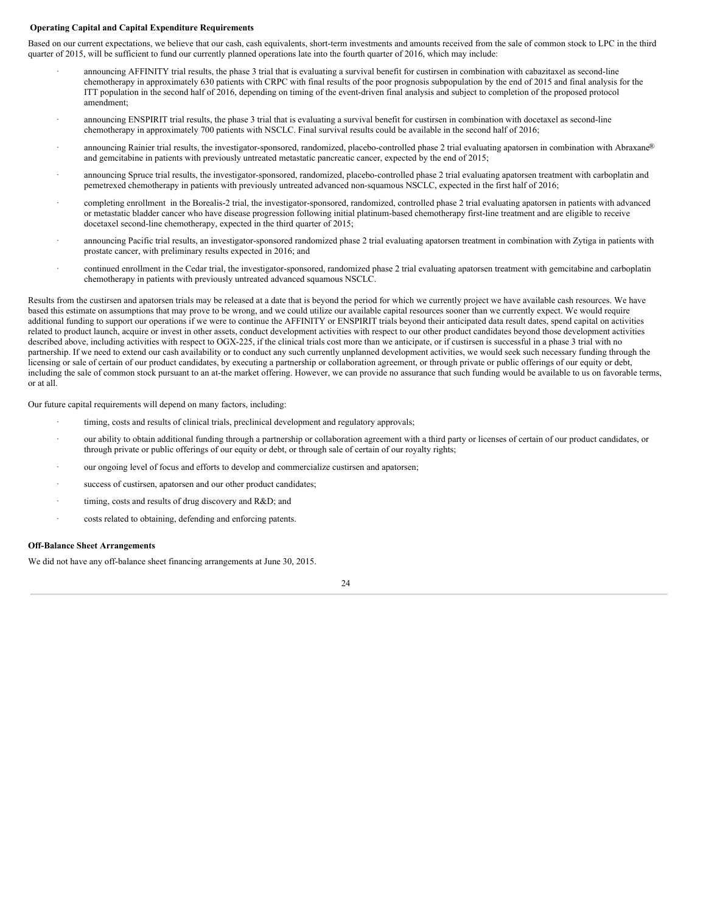#### **Operating Capital and Capital Expenditure Requirements**

Based on our current expectations, we believe that our cash, cash equivalents, short-term investments and amounts received from the sale of common stock to LPC in the third quarter of 2015, will be sufficient to fund our currently planned operations late into the fourth quarter of 2016, which may include:

- · announcing AFFINITY trial results, the phase 3 trial that is evaluating a survival benefit for custirsen in combination with cabazitaxel as second-line chemotherapy in approximately 630 patients with CRPC with final results of the poor prognosis subpopulation by the end of 2015 and final analysis for the ITT population in the second half of 2016, depending on timing of the event-driven final analysis and subject to completion of the proposed protocol amendment;
- · announcing ENSPIRIT trial results, the phase 3 trial that is evaluating a survival benefit for custirsen in combination with docetaxel as second-line chemotherapy in approximately 700 patients with NSCLC. Final survival results could be available in the second half of 2016;
- announcing Rainier trial results, the investigator-sponsored, randomized, placebo-controlled phase 2 trial evaluating apatorsen in combination with Abraxane® and gemcitabine in patients with previously untreated metastatic pancreatic cancer, expected by the end of 2015;
- announcing Spruce trial results, the investigator-sponsored, randomized, placebo-controlled phase 2 trial evaluating apatorsen treatment with carboplatin and pemetrexed chemotherapy in patients with previously untreated advanced non-squamous NSCLC, expected in the first half of 2016;
- · completing enrollment in the Borealis-2 trial, the investigator-sponsored, randomized, controlled phase 2 trial evaluating apatorsen in patients with advanced or metastatic bladder cancer who have disease progression following initial platinum-based chemotherapy first-line treatment and are eligible to receive docetaxel second-line chemotherapy, expected in the third quarter of 2015;
- announcing Pacific trial results, an investigator-sponsored randomized phase 2 trial evaluating apatorsen treatment in combination with Zytiga in patients with prostate cancer, with preliminary results expected in 2016; and
- · continued enrollment in the Cedar trial, the investigator-sponsored, randomized phase 2 trial evaluating apatorsen treatment with gemcitabine and carboplatin chemotherapy in patients with previously untreated advanced squamous NSCLC.

Results from the custirsen and apatorsen trials may be released at a date that is beyond the period for which we currently project we have available cash resources. We have based this estimate on assumptions that may prove to be wrong, and we could utilize our available capital resources sooner than we currently expect. We would require additional funding to support our operations if we were to continue the AFFINITY or ENSPIRIT trials beyond their anticipated data result dates, spend capital on activities related to product launch, acquire or invest in other assets, conduct development activities with respect to our other product candidates beyond those development activities described above, including activities with respect to OGX-225, if the clinical trials cost more than we anticipate, or if custirsen is successful in a phase 3 trial with no partnership. If we need to extend our cash availability or to conduct any such currently unplanned development activities, we would seek such necessary funding through the licensing or sale of certain of our product candidates, by executing a partnership or collaboration agreement, or through private or public offerings of our equity or debt, including the sale of common stock pursuant to an at-the market offering. However, we can provide no assurance that such funding would be available to us on favorable terms, or at all.

Our future capital requirements will depend on many factors, including:

- · timing, costs and results of clinical trials, preclinical development and regulatory approvals;
- · our ability to obtain additional funding through a partnership or collaboration agreement with a third party or licenses of certain of our product candidates, or through private or public offerings of our equity or debt, or through sale of certain of our royalty rights;
- our ongoing level of focus and efforts to develop and commercialize custirsen and apatorsen;
- success of custirsen, apatorsen and our other product candidates;
- timing, costs and results of drug discovery and R&D; and
- · costs related to obtaining, defending and enforcing patents.

#### **Off-Balance Sheet Arrangements**

We did not have any off-balance sheet financing arrangements at June 30, 2015.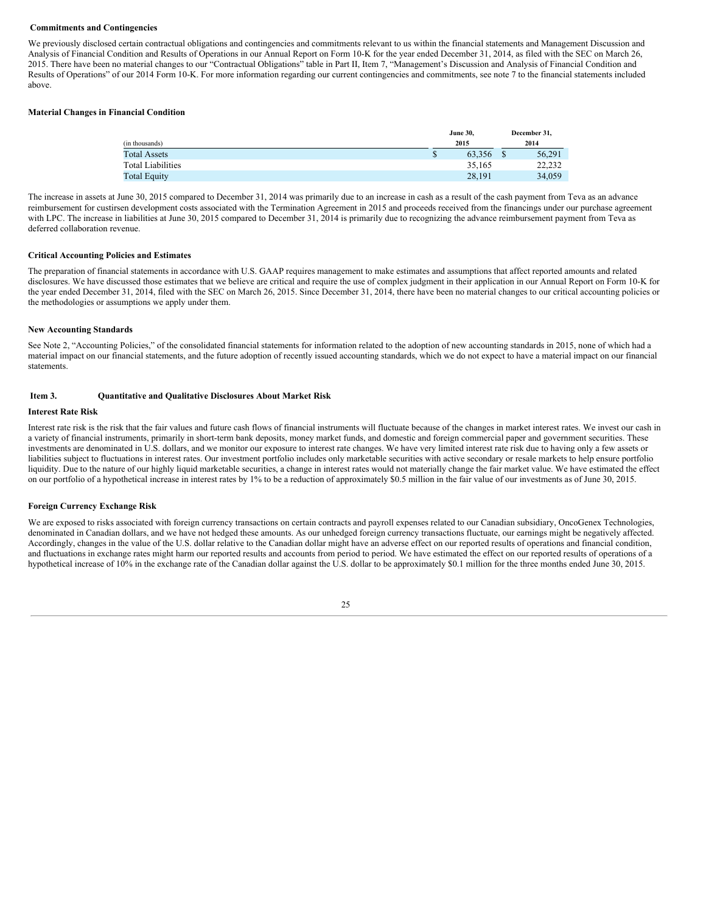#### **Commitments and Contingencies**

We previously disclosed certain contractual obligations and contingencies and commitments relevant to us within the financial statements and Management Discussion and Analysis of Financial Condition and Results of Operations in our Annual Report on Form 10-K for the year ended December 31, 2014, as filed with the SEC on March 26, 2015. There have been no material changes to our "Contractual Obligations" table in Part II, Item 7, "Management's Discussion and Analysis of Financial Condition and Results of Operations" of our 2014 Form 10-K. For more information regarding our current contingencies and commitments, see note 7 to the financial statements included above.

#### **Material Changes in Financial Condition**

|                          | <b>June 30,</b> |      | December 31, |  |  |
|--------------------------|-----------------|------|--------------|--|--|
| (in thousands)           | 2015            | 2014 |              |  |  |
| <b>Total Assets</b>      | \$<br>63.356    |      | 56,291       |  |  |
| <b>Total Liabilities</b> | 35,165          |      | 22,232       |  |  |
| <b>Total Equity</b>      | 28,191          |      | 34,059       |  |  |

The increase in assets at June 30, 2015 compared to December 31, 2014 was primarily due to an increase in cash as a result of the cash payment from Teva as an advance reimbursement for custirsen development costs associated with the Termination Agreement in 2015 and proceeds received from the financings under our purchase agreement with LPC. The increase in liabilities at June 30, 2015 compared to December 31, 2014 is primarily due to recognizing the advance reimbursement payment from Teva as deferred collaboration revenue.

#### **Critical Accounting Policies and Estimates**

The preparation of financial statements in accordance with U.S. GAAP requires management to make estimates and assumptions that affect reported amounts and related disclosures. We have discussed those estimates that we believe are critical and require the use of complex judgment in their application in our Annual Report on Form 10-K for the year ended December 31, 2014, filed with the SEC on March 26, 2015. Since December 31, 2014, there have been no material changes to our critical accounting policies or the methodologies or assumptions we apply under them.

#### **New Accounting Standards**

See Note 2, "Accounting Policies," of the consolidated financial statements for information related to the adoption of new accounting standards in 2015, none of which had a material impact on our financial statements, and the future adoption of recently issued accounting standards, which we do not expect to have a material impact on our financial statements.

#### <span id="page-24-0"></span>**Item 3. Quantitative and Qualitative Disclosures About Market Risk**

#### **Interest Rate Risk**

Interest rate risk is the risk that the fair values and future cash flows of financial instruments will fluctuate because of the changes in market interest rates. We invest our cash in a variety of financial instruments, primarily in short-term bank deposits, money market funds, and domestic and foreign commercial paper and government securities. These investments are denominated in U.S. dollars, and we monitor our exposure to interest rate changes. We have very limited interest rate risk due to having only a few assets or liabilities subject to fluctuations in interest rates. Our investment portfolio includes only marketable securities with active secondary or resale markets to help ensure portfolio liquidity. Due to the nature of our highly liquid marketable securities, a change in interest rates would not materially change the fair market value. We have estimated the effect on our portfolio of a hypothetical increase in interest rates by 1% to be a reduction of approximately \$0.5 million in the fair value of our investments as of June 30, 2015.

#### **Foreign Currency Exchange Risk**

We are exposed to risks associated with foreign currency transactions on certain contracts and payroll expenses related to our Canadian subsidiary, OncoGenex Technologies, denominated in Canadian dollars, and we have not hedged these amounts. As our unhedged foreign currency transactions fluctuate, our earnings might be negatively affected. Accordingly, changes in the value of the U.S. dollar relative to the Canadian dollar might have an adverse effect on our reported results of operations and financial condition, and fluctuations in exchange rates might harm our reported results and accounts from period to period. We have estimated the effect on our reported results of operations of a hypothetical increase of 10% in the exchange rate of the Canadian dollar against the U.S. dollar to be approximately \$0.1 million for the three months ended June 30, 2015.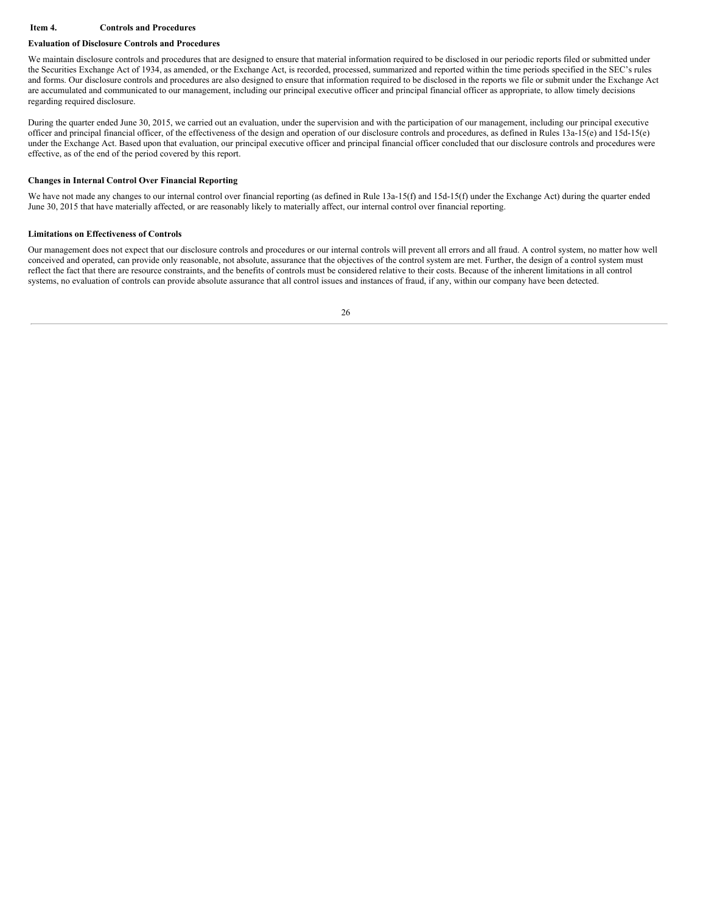#### <span id="page-25-0"></span>**Item 4. Controls and Procedures**

#### **Evaluation of Disclosure Controls and Procedures**

We maintain disclosure controls and procedures that are designed to ensure that material information required to be disclosed in our periodic reports filed or submitted under the Securities Exchange Act of 1934, as amended, or the Exchange Act, is recorded, processed, summarized and reported within the time periods specified in the SEC's rules and forms. Our disclosure controls and procedures are also designed to ensure that information required to be disclosed in the reports we file or submit under the Exchange Act are accumulated and communicated to our management, including our principal executive officer and principal financial officer as appropriate, to allow timely decisions regarding required disclosure.

During the quarter ended June 30, 2015, we carried out an evaluation, under the supervision and with the participation of our management, including our principal executive officer and principal financial officer, of the effectiveness of the design and operation of our disclosure controls and procedures, as defined in Rules 13a-15(e) and 15d-15(e) under the Exchange Act. Based upon that evaluation, our principal executive officer and principal financial officer concluded that our disclosure controls and procedures were effective, as of the end of the period covered by this report.

#### **Changes in Internal Control Over Financial Reporting**

We have not made any changes to our internal control over financial reporting (as defined in Rule 13a-15(f) and 15d-15(f) under the Exchange Act) during the quarter ended June 30, 2015 that have materially affected, or are reasonably likely to materially affect, our internal control over financial reporting.

#### **Limitations on Effectiveness of Controls**

Our management does not expect that our disclosure controls and procedures or our internal controls will prevent all errors and all fraud. A control system, no matter how well conceived and operated, can provide only reasonable, not absolute, assurance that the objectives of the control system are met. Further, the design of a control system must reflect the fact that there are resource constraints, and the benefits of controls must be considered relative to their costs. Because of the inherent limitations in all control systems, no evaluation of controls can provide absolute assurance that all control issues and instances of fraud, if any, within our company have been detected.

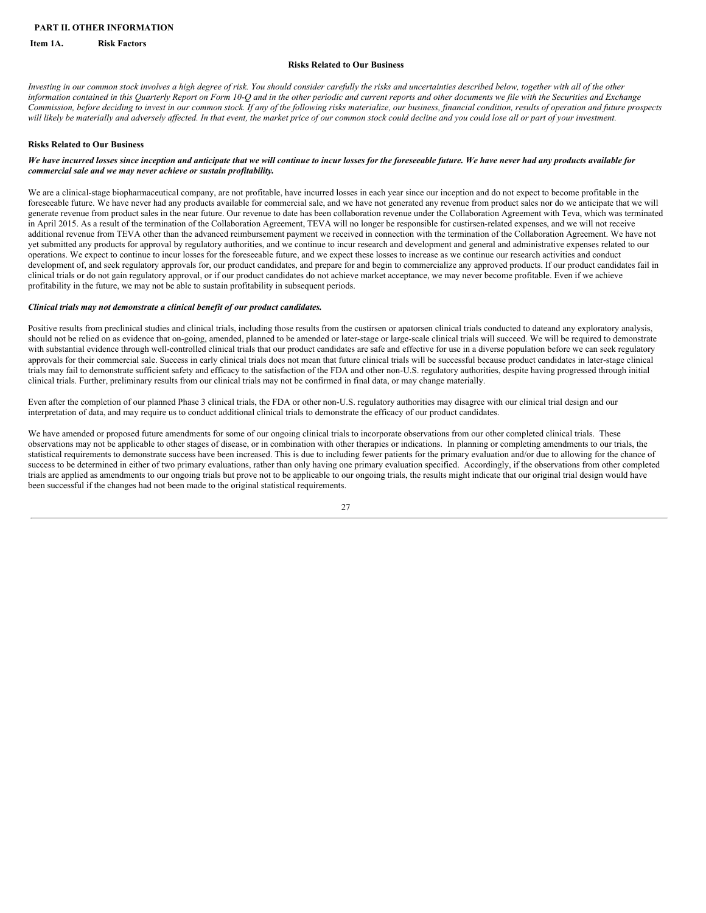#### <span id="page-26-0"></span>**PART II. OTHER INFORMATION**

#### <span id="page-26-1"></span>**Item 1A. Risk Factors**

#### **Risks Related to Our Business**

Investing in our common stock involves a high degree of risk. You should consider carefully the risks and uncertainties described below, together with all of the other information contained in this Quarterly Report on Form 10-Q and in the other periodic and current reports and other documents we file with the Securities and Exchange Commission, before deciding to invest in our common stock. If any of the following risks materialize, our business, financial condition, results of operation and future prospects will likely be materially and adversely affected. In that event, the market price of our common stock could decline and you could lose all or part of your investment.

#### **Risks Related to Our Business**

#### We have incurred losses since inception and anticipate that we will continue to incur losses for the foreseeable future. We have never had any products available for *commercial sale and we may never achieve or sustain profitability.*

We are a clinical-stage biopharmaceutical company, are not profitable, have incurred losses in each year since our inception and do not expect to become profitable in the foreseeable future. We have never had any products available for commercial sale, and we have not generated any revenue from product sales nor do we anticipate that we will generate revenue from product sales in the near future. Our revenue to date has been collaboration revenue under the Collaboration Agreement with Teva, which was terminated in April 2015. As a result of the termination of the Collaboration Agreement, TEVA will no longer be responsible for custirsen-related expenses, and we will not receive additional revenue from TEVA other than the advanced reimbursement payment we received in connection with the termination of the Collaboration Agreement. We have not yet submitted any products for approval by regulatory authorities, and we continue to incur research and development and general and administrative expenses related to our operations. We expect to continue to incur losses for the foreseeable future, and we expect these losses to increase as we continue our research activities and conduct development of, and seek regulatory approvals for, our product candidates, and prepare for and begin to commercialize any approved products. If our product candidates fail in clinical trials or do not gain regulatory approval, or if our product candidates do not achieve market acceptance, we may never become profitable. Even if we achieve profitability in the future, we may not be able to sustain profitability in subsequent periods.

#### *Clinical trials may not demonstrate a clinical benefit of our product candidates.*

Positive results from preclinical studies and clinical trials, including those results from the custirsen or apatorsen clinical trials conducted to dateand any exploratory analysis, should not be relied on as evidence that on-going, amended, planned to be amended or later-stage or large-scale clinical trials will succeed. We will be required to demonstrate with substantial evidence through well-controlled clinical trials that our product candidates are safe and effective for use in a diverse population before we can seek regulatory approvals for their commercial sale. Success in early clinical trials does not mean that future clinical trials will be successful because product candidates in later-stage clinical trials may fail to demonstrate sufficient safety and efficacy to the satisfaction of the FDA and other non-U.S. regulatory authorities, despite having progressed through initial clinical trials. Further, preliminary results from our clinical trials may not be confirmed in final data, or may change materially.

Even after the completion of our planned Phase 3 clinical trials, the FDA or other non-U.S. regulatory authorities may disagree with our clinical trial design and our interpretation of data, and may require us to conduct additional clinical trials to demonstrate the efficacy of our product candidates.

We have amended or proposed future amendments for some of our ongoing clinical trials to incorporate observations from our other completed clinical trials. These observations may not be applicable to other stages of disease, or in combination with other therapies or indications. In planning or completing amendments to our trials, the statistical requirements to demonstrate success have been increased. This is due to including fewer patients for the primary evaluation and/or due to allowing for the chance of success to be determined in either of two primary evaluations, rather than only having one primary evaluation specified. Accordingly, if the observations from other completed trials are applied as amendments to our ongoing trials but prove not to be applicable to our ongoing trials, the results might indicate that our original trial design would have been successful if the changes had not been made to the original statistical requirements.

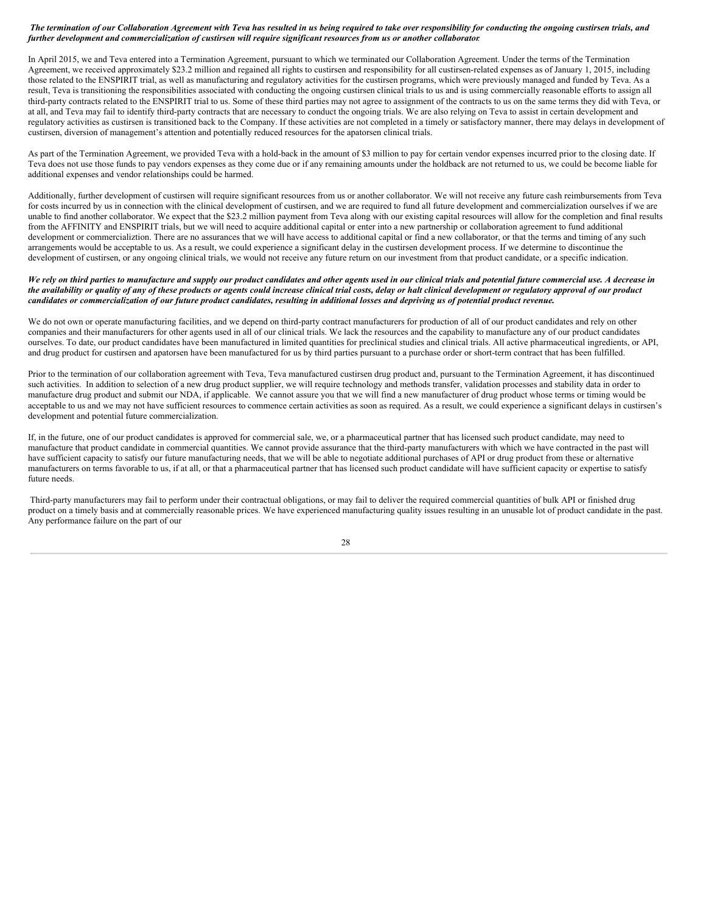#### The termination of our Collaboration Agreement with Teva has resulted in us being required to take over responsibility for conducting the ongoing custirsen trials, and further development and commercialization of custirsen will require significant resources from us or another collaborator.

In April 2015, we and Teva entered into a Termination Agreement, pursuant to which we terminated our Collaboration Agreement. Under the terms of the Termination Agreement, we received approximately \$23.2 million and regained all rights to custirsen and responsibility for all custirsen-related expenses as of January 1, 2015, including those related to the ENSPIRIT trial, as well as manufacturing and regulatory activities for the custirsen programs, which were previously managed and funded by Teva. As a result, Teva is transitioning the responsibilities associated with conducting the ongoing custirsen clinical trials to us and is using commercially reasonable efforts to assign all third-party contracts related to the ENSPIRIT trial to us. Some of these third parties may not agree to assignment of the contracts to us on the same terms they did with Teva, or at all, and Teva may fail to identify third-party contracts that are necessary to conduct the ongoing trials. We are also relying on Teva to assist in certain development and regulatory activities as custirsen is transitioned back to the Company. If these activities are not completed in a timely or satisfactory manner, there may delays in development of custirsen, diversion of management's attention and potentially reduced resources for the apatorsen clinical trials.

As part of the Termination Agreement, we provided Teva with a hold-back in the amount of \$3 million to pay for certain vendor expenses incurred prior to the closing date. If Teva does not use those funds to pay vendors expenses as they come due or if any remaining amounts under the holdback are not returned to us, we could be become liable for additional expenses and vendor relationships could be harmed.

Additionally, further development of custirsen will require significant resources from us or another collaborator. We will not receive any future cash reimbursements from Teva for costs incurred by us in connection with the clinical development of custirsen, and we are required to fund all future development and commercialization ourselves if we are unable to find another collaborator. We expect that the \$23.2 million payment from Teva along with our existing capital resources will allow for the completion and final results from the AFFINITY and ENSPIRIT trials, but we will need to acquire additional capital or enter into a new partnership or collaboration agreement to fund additional development or commercializtion. There are no assurances that we will have access to additional capital or find a new collaborator, or that the terms and timing of any such arrangements would be acceptable to us. As a result, we could experience a significant delay in the custirsen development process. If we determine to discontinue the development of custirsen, or any ongoing clinical trials, we would not receive any future return on our investment from that product candidate, or a specific indication.

#### We rely on third parties to manufacture and supply our product candidates and other agents used in our clinical trials and potential future commercial use. A decrease in the availability or quality of any of these products or agents could increase clinical trial costs, delay or halt clinical development or regulatory approval of our product candidates or commercialization of our future product candidates, resulting in additional losses and depriving us of potential product revenue.

We do not own or operate manufacturing facilities, and we depend on third-party contract manufacturers for production of all of our product candidates and rely on other companies and their manufacturers for other agents used in all of our clinical trials. We lack the resources and the capability to manufacture any of our product candidates ourselves. To date, our product candidates have been manufactured in limited quantities for preclinical studies and clinical trials. All active pharmaceutical ingredients, or API, and drug product for custirsen and apatorsen have been manufactured for us by third parties pursuant to a purchase order or short-term contract that has been fulfilled.

Prior to the termination of our collaboration agreement with Teva, Teva manufactured custirsen drug product and, pursuant to the Termination Agreement, it has discontinued such activities. In addition to selection of a new drug product supplier, we will require technology and methods transfer, validation processes and stability data in order to manufacture drug product and submit our NDA, if applicable. We cannot assure you that we will find a new manufacturer of drug product whose terms or timing would be acceptable to us and we may not have sufficient resources to commence certain activities as soon as required. As a result, we could experience a significant delays in custirsen's development and potential future commercialization.

If, in the future, one of our product candidates is approved for commercial sale, we, or a pharmaceutical partner that has licensed such product candidate, may need to manufacture that product candidate in commercial quantities. We cannot provide assurance that the third-party manufacturers with which we have contracted in the past will have sufficient capacity to satisfy our future manufacturing needs, that we will be able to negotiate additional purchases of API or drug product from these or alternative manufacturers on terms favorable to us, if at all, or that a pharmaceutical partner that has licensed such product candidate will have sufficient capacity or expertise to satisfy future needs.

Third-party manufacturers may fail to perform under their contractual obligations, or may fail to deliver the required commercial quantities of bulk API or finished drug product on a timely basis and at commercially reasonable prices. We have experienced manufacturing quality issues resulting in an unusable lot of product candidate in the past. Any performance failure on the part of our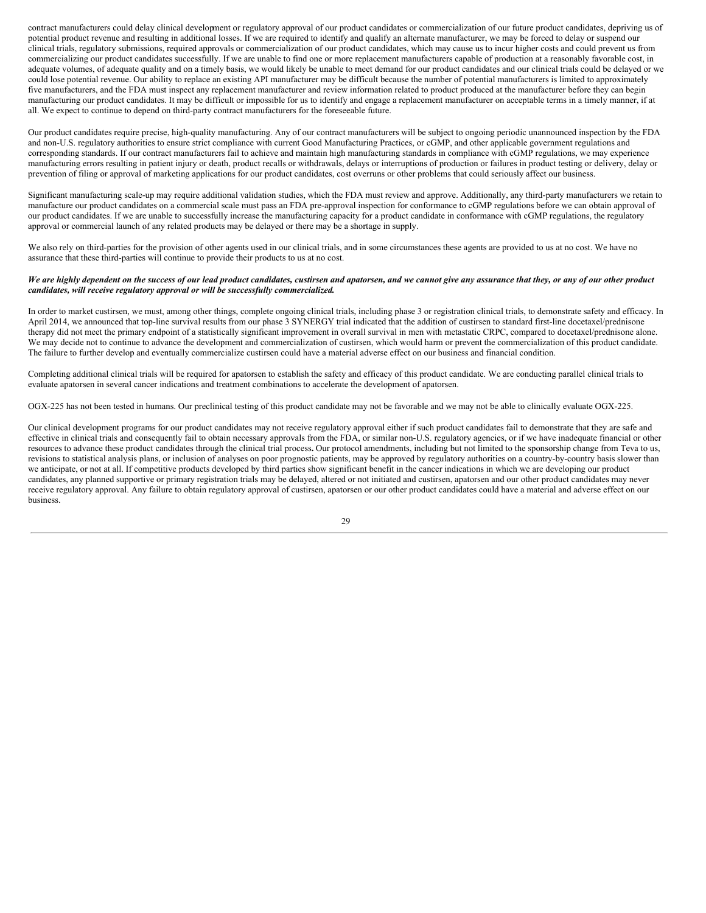contract manufacturers could delay clinical development or regulatory approval of our product candidates or commercialization of our future product candidates, depriving us of potential product revenue and resulting in additional losses. If we are required to identify and qualify an alternate manufacturer, we may be forced to delay or suspend our clinical trials, regulatory submissions, required approvals or commercialization of our product candidates, which may cause us to incur higher costs and could prevent us from commercializing our product candidates successfully. If we are unable to find one or more replacement manufacturers capable of production at a reasonably favorable cost, in adequate volumes, of adequate quality and on a timely basis, we would likely be unable to meet demand for our product candidates and our clinical trials could be delayed or we could lose potential revenue. Our ability to replace an existing API manufacturer may be difficult because the number of potential manufacturers is limited to approximately five manufacturers, and the FDA must inspect any replacement manufacturer and review information related to product produced at the manufacturer before they can begin manufacturing our product candidates. It may be difficult or impossible for us to identify and engage a replacement manufacturer on acceptable terms in a timely manner, if at all. We expect to continue to depend on third-party contract manufacturers for the foreseeable future.

Our product candidates require precise, high-quality manufacturing. Any of our contract manufacturers will be subject to ongoing periodic unannounced inspection by the FDA and non-U.S. regulatory authorities to ensure strict compliance with current Good Manufacturing Practices, or cGMP, and other applicable government regulations and corresponding standards. If our contract manufacturers fail to achieve and maintain high manufacturing standards in compliance with cGMP regulations, we may experience manufacturing errors resulting in patient injury or death, product recalls or withdrawals, delays or interruptions of production or failures in product testing or delivery, delay or prevention of filing or approval of marketing applications for our product candidates, cost overruns or other problems that could seriously affect our business.

Significant manufacturing scale-up may require additional validation studies, which the FDA must review and approve. Additionally, any third-party manufacturers we retain to manufacture our product candidates on a commercial scale must pass an FDA pre-approval inspection for conformance to cGMP regulations before we can obtain approval of our product candidates. If we are unable to successfully increase the manufacturing capacity for a product candidate in conformance with cGMP regulations, the regulatory approval or commercial launch of any related products may be delayed or there may be a shortage in supply.

We also rely on third-parties for the provision of other agents used in our clinical trials, and in some circumstances these agents are provided to us at no cost. We have no assurance that these third-parties will continue to provide their products to us at no cost.

#### We are highly dependent on the success of our lead product candidates, custirsen and apatorsen, and we cannot give any assurance that they, or any of our other product *candidates, will receive regulatory approval or will be successfully commercialized.*

In order to market custirsen, we must, among other things, complete ongoing clinical trials, including phase 3 or registration clinical trials, to demonstrate safety and efficacy. In April 2014, we announced that top-line survival results from our phase 3 SYNERGY trial indicated that the addition of custirsen to standard first-line docetaxel/prednisone therapy did not meet the primary endpoint of a statistically significant improvement in overall survival in men with metastatic CRPC, compared to docetaxel/prednisone alone. We may decide not to continue to advance the development and commercialization of custirsen, which would harm or prevent the commercialization of this product candidate. The failure to further develop and eventually commercialize custirsen could have a material adverse effect on our business and financial condition.

Completing additional clinical trials will be required for apatorsen to establish the safety and efficacy of this product candidate. We are conducting parallel clinical trials to evaluate apatorsen in several cancer indications and treatment combinations to accelerate the development of apatorsen.

OGX-225 has not been tested in humans. Our preclinical testing of this product candidate may not be favorable and we may not be able to clinically evaluate OGX-225.

Our clinical development programs for our product candidates may not receive regulatory approval either if such product candidates fail to demonstrate that they are safe and effective in clinical trials and consequently fail to obtain necessary approvals from the FDA, or similar non-U.S. regulatory agencies, or if we have inadequate financial or other resources to advance these product candidates through the clinical trial process**.** Our protocol amendments, including but not limited to the sponsorship change from Teva to us, revisions to statistical analysis plans, or inclusion of analyses on poor prognostic patients, may be approved by regulatory authorities on a country-by-country basis slower than we anticipate, or not at all. If competitive products developed by third parties show significant benefit in the cancer indications in which we are developing our product candidates, any planned supportive or primary registration trials may be delayed, altered or not initiated and custirsen, apatorsen and our other product candidates may never receive regulatory approval. Any failure to obtain regulatory approval of custirsen, apatorsen or our other product candidates could have a material and adverse effect on our business.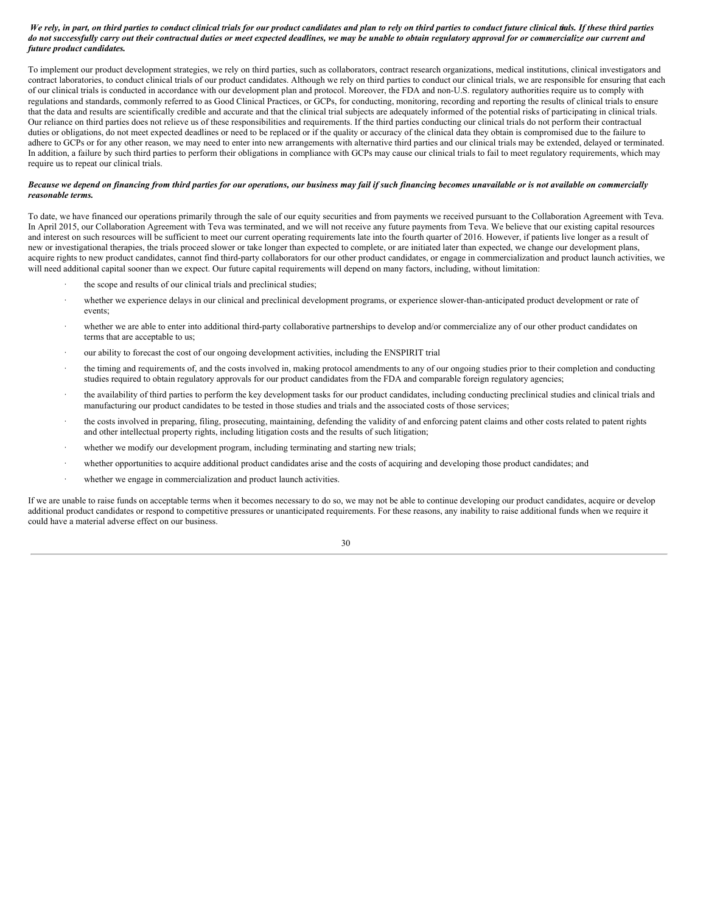#### We rely, in part, on third parties to conduct clinical trials for our product candidates and plan to rely on third parties to conduct future clinical tials. If these third parties do not successfully carry out their contractual duties or meet expected deadlines, we may be unable to obtain regulatory approval for or commercialize our current and *future product candidates.*

To implement our product development strategies, we rely on third parties, such as collaborators, contract research organizations, medical institutions, clinical investigators and contract laboratories, to conduct clinical trials of our product candidates. Although we rely on third parties to conduct our clinical trials, we are responsible for ensuring that each of our clinical trials is conducted in accordance with our development plan and protocol. Moreover, the FDA and non-U.S. regulatory authorities require us to comply with regulations and standards, commonly referred to as Good Clinical Practices, or GCPs, for conducting, monitoring, recording and reporting the results of clinical trials to ensure that the data and results are scientifically credible and accurate and that the clinical trial subjects are adequately informed of the potential risks of participating in clinical trials. Our reliance on third parties does not relieve us of these responsibilities and requirements. If the third parties conducting our clinical trials do not perform their contractual duties or obligations, do not meet expected deadlines or need to be replaced or if the quality or accuracy of the clinical data they obtain is compromised due to the failure to adhere to GCPs or for any other reason, we may need to enter into new arrangements with alternative third parties and our clinical trials may be extended, delayed or terminated. In addition, a failure by such third parties to perform their obligations in compliance with GCPs may cause our clinical trials to fail to meet regulatory requirements, which may require us to repeat our clinical trials.

#### Because we depend on financing from third parties for our operations, our business may fail if such financing becomes unavailable or is not available on commercially *reasonable terms.*

To date, we have financed our operations primarily through the sale of our equity securities and from payments we received pursuant to the Collaboration Agreement with Teva. In April 2015, our Collaboration Agreement with Teva was terminated, and we will not receive any future payments from Teva. We believe that our existing capital resources and interest on such resources will be sufficient to meet our current operating requirements late into the fourth quarter of 2016. However, if patients live longer as a result of new or investigational therapies, the trials proceed slower or take longer than expected to complete, or are initiated later than expected, we change our development plans, acquire rights to new product candidates, cannot find third-party collaborators for our other product candidates, or engage in commercialization and product launch activities, we will need additional capital sooner than we expect. Our future capital requirements will depend on many factors, including, without limitation:

- the scope and results of our clinical trials and preclinical studies;
- · whether we experience delays in our clinical and preclinical development programs, or experience slower-than-anticipated product development or rate of events;
- whether we are able to enter into additional third-party collaborative partnerships to develop and/or commercialize any of our other product candidates on terms that are acceptable to us;
- · our ability to forecast the cost of our ongoing development activities, including the ENSPIRIT trial
- the timing and requirements of, and the costs involved in, making protocol amendments to any of our ongoing studies prior to their completion and conducting studies required to obtain regulatory approvals for our product candidates from the FDA and comparable foreign regulatory agencies;
- the availability of third parties to perform the key development tasks for our product candidates, including conducting preclinical studies and clinical trials and manufacturing our product candidates to be tested in those studies and trials and the associated costs of those services;
- the costs involved in preparing, filing, prosecuting, maintaining, defending the validity of and enforcing patent claims and other costs related to patent rights and other intellectual property rights, including litigation costs and the results of such litigation;
- whether we modify our development program, including terminating and starting new trials;
- whether opportunities to acquire additional product candidates arise and the costs of acquiring and developing those product candidates; and
- whether we engage in commercialization and product launch activities.

If we are unable to raise funds on acceptable terms when it becomes necessary to do so, we may not be able to continue developing our product candidates, acquire or develop additional product candidates or respond to competitive pressures or unanticipated requirements. For these reasons, any inability to raise additional funds when we require it could have a material adverse effect on our business.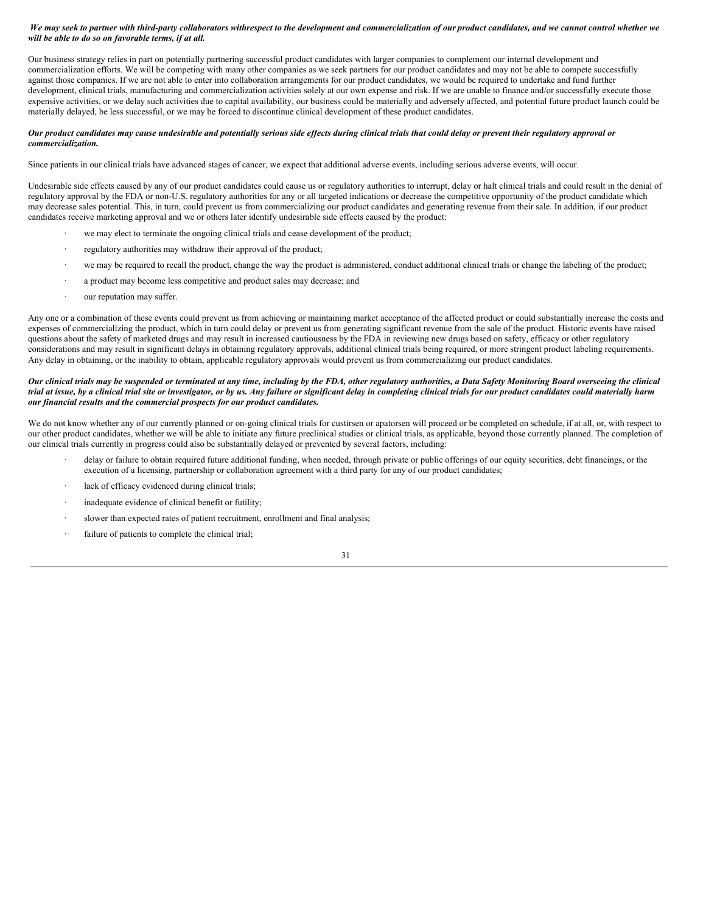#### We may seek to partner with third-party collaborators withrespect to the development and commercialization of our product candidates, and we cannot control whether we *will be able to do so on favorable terms, if at all.*

Our business strategy relies in part on potentially partnering successful product candidates with larger companies to complement our internal development and commercialization efforts. We will be competing with many other companies as we seek partners for our product candidates and may not be able to compete successfully against those companies. If we are not able to enter into collaboration arrangements for our product candidates, we would be required to undertake and fund further development, clinical trials, manufacturing and commercialization activities solely at our own expense and risk. If we are unable to finance and/or successfully execute those expensive activities, or we delay such activities due to capital availability, our business could be materially and adversely affected, and potential future product launch could be materially delayed, be less successful, or we may be forced to discontinue clinical development of these product candidates.

#### Our product candidates may cause undesirable and potentially serious side effects during clinical trials that could delay or prevent their regulatory approval or *commercialization.*

Since patients in our clinical trials have advanced stages of cancer, we expect that additional adverse events, including serious adverse events, will occur.

Undesirable side effects caused by any of our product candidates could cause us or regulatory authorities to interrupt, delay or halt clinical trials and could result in the denial of regulatory approval by the FDA or non-U.S. regulatory authorities for any or all targeted indications or decrease the competitive opportunity of the product candidate which may decrease sales potential. This, in turn, could prevent us from commercializing our product candidates and generating revenue from their sale. In addition, if our product candidates receive marketing approval and we or others later identify undesirable side effects caused by the product:

- we may elect to terminate the ongoing clinical trials and cease development of the product;
- regulatory authorities may withdraw their approval of the product;
- · we may be required to recall the product, change the way the product is administered, conduct additional clinical trials or change the labeling of the product;
- a product may become less competitive and product sales may decrease; and
- our reputation may suffer.

Any one or a combination of these events could prevent us from achieving or maintaining market acceptance of the affected product or could substantially increase the costs and expenses of commercializing the product, which in turn could delay or prevent us from generating significant revenue from the sale of the product. Historic events have raised questions about the safety of marketed drugs and may result in increased cautiousness by the FDA in reviewing new drugs based on safety, efficacy or other regulatory considerations and may result in significant delays in obtaining regulatory approvals, additional clinical trials being required, or more stringent product labeling requirements. Any delay in obtaining, or the inability to obtain, applicable regulatory approvals would prevent us from commercializing our product candidates.

#### Our clinical trials may be suspended or terminated at any time, including by the FDA, other regulatory authorities, a Data Safety Monitoring Board overseeing the clinical trial at issue, by a clinical trial site or investigator, or by us. Any failure or significant delay in completing clinical trials for our product candidates could materially harm *our financial results and the commercial prospects for our product candidates.*

We do not know whether any of our currently planned or on-going clinical trials for custirsen or apatorsen will proceed or be completed on schedule, if at all, or, with respect to our other product candidates, whether we will be able to initiate any future preclinical studies or clinical trials, as applicable, beyond those currently planned. The completion of our clinical trials currently in progress could also be substantially delayed or prevented by several factors, including:

- delay or failure to obtain required future additional funding, when needed, through private or public offerings of our equity securities, debt financings, or the execution of a licensing, partnership or collaboration agreement with a third party for any of our product candidates;
- lack of efficacy evidenced during clinical trials;
- inadequate evidence of clinical benefit or futility;
- slower than expected rates of patient recruitment, enrollment and final analysis;
- failure of patients to complete the clinical trial;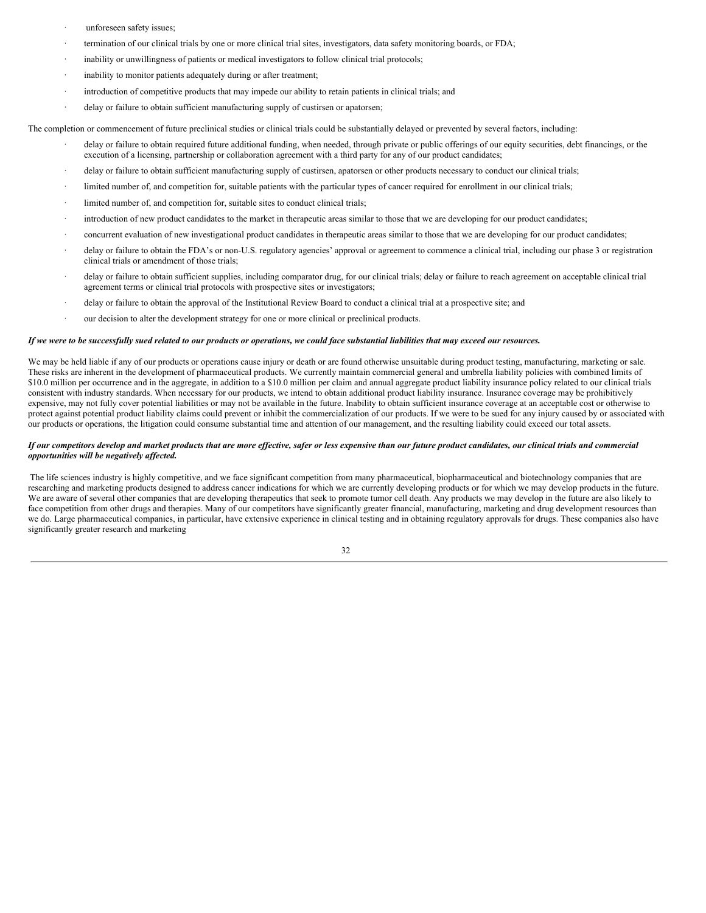- unforeseen safety issues;
- termination of our clinical trials by one or more clinical trial sites, investigators, data safety monitoring boards, or FDA;
- inability or unwillingness of patients or medical investigators to follow clinical trial protocols;
- inability to monitor patients adequately during or after treatment;
- introduction of competitive products that may impede our ability to retain patients in clinical trials; and
- delay or failure to obtain sufficient manufacturing supply of custirsen or apatorsen;

The completion or commencement of future preclinical studies or clinical trials could be substantially delayed or prevented by several factors, including:

- delay or failure to obtain required future additional funding, when needed, through private or public offerings of our equity securities, debt financings, or the execution of a licensing, partnership or collaboration agreement with a third party for any of our product candidates;
- delay or failure to obtain sufficient manufacturing supply of custirsen, apatorsen or other products necessary to conduct our clinical trials;
- limited number of, and competition for, suitable patients with the particular types of cancer required for enrollment in our clinical trials;
- limited number of, and competition for, suitable sites to conduct clinical trials;
- introduction of new product candidates to the market in therapeutic areas similar to those that we are developing for our product candidates;
- · concurrent evaluation of new investigational product candidates in therapeutic areas similar to those that we are developing for our product candidates;
- delay or failure to obtain the FDA's or non-U.S. regulatory agencies' approval or agreement to commence a clinical trial, including our phase 3 or registration clinical trials or amendment of those trials;
- delay or failure to obtain sufficient supplies, including comparator drug, for our clinical trials; delay or failure to reach agreement on acceptable clinical trial agreement terms or clinical trial protocols with prospective sites or investigators;
- delay or failure to obtain the approval of the Institutional Review Board to conduct a clinical trial at a prospective site; and
- our decision to alter the development strategy for one or more clinical or preclinical products.

#### If we were to be successfully sued related to our products or operations, we could face substantial liabilities that may exceed our resources.

We may be held liable if any of our products or operations cause injury or death or are found otherwise unsuitable during product testing, manufacturing, marketing or sale. These risks are inherent in the development of pharmaceutical products. We currently maintain commercial general and umbrella liability policies with combined limits of \$10.0 million per occurrence and in the aggregate, in addition to a \$10.0 million per claim and annual aggregate product liability insurance policy related to our clinical trials consistent with industry standards. When necessary for our products, we intend to obtain additional product liability insurance. Insurance coverage may be prohibitively expensive, may not fully cover potential liabilities or may not be available in the future. Inability to obtain sufficient insurance coverage at an acceptable cost or otherwise to protect against potential product liability claims could prevent or inhibit the commercialization of our products. If we were to be sued for any injury caused by or associated with our products or operations, the litigation could consume substantial time and attention of our management, and the resulting liability could exceed our total assets.

#### If our competitors develop and market products that are more effective, safer or less expensive than our future product candidates, our clinical trials and commercial *opportunities will be negatively af ected.*

The life sciences industry is highly competitive, and we face significant competition from many pharmaceutical, biopharmaceutical and biotechnology companies that are researching and marketing products designed to address cancer indications for which we are currently developing products or for which we may develop products in the future. We are aware of several other companies that are developing therapeutics that seek to promote tumor cell death. Any products we may develop in the future are also likely to face competition from other drugs and therapies. Many of our competitors have significantly greater financial, manufacturing, marketing and drug development resources than we do. Large pharmaceutical companies, in particular, have extensive experience in clinical testing and in obtaining regulatory approvals for drugs. These companies also have significantly greater research and marketing

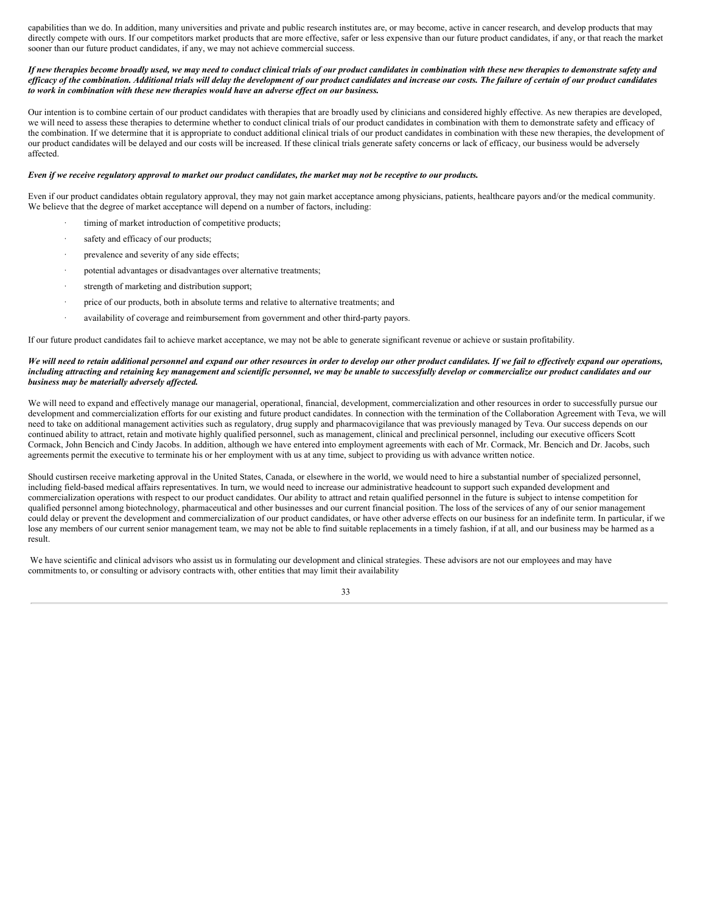capabilities than we do. In addition, many universities and private and public research institutes are, or may become, active in cancer research, and develop products that may directly compete with ours. If our competitors market products that are more effective, safer or less expensive than our future product candidates, if any, or that reach the market sooner than our future product candidates, if any, we may not achieve commercial success.

#### If new therapies become broadly used, we may need to conduct clinical trials of our product candidates in combination with these new therapies to demonstrate safety and efficacy of the combination. Additional trials will delay the development of our product candidates and increase our costs. The failure of certain of our product candidates *to work in combination with these new therapies would have an adverse ef ect on our business.*

Our intention is to combine certain of our product candidates with therapies that are broadly used by clinicians and considered highly effective. As new therapies are developed, we will need to assess these therapies to determine whether to conduct clinical trials of our product candidates in combination with them to demonstrate safety and efficacy of the combination. If we determine that it is appropriate to conduct additional clinical trials of our product candidates in combination with these new therapies, the development of our product candidates will be delayed and our costs will be increased. If these clinical trials generate safety concerns or lack of efficacy, our business would be adversely affected.

#### Even if we receive regulatory approval to market our product candidates, the market may not be receptive to our products.

Even if our product candidates obtain regulatory approval, they may not gain market acceptance among physicians, patients, healthcare payors and/or the medical community. We believe that the degree of market acceptance will depend on a number of factors, including:

- timing of market introduction of competitive products;
- safety and efficacy of our products;
- prevalence and severity of any side effects;
- potential advantages or disadvantages over alternative treatments;
- strength of marketing and distribution support;
- price of our products, both in absolute terms and relative to alternative treatments; and
- availability of coverage and reimbursement from government and other third-party payors.

If our future product candidates fail to achieve market acceptance, we may not be able to generate significant revenue or achieve or sustain profitability.

#### We will need to retain additional personnel and expand our other resources in order to develop our other product candidates. If we fail to effectively expand our operations, including attracting and retaining key management and scientific personnel, we may be unable to successfully develop or commercialize our product candidates and our *business may be materially adversely af ected.*

We will need to expand and effectively manage our managerial, operational, financial, development, commercialization and other resources in order to successfully pursue our development and commercialization efforts for our existing and future product candidates. In connection with the termination of the Collaboration Agreement with Teva, we will need to take on additional management activities such as regulatory, drug supply and pharmacovigilance that was previously managed by Teva. Our success depends on our continued ability to attract, retain and motivate highly qualified personnel, such as management, clinical and preclinical personnel, including our executive officers Scott Cormack, John Bencich and Cindy Jacobs. In addition, although we have entered into employment agreements with each of Mr. Cormack, Mr. Bencich and Dr. Jacobs, such agreements permit the executive to terminate his or her employment with us at any time, subject to providing us with advance written notice.

Should custirsen receive marketing approval in the United States, Canada, or elsewhere in the world, we would need to hire a substantial number of specialized personnel, including field-based medical affairs representatives. In turn, we would need to increase our administrative headcount to support such expanded development and commercialization operations with respect to our product candidates. Our ability to attract and retain qualified personnel in the future is subject to intense competition for qualified personnel among biotechnology, pharmaceutical and other businesses and our current financial position. The loss of the services of any of our senior management could delay or prevent the development and commercialization of our product candidates, or have other adverse effects on our business for an indefinite term. In particular, if we lose any members of our current senior management team, we may not be able to find suitable replacements in a timely fashion, if at all, and our business may be harmed as a result.

We have scientific and clinical advisors who assist us in formulating our development and clinical strategies. These advisors are not our employees and may have commitments to, or consulting or advisory contracts with, other entities that may limit their availability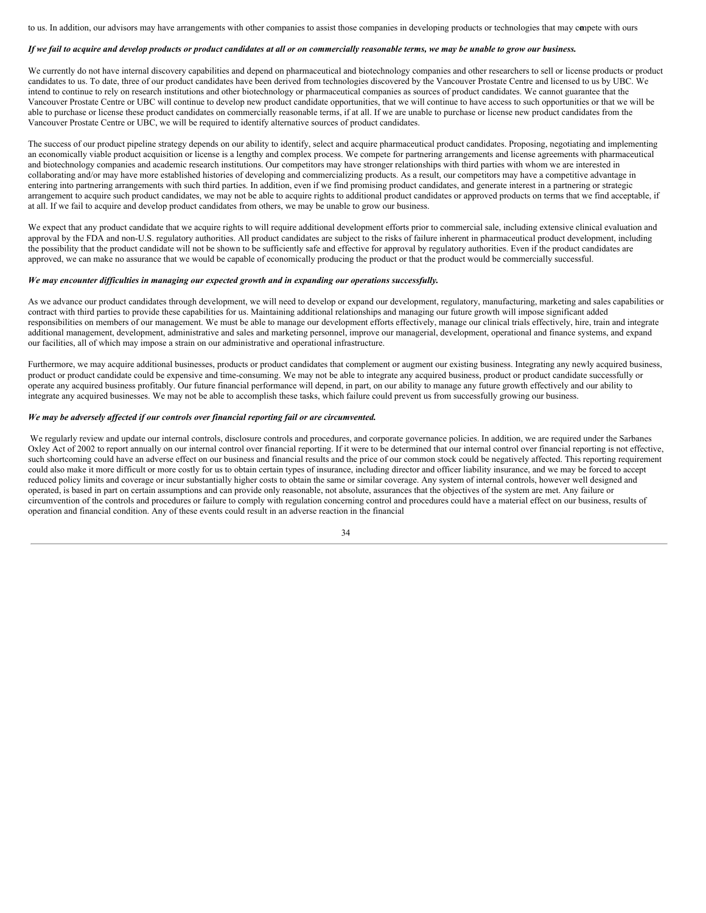to us. In addition, our advisors may have arrangements with other companies to assist those companies in developing products or technologies that may conpete with ours

#### If we fail to acquire and develop products or product candidates at all or on commercially reasonable terms, we may be unable to grow our business.

We currently do not have internal discovery capabilities and depend on pharmaceutical and biotechnology companies and other researchers to sell or license products or product candidates to us. To date, three of our product candidates have been derived from technologies discovered by the Vancouver Prostate Centre and licensed to us by UBC. We intend to continue to rely on research institutions and other biotechnology or pharmaceutical companies as sources of product candidates. We cannot guarantee that the Vancouver Prostate Centre or UBC will continue to develop new product candidate opportunities, that we will continue to have access to such opportunities or that we will be able to purchase or license these product candidates on commercially reasonable terms, if at all. If we are unable to purchase or license new product candidates from the Vancouver Prostate Centre or UBC, we will be required to identify alternative sources of product candidates.

The success of our product pipeline strategy depends on our ability to identify, select and acquire pharmaceutical product candidates. Proposing, negotiating and implementing an economically viable product acquisition or license is a lengthy and complex process. We compete for partnering arrangements and license agreements with pharmaceutical and biotechnology companies and academic research institutions. Our competitors may have stronger relationships with third parties with whom we are interested in collaborating and/or may have more established histories of developing and commercializing products. As a result, our competitors may have a competitive advantage in entering into partnering arrangements with such third parties. In addition, even if we find promising product candidates, and generate interest in a partnering or strategic arrangement to acquire such product candidates, we may not be able to acquire rights to additional product candidates or approved products on terms that we find acceptable, if at all. If we fail to acquire and develop product candidates from others, we may be unable to grow our business.

We expect that any product candidate that we acquire rights to will require additional development efforts prior to commercial sale, including extensive clinical evaluation and approval by the FDA and non-U.S. regulatory authorities. All product candidates are subject to the risks of failure inherent in pharmaceutical product development, including the possibility that the product candidate will not be shown to be sufficiently safe and effective for approval by regulatory authorities. Even if the product candidates are approved, we can make no assurance that we would be capable of economically producing the product or that the product would be commercially successful.

#### *We may encounter dif iculties in managing our expected growth and in expanding our operations successfully.*

As we advance our product candidates through development, we will need to develop or expand our development, regulatory, manufacturing, marketing and sales capabilities or contract with third parties to provide these capabilities for us. Maintaining additional relationships and managing our future growth will impose significant added responsibilities on members of our management. We must be able to manage our development efforts effectively, manage our clinical trials effectively, hire, train and integrate additional management, development, administrative and sales and marketing personnel, improve our managerial, development, operational and finance systems, and expand our facilities, all of which may impose a strain on our administrative and operational infrastructure.

Furthermore, we may acquire additional businesses, products or product candidates that complement or augment our existing business. Integrating any newly acquired business, product or product candidate could be expensive and time-consuming. We may not be able to integrate any acquired business, product or product candidate successfully or operate any acquired business profitably. Our future financial performance will depend, in part, on our ability to manage any future growth effectively and our ability to integrate any acquired businesses. We may not be able to accomplish these tasks, which failure could prevent us from successfully growing our business.

#### *We may be adversely af ected if our controls over financial reporting fail or are circumvented.*

We regularly review and update our internal controls, disclosure controls and procedures, and corporate governance policies. In addition, we are required under the Sarbanes Oxley Act of 2002 to report annually on our internal control over financial reporting. If it were to be determined that our internal control over financial reporting is not effective, such shortcoming could have an adverse effect on our business and financial results and the price of our common stock could be negatively affected. This reporting requirement could also make it more difficult or more costly for us to obtain certain types of insurance, including director and officer liability insurance, and we may be forced to accept reduced policy limits and coverage or incur substantially higher costs to obtain the same or similar coverage. Any system of internal controls, however well designed and operated, is based in part on certain assumptions and can provide only reasonable, not absolute, assurances that the objectives of the system are met. Any failure or circumvention of the controls and procedures or failure to comply with regulation concerning control and procedures could have a material effect on our business, results of operation and financial condition. Any of these events could result in an adverse reaction in the financial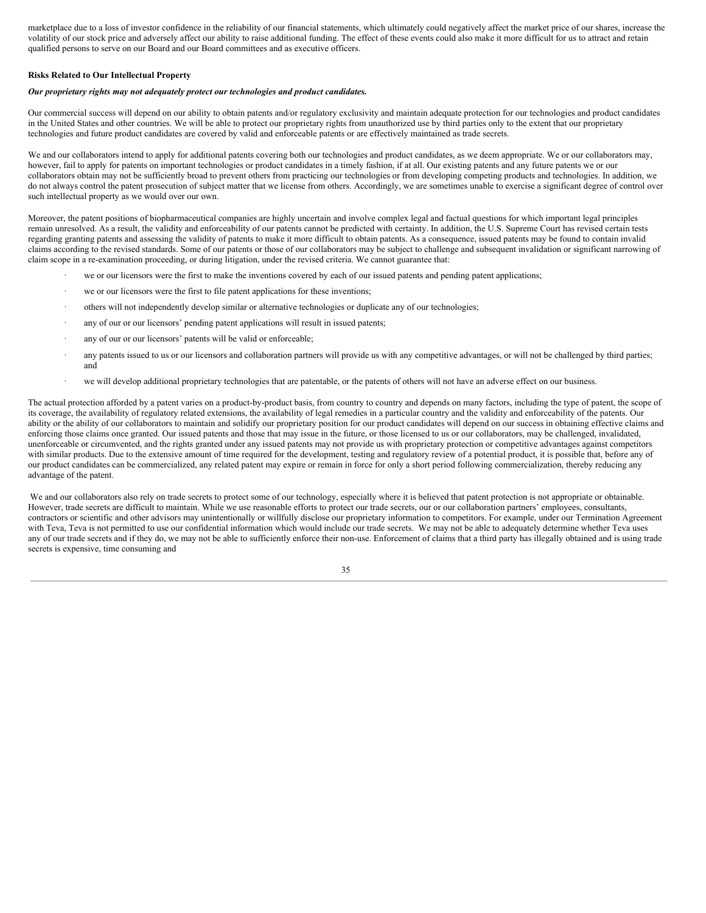marketplace due to a loss of investor confidence in the reliability of our financial statements, which ultimately could negatively affect the market price of our shares, increase the volatility of our stock price and adversely affect our ability to raise additional funding. The effect of these events could also make it more difficult for us to attract and retain qualified persons to serve on our Board and our Board committees and as executive officers.

#### **Risks Related to Our Intellectual Property**

#### *Our proprietary rights may not adequately protect our technologies and product candidates.*

Our commercial success will depend on our ability to obtain patents and/or regulatory exclusivity and maintain adequate protection for our technologies and product candidates in the United States and other countries. We will be able to protect our proprietary rights from unauthorized use by third parties only to the extent that our proprietary technologies and future product candidates are covered by valid and enforceable patents or are effectively maintained as trade secrets.

We and our collaborators intend to apply for additional patents covering both our technologies and product candidates, as we deem appropriate. We or our collaborators may, however, fail to apply for patents on important technologies or product candidates in a timely fashion, if at all. Our existing patents and any future patents we or our collaborators obtain may not be sufficiently broad to prevent others from practicing our technologies or from developing competing products and technologies. In addition, we do not always control the patent prosecution of subject matter that we license from others. Accordingly, we are sometimes unable to exercise a significant degree of control over such intellectual property as we would over our own.

Moreover, the patent positions of biopharmaceutical companies are highly uncertain and involve complex legal and factual questions for which important legal principles remain unresolved. As a result, the validity and enforceability of our patents cannot be predicted with certainty. In addition, the U.S. Supreme Court has revised certain tests regarding granting patents and assessing the validity of patents to make it more difficult to obtain patents. As a consequence, issued patents may be found to contain invalid claims according to the revised standards. Some of our patents or those of our collaborators may be subject to challenge and subsequent invalidation or significant narrowing of claim scope in a re-examination proceeding, or during litigation, under the revised criteria. We cannot guarantee that:

- we or our licensors were the first to make the inventions covered by each of our issued patents and pending patent applications;
- we or our licensors were the first to file patent applications for these inventions;
- · others will not independently develop similar or alternative technologies or duplicate any of our technologies;
- any of our or our licensors' pending patent applications will result in issued patents;
- any of our or our licensors' patents will be valid or enforceable;
- · any patents issued to us or our licensors and collaboration partners will provide us with any competitive advantages, or will not be challenged by third parties; and
- we will develop additional proprietary technologies that are patentable, or the patents of others will not have an adverse effect on our business.

The actual protection afforded by a patent varies on a product-by-product basis, from country to country and depends on many factors, including the type of patent, the scope of its coverage, the availability of regulatory related extensions, the availability of legal remedies in a particular country and the validity and enforceability of the patents. Our ability or the ability of our collaborators to maintain and solidify our proprietary position for our product candidates will depend on our success in obtaining effective claims and enforcing those claims once granted. Our issued patents and those that may issue in the future, or those licensed to us or our collaborators, may be challenged, invalidated, unenforceable or circumvented, and the rights granted under any issued patents may not provide us with proprietary protection or competitive advantages against competitors with similar products. Due to the extensive amount of time required for the development, testing and regulatory review of a potential product, it is possible that, before any of our product candidates can be commercialized, any related patent may expire or remain in force for only a short period following commercialization, thereby reducing any advantage of the patent.

We and our collaborators also rely on trade secrets to protect some of our technology, especially where it is believed that patent protection is not appropriate or obtainable. However, trade secrets are difficult to maintain. While we use reasonable efforts to protect our trade secrets, our or our collaboration partners' employees, consultants, contractors or scientific and other advisors may unintentionally or willfully disclose our proprietary information to competitors. For example, under our Termination Agreement with Teva, Teva is not permitted to use our confidential information which would include our trade secrets. We may not be able to adequately determine whether Teva uses any of our trade secrets and if they do, we may not be able to sufficiently enforce their non-use. Enforcement of claims that a third party has illegally obtained and is using trade secrets is expensive, time consuming and

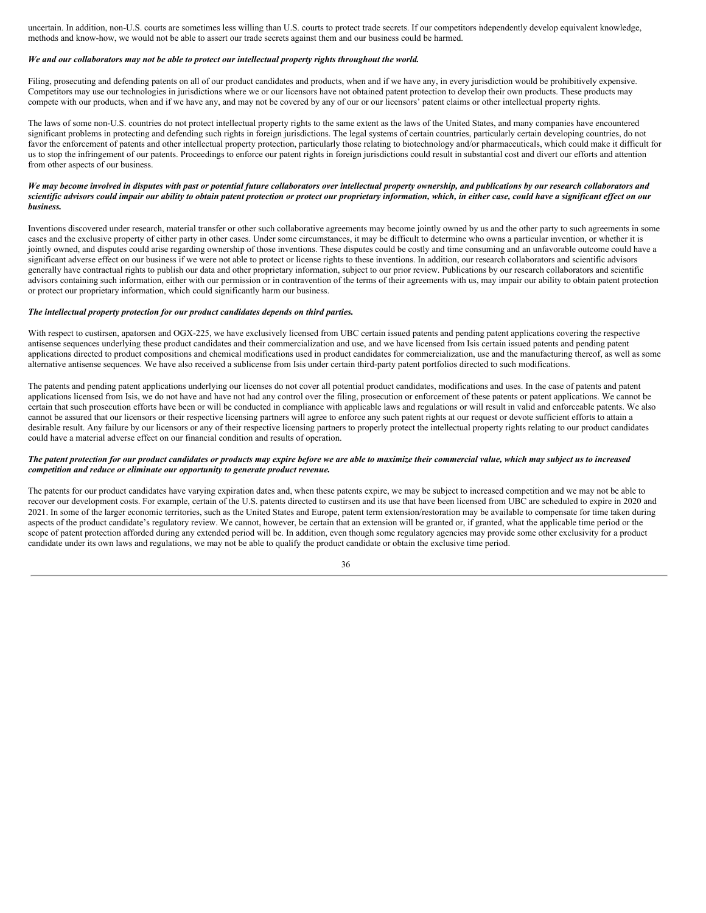uncertain. In addition, non-U.S. courts are sometimes less willing than U.S. courts to protect trade secrets. If our competitors independently develop equivalent knowledge, methods and know-how, we would not be able to assert our trade secrets against them and our business could be harmed.

#### We and our collaborators may not be able to protect our intellectual property rights throughout the world.

Filing, prosecuting and defending patents on all of our product candidates and products, when and if we have any, in every jurisdiction would be prohibitively expensive. Competitors may use our technologies in jurisdictions where we or our licensors have not obtained patent protection to develop their own products. These products may compete with our products, when and if we have any, and may not be covered by any of our or our licensors' patent claims or other intellectual property rights.

The laws of some non-U.S. countries do not protect intellectual property rights to the same extent as the laws of the United States, and many companies have encountered significant problems in protecting and defending such rights in foreign jurisdictions. The legal systems of certain countries, particularly certain developing countries, do not favor the enforcement of patents and other intellectual property protection, particularly those relating to biotechnology and/or pharmaceuticals, which could make it difficult for us to stop the infringement of our patents. Proceedings to enforce our patent rights in foreign jurisdictions could result in substantial cost and divert our efforts and attention from other aspects of our business.

#### We may become involved in disputes with past or potential future collaborators over intellectual property ownership, and publications by our research collaborators and scientific advisors could impair our ability to obtain patent protection or protect our proprietary information, which, in either case, could have a significant effect on our *business.*

Inventions discovered under research, material transfer or other such collaborative agreements may become jointly owned by us and the other party to such agreements in some cases and the exclusive property of either party in other cases. Under some circumstances, it may be difficult to determine who owns a particular invention, or whether it is jointly owned, and disputes could arise regarding ownership of those inventions. These disputes could be costly and time consuming and an unfavorable outcome could have a significant adverse effect on our business if we were not able to protect or license rights to these inventions. In addition, our research collaborators and scientific advisors generally have contractual rights to publish our data and other proprietary information, subject to our prior review. Publications by our research collaborators and scientific advisors containing such information, either with our permission or in contravention of the terms of their agreements with us, may impair our ability to obtain patent protection or protect our proprietary information, which could significantly harm our business.

#### *The intellectual property protection for our product candidates depends on third parties.*

With respect to custirsen, apatorsen and OGX-225, we have exclusively licensed from UBC certain issued patents and pending patent applications covering the respective antisense sequences underlying these product candidates and their commercialization and use, and we have licensed from Isis certain issued patents and pending patent applications directed to product compositions and chemical modifications used in product candidates for commercialization, use and the manufacturing thereof, as well as some alternative antisense sequences. We have also received a sublicense from Isis under certain third-party patent portfolios directed to such modifications.

The patents and pending patent applications underlying our licenses do not cover all potential product candidates, modifications and uses. In the case of patents and patent applications licensed from Isis, we do not have and have not had any control over the filing, prosecution or enforcement of these patents or patent applications. We cannot be certain that such prosecution efforts have been or will be conducted in compliance with applicable laws and regulations or will result in valid and enforceable patents. We also cannot be assured that our licensors or their respective licensing partners will agree to enforce any such patent rights at our request or devote sufficient efforts to attain a desirable result. Any failure by our licensors or any of their respective licensing partners to properly protect the intellectual property rights relating to our product candidates could have a material adverse effect on our financial condition and results of operation.

#### The patent protection for our product candidates or products may expire before we are able to maximize their commercial value, which may subject us to increased *competition and reduce or eliminate our opportunity to generate product revenue.*

The patents for our product candidates have varying expiration dates and, when these patents expire, we may be subject to increased competition and we may not be able to recover our development costs. For example, certain of the U.S. patents directed to custirsen and its use that have been licensed from UBC are scheduled to expire in 2020 and 2021. In some of the larger economic territories, such as the United States and Europe, patent term extension/restoration may be available to compensate for time taken during aspects of the product candidate's regulatory review. We cannot, however, be certain that an extension will be granted or, if granted, what the applicable time period or the scope of patent protection afforded during any extended period will be. In addition, even though some regulatory agencies may provide some other exclusivity for a product candidate under its own laws and regulations, we may not be able to qualify the product candidate or obtain the exclusive time period.

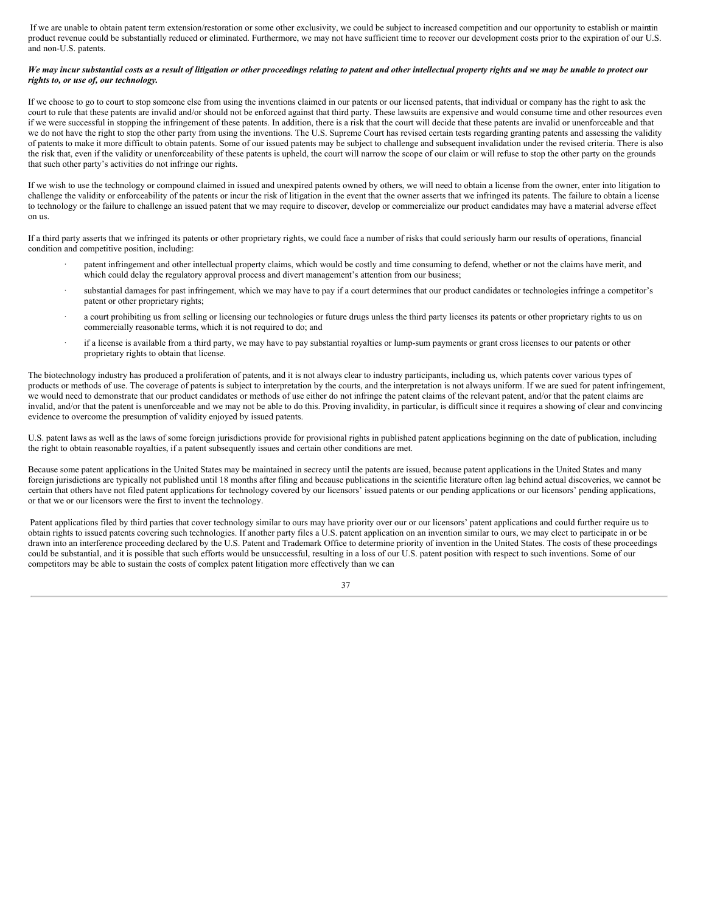If we are unable to obtain patent term extension/restoration or some other exclusivity, we could be subject to increased competition and our opportunity to establish or mainatin product revenue could be substantially reduced or eliminated. Furthermore, we may not have sufficient time to recover our development costs prior to the expiration of our U.S. and non-U.S. patents.

## We may incur substantial costs as a result of litigation or other proceedings relating to patent and other intellectual property rights and we may be unable to protect our *rights to, or use of, our technology.*

If we choose to go to court to stop someone else from using the inventions claimed in our patents or our licensed patents, that individual or company has the right to ask the court to rule that these patents are invalid and/or should not be enforced against that third party. These lawsuits are expensive and would consume time and other resources even if we were successful in stopping the infringement of these patents. In addition, there is a risk that the court will decide that these patents are invalid or unenforceable and that we do not have the right to stop the other party from using the inventions. The U.S. Supreme Court has revised certain tests regarding granting patents and assessing the validity of patents to make it more difficult to obtain patents. Some of our issued patents may be subject to challenge and subsequent invalidation under the revised criteria. There is also the risk that, even if the validity or unenforceability of these patents is upheld, the court will narrow the scope of our claim or will refuse to stop the other party on the grounds that such other party's activities do not infringe our rights.

If we wish to use the technology or compound claimed in issued and unexpired patents owned by others, we will need to obtain a license from the owner, enter into litigation to challenge the validity or enforceability of the patents or incur the risk of litigation in the event that the owner asserts that we infringed its patents. The failure to obtain a license to technology or the failure to challenge an issued patent that we may require to discover, develop or commercialize our product candidates may have a material adverse effect on us.

If a third party asserts that we infringed its patents or other proprietary rights, we could face a number of risks that could seriously harm our results of operations, financial condition and competitive position, including:

- patent infringement and other intellectual property claims, which would be costly and time consuming to defend, whether or not the claims have merit, and which could delay the regulatory approval process and divert management's attention from our business;
- substantial damages for past infringement, which we may have to pay if a court determines that our product candidates or technologies infringe a competitor's patent or other proprietary rights;
- a court prohibiting us from selling or licensing our technologies or future drugs unless the third party licenses its patents or other proprietary rights to us on commercially reasonable terms, which it is not required to do; and
- · if a license is available from a third party, we may have to pay substantial royalties or lump-sum payments or grant cross licenses to our patents or other proprietary rights to obtain that license.

The biotechnology industry has produced a proliferation of patents, and it is not always clear to industry participants, including us, which patents cover various types of products or methods of use. The coverage of patents is subject to interpretation by the courts, and the interpretation is not always uniform. If we are sued for patent infringement, we would need to demonstrate that our product candidates or methods of use either do not infringe the patent claims of the relevant patent, and/or that the patent claims are invalid, and/or that the patent is unenforceable and we may not be able to do this. Proving invalidity, in particular, is difficult since it requires a showing of clear and convincing evidence to overcome the presumption of validity enjoyed by issued patents.

U.S. patent laws as well as the laws of some foreign jurisdictions provide for provisional rights in published patent applications beginning on the date of publication, including the right to obtain reasonable royalties, if a patent subsequently issues and certain other conditions are met.

Because some patent applications in the United States may be maintained in secrecy until the patents are issued, because patent applications in the United States and many foreign jurisdictions are typically not published until 18 months after filing and because publications in the scientific literature often lag behind actual discoveries, we cannot be certain that others have not filed patent applications for technology covered by our licensors' issued patents or our pending applications or our licensors' pending applications, or that we or our licensors were the first to invent the technology.

Patent applications filed by third parties that cover technology similar to ours may have priority over our or our licensors' patent applications and could further require us to obtain rights to issued patents covering such technologies. If another party files a U.S. patent application on an invention similar to ours, we may elect to participate in or be drawn into an interference proceeding declared by the U.S. Patent and Trademark Office to determine priority of invention in the United States. The costs of these proceedings could be substantial, and it is possible that such efforts would be unsuccessful, resulting in a loss of our U.S. patent position with respect to such inventions. Some of our competitors may be able to sustain the costs of complex patent litigation more effectively than we can

37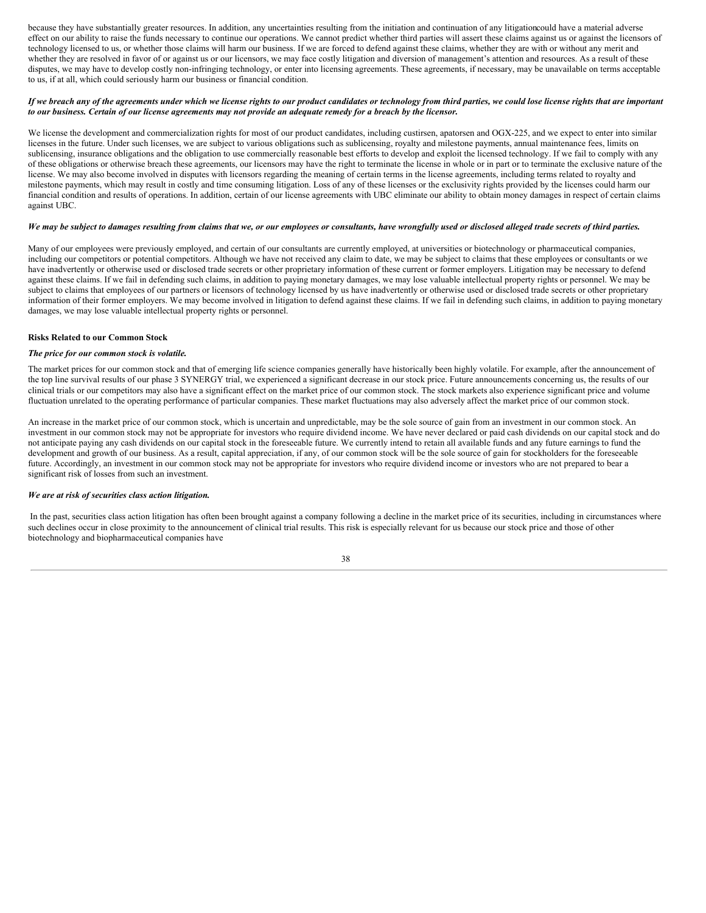because they have substantially greater resources. In addition, any uncertainties resulting from the initiation and continuation of any litigationcould have a material adverse effect on our ability to raise the funds necessary to continue our operations. We cannot predict whether third parties will assert these claims against us or against the licensors of technology licensed to us, or whether those claims will harm our business. If we are forced to defend against these claims, whether they are with or without any merit and whether they are resolved in favor of or against us or our licensors, we may face costly litigation and diversion of management's attention and resources. As a result of these disputes, we may have to develop costly non-infringing technology, or enter into licensing agreements. These agreements, if necessary, may be unavailable on terms acceptable to us, if at all, which could seriously harm our business or financial condition.

## If we breach any of the agreements under which we license rights to our product candidates or technology from third parties, we could lose license rights that are important to our business. Certain of our license agreements may not provide an adequate remedy for a breach by the licensor.

We license the development and commercialization rights for most of our product candidates, including custirsen, apatorsen and OGX-225, and we expect to enter into similar licenses in the future. Under such licenses, we are subject to various obligations such as sublicensing, royalty and milestone payments, annual maintenance fees, limits on sublicensing, insurance obligations and the obligation to use commercially reasonable best efforts to develop and exploit the licensed technology. If we fail to comply with any of these obligations or otherwise breach these agreements, our licensors may have the right to terminate the license in whole or in part or to terminate the exclusive nature of the license. We may also become involved in disputes with licensors regarding the meaning of certain terms in the license agreements, including terms related to royalty and milestone payments, which may result in costly and time consuming litigation. Loss of any of these licenses or the exclusivity rights provided by the licenses could harm our financial condition and results of operations. In addition, certain of our license agreements with UBC eliminate our ability to obtain money damages in respect of certain claims against UBC.

### We may be subject to damages resulting from claims that we, or our employees or consultants, have wrongfully used or disclosed alleged trade secrets of third parties.

Many of our employees were previously employed, and certain of our consultants are currently employed, at universities or biotechnology or pharmaceutical companies, including our competitors or potential competitors. Although we have not received any claim to date, we may be subject to claims that these employees or consultants or we have inadvertently or otherwise used or disclosed trade secrets or other proprietary information of these current or former employers. Litigation may be necessary to defend against these claims. If we fail in defending such claims, in addition to paying monetary damages, we may lose valuable intellectual property rights or personnel. We may be subject to claims that employees of our partners or licensors of technology licensed by us have inadvertently or otherwise used or disclosed trade secrets or other proprietary information of their former employers. We may become involved in litigation to defend against these claims. If we fail in defending such claims, in addition to paying monetary damages, we may lose valuable intellectual property rights or personnel.

## **Risks Related to our Common Stock**

## *The price for our common stock is volatile.*

The market prices for our common stock and that of emerging life science companies generally have historically been highly volatile. For example, after the announcement of the top line survival results of our phase 3 SYNERGY trial, we experienced a significant decrease in our stock price. Future announcements concerning us, the results of our clinical trials or our competitors may also have a significant effect on the market price of our common stock. The stock markets also experience significant price and volume fluctuation unrelated to the operating performance of particular companies. These market fluctuations may also adversely affect the market price of our common stock.

An increase in the market price of our common stock, which is uncertain and unpredictable, may be the sole source of gain from an investment in our common stock. An investment in our common stock may not be appropriate for investors who require dividend income. We have never declared or paid cash dividends on our capital stock and do not anticipate paying any cash dividends on our capital stock in the foreseeable future. We currently intend to retain all available funds and any future earnings to fund the development and growth of our business. As a result, capital appreciation, if any, of our common stock will be the sole source of gain for stockholders for the foreseeable future. Accordingly, an investment in our common stock may not be appropriate for investors who require dividend income or investors who are not prepared to bear a significant risk of losses from such an investment.

#### *We are at risk of securities class action litigation.*

In the past, securities class action litigation has often been brought against a company following a decline in the market price of its securities, including in circumstances where such declines occur in close proximity to the announcement of clinical trial results. This risk is especially relevant for us because our stock price and those of other biotechnology and biopharmaceutical companies have

#### 38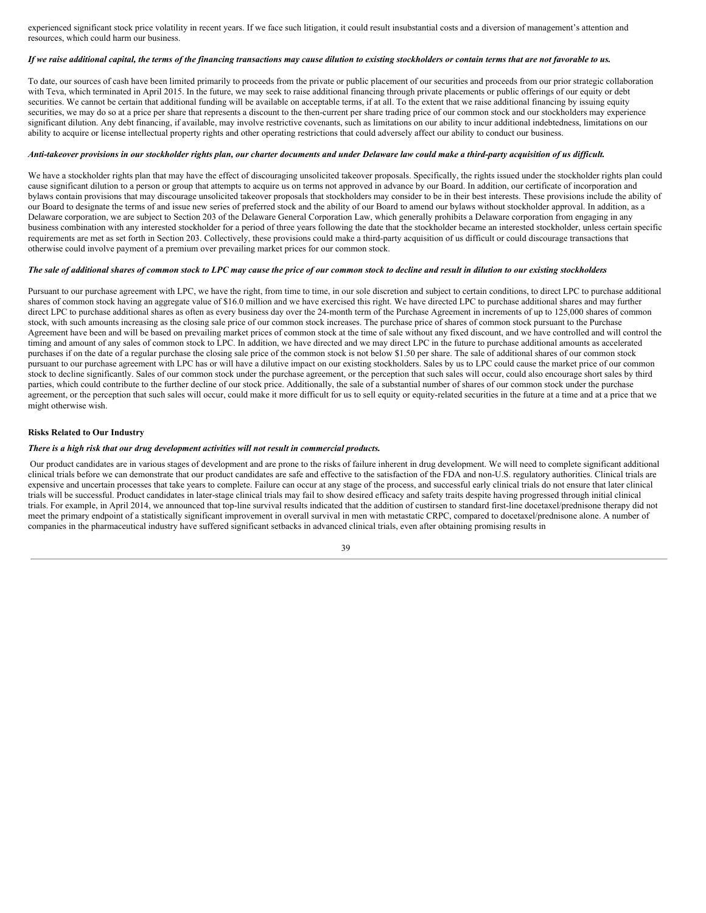experienced significant stock price volatility in recent years. If we face such litigation, it could result insubstantial costs and a diversion of management's attention and resources, which could harm our business.

### If we raise additional capital, the terms of the financing transactions may cause dilution to existing stockholders or contain terms that are not favorable to us.

To date, our sources of cash have been limited primarily to proceeds from the private or public placement of our securities and proceeds from our prior strategic collaboration with Teva, which terminated in April 2015. In the future, we may seek to raise additional financing through private placements or public offerings of our equity or debt securities. We cannot be certain that additional funding will be available on acceptable terms, if at all. To the extent that we raise additional financing by issuing equity securities, we may do so at a price per share that represents a discount to the then-current per share trading price of our common stock and our stockholders may experience significant dilution. Any debt financing, if available, may involve restrictive covenants, such as limitations on our ability to incur additional indebtedness, limitations on our ability to acquire or license intellectual property rights and other operating restrictions that could adversely affect our ability to conduct our business.

## Anti-takeover provisions in our stockholder rights plan, our charter documents and under Delaware law could make a third-party acquisition of us difficult.

We have a stockholder rights plan that may have the effect of discouraging unsolicited takeover proposals. Specifically, the rights issued under the stockholder rights plan could cause significant dilution to a person or group that attempts to acquire us on terms not approved in advance by our Board. In addition, our certificate of incorporation and bylaws contain provisions that may discourage unsolicited takeover proposals that stockholders may consider to be in their best interests. These provisions include the ability of our Board to designate the terms of and issue new series of preferred stock and the ability of our Board to amend our bylaws without stockholder approval. In addition, as a Delaware corporation, we are subject to Section 203 of the Delaware General Corporation Law, which generally prohibits a Delaware corporation from engaging in any business combination with any interested stockholder for a period of three years following the date that the stockholder became an interested stockholder, unless certain specific requirements are met as set forth in Section 203. Collectively, these provisions could make a third-party acquisition of us difficult or could discourage transactions that otherwise could involve payment of a premium over prevailing market prices for our common stock.

### The sale of additional shares of common stock to LPC may cause the price of our common stock to decline and result in dilution to our existing stockholders

Pursuant to our purchase agreement with LPC, we have the right, from time to time, in our sole discretion and subject to certain conditions, to direct LPC to purchase additional shares of common stock having an aggregate value of \$16.0 million and we have exercised this right. We have directed LPC to purchase additional shares and may further direct LPC to purchase additional shares as often as every business day over the 24-month term of the Purchase Agreement in increments of up to 125,000 shares of common stock, with such amounts increasing as the closing sale price of our common stock increases. The purchase price of shares of common stock pursuant to the Purchase Agreement have been and will be based on prevailing market prices of common stock at the time of sale without any fixed discount, and we have controlled and will control the timing and amount of any sales of common stock to LPC. In addition, we have directed and we may direct LPC in the future to purchase additional amounts as accelerated purchases if on the date of a regular purchase the closing sale price of the common stock is not below \$1.50 per share. The sale of additional shares of our common stock pursuant to our purchase agreement with LPC has or will have a dilutive impact on our existing stockholders. Sales by us to LPC could cause the market price of our common stock to decline significantly. Sales of our common stock under the purchase agreement, or the perception that such sales will occur, could also encourage short sales by third parties, which could contribute to the further decline of our stock price. Additionally, the sale of a substantial number of shares of our common stock under the purchase agreement, or the perception that such sales will occur, could make it more difficult for us to sell equity or equity-related securities in the future at a time and at a price that we might otherwise wish.

## **Risks Related to Our Industry**

## *There is a high risk that our drug development activities will not result in commercial products.*

Our product candidates are in various stages of development and are prone to the risks of failure inherent in drug development. We will need to complete significant additional clinical trials before we can demonstrate that our product candidates are safe and effective to the satisfaction of the FDA and non-U.S. regulatory authorities. Clinical trials are expensive and uncertain processes that take years to complete. Failure can occur at any stage of the process, and successful early clinical trials do not ensure that later clinical trials will be successful. Product candidates in later-stage clinical trials may fail to show desired efficacy and safety traits despite having progressed through initial clinical trials. For example, in April 2014, we announced that top-line survival results indicated that the addition of custirsen to standard first-line docetaxel/prednisone therapy did not meet the primary endpoint of a statistically significant improvement in overall survival in men with metastatic CRPC, compared to docetaxel/prednisone alone. A number of companies in the pharmaceutical industry have suffered significant setbacks in advanced clinical trials, even after obtaining promising results in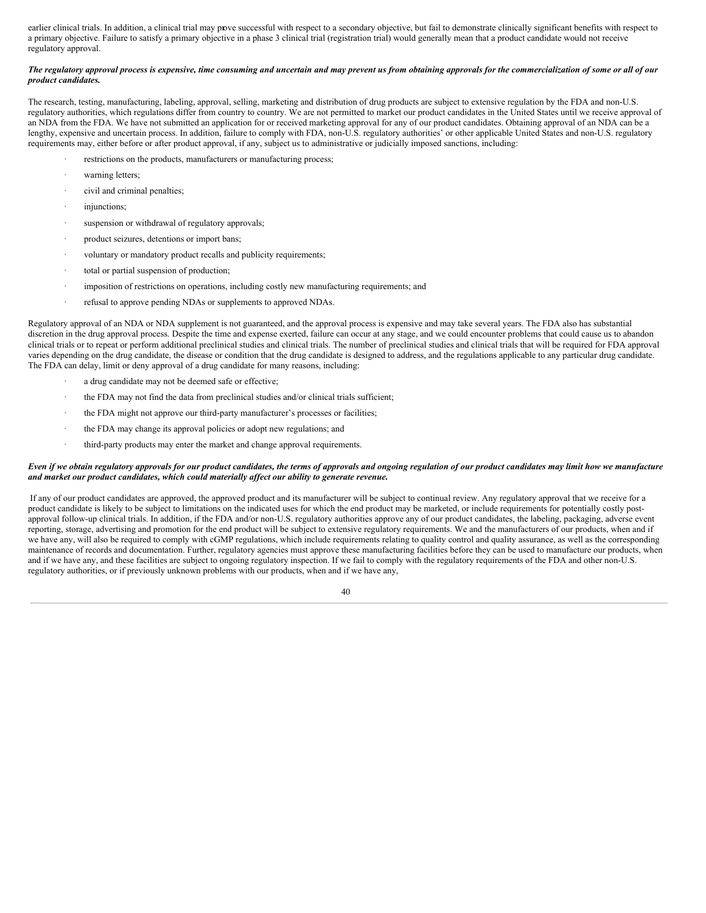earlier clinical trials. In addition, a clinical trial may prove successful with respect to a secondary objective, but fail to demonstrate clinically significant benefits with respect to a primary objective. Failure to satisfy a primary objective in a phase 3 clinical trial (registration trial) would generally mean that a product candidate would not receive regulatory approval.

## The regulatory approval process is expensive, time consuming and uncertain and may prevent us from obtaining approvals for the commercialization of some or all of our *product candidates.*

The research, testing, manufacturing, labeling, approval, selling, marketing and distribution of drug products are subject to extensive regulation by the FDA and non-U.S. regulatory authorities, which regulations differ from country to country. We are not permitted to market our product candidates in the United States until we receive approval of an NDA from the FDA. We have not submitted an application for or received marketing approval for any of our product candidates. Obtaining approval of an NDA can be a lengthy, expensive and uncertain process. In addition, failure to comply with FDA, non-U.S. regulatory authorities' or other applicable United States and non-U.S. regulatory requirements may, either before or after product approval, if any, subject us to administrative or judicially imposed sanctions, including:

- restrictions on the products, manufacturers or manufacturing process;
- warning letters;
- civil and criminal penalties;
- injunctions;
- suspension or withdrawal of regulatory approvals;
- product seizures, detentions or import bans;
- voluntary or mandatory product recalls and publicity requirements;
- total or partial suspension of production;
- imposition of restrictions on operations, including costly new manufacturing requirements; and
- · refusal to approve pending NDAs or supplements to approved NDAs.

Regulatory approval of an NDA or NDA supplement is not guaranteed, and the approval process is expensive and may take several years. The FDA also has substantial discretion in the drug approval process. Despite the time and expense exerted, failure can occur at any stage, and we could encounter problems that could cause us to abandon clinical trials or to repeat or perform additional preclinical studies and clinical trials. The number of preclinical studies and clinical trials that will be required for FDA approval varies depending on the drug candidate, the disease or condition that the drug candidate is designed to address, and the regulations applicable to any particular drug candidate. The FDA can delay, limit or deny approval of a drug candidate for many reasons, including:

- a drug candidate may not be deemed safe or effective;
- the FDA may not find the data from preclinical studies and/or clinical trials sufficient;
- the FDA might not approve our third-party manufacturer's processes or facilities;
- the FDA may change its approval policies or adopt new regulations; and
- third-party products may enter the market and change approval requirements.

### Even if we obtain regulatory approvals for our product candidates, the terms of approvals and ongoing regulation of our product candidates may limit how we manufacture *and market our product candidates, which could materially af ect our ability to generate revenue.*

If any of our product candidates are approved, the approved product and its manufacturer will be subject to continual review. Any regulatory approval that we receive for a product candidate is likely to be subject to limitations on the indicated uses for which the end product may be marketed, or include requirements for potentially costly postapproval follow-up clinical trials. In addition, if the FDA and/or non-U.S. regulatory authorities approve any of our product candidates, the labeling, packaging, adverse event reporting, storage, advertising and promotion for the end product will be subject to extensive regulatory requirements. We and the manufacturers of our products, when and if we have any, will also be required to comply with cGMP regulations, which include requirements relating to quality control and quality assurance, as well as the corresponding maintenance of records and documentation. Further, regulatory agencies must approve these manufacturing facilities before they can be used to manufacture our products, when and if we have any, and these facilities are subject to ongoing regulatory inspection. If we fail to comply with the regulatory requirements of the FDA and other non-U.S. regulatory authorities, or if previously unknown problems with our products, when and if we have any,

40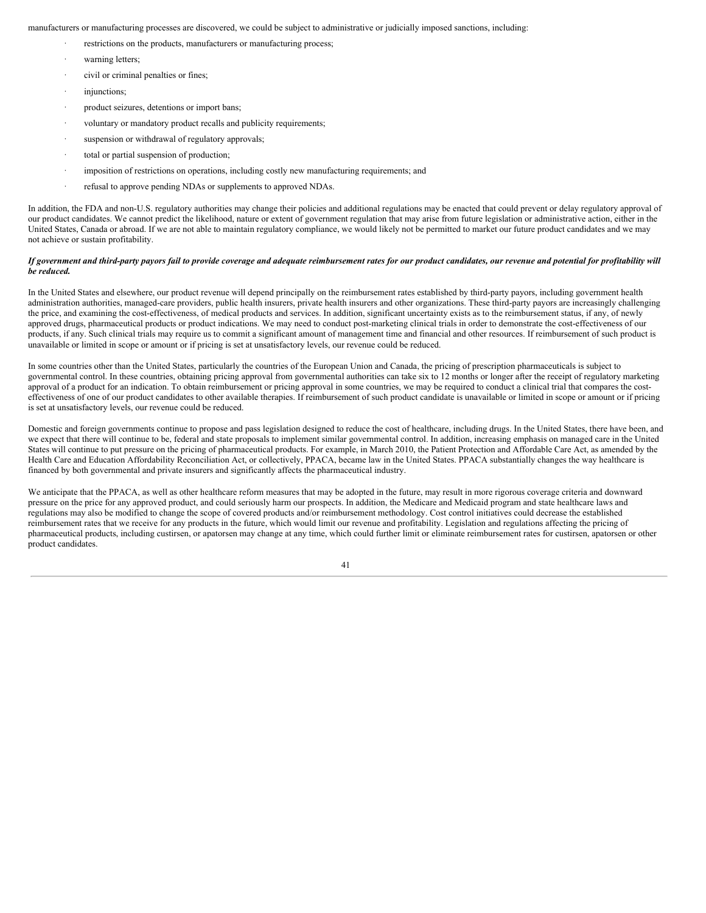manufacturers or manufacturing processes are discovered, we could be subject to administrative or judicially imposed sanctions, including:

- restrictions on the products, manufacturers or manufacturing process;
- warning letters;
- civil or criminal penalties or fines;
- injunctions;
- product seizures, detentions or import bans;
- voluntary or mandatory product recalls and publicity requirements;
- suspension or withdrawal of regulatory approvals;
- total or partial suspension of production;
- imposition of restrictions on operations, including costly new manufacturing requirements; and
- refusal to approve pending NDAs or supplements to approved NDAs.

In addition, the FDA and non-U.S. regulatory authorities may change their policies and additional regulations may be enacted that could prevent or delay regulatory approval of our product candidates. We cannot predict the likelihood, nature or extent of government regulation that may arise from future legislation or administrative action, either in the United States, Canada or abroad. If we are not able to maintain regulatory compliance, we would likely not be permitted to market our future product candidates and we may not achieve or sustain profitability.

### If government and third-party payors fail to provide coverage and adequate reimbursement rates for our product candidates, our revenue and potential for profitability will *be reduced.*

In the United States and elsewhere, our product revenue will depend principally on the reimbursement rates established by third-party payors, including government health administration authorities, managed-care providers, public health insurers, private health insurers and other organizations. These third-party payors are increasingly challenging the price, and examining the cost-effectiveness, of medical products and services. In addition, significant uncertainty exists as to the reimbursement status, if any, of newly approved drugs, pharmaceutical products or product indications. We may need to conduct post-marketing clinical trials in order to demonstrate the cost-effectiveness of our products, if any. Such clinical trials may require us to commit a significant amount of management time and financial and other resources. If reimbursement of such product is unavailable or limited in scope or amount or if pricing is set at unsatisfactory levels, our revenue could be reduced.

In some countries other than the United States, particularly the countries of the European Union and Canada, the pricing of prescription pharmaceuticals is subject to governmental control. In these countries, obtaining pricing approval from governmental authorities can take six to 12 months or longer after the receipt of regulatory marketing approval of a product for an indication. To obtain reimbursement or pricing approval in some countries, we may be required to conduct a clinical trial that compares the costeffectiveness of one of our product candidates to other available therapies. If reimbursement of such product candidate is unavailable or limited in scope or amount or if pricing is set at unsatisfactory levels, our revenue could be reduced.

Domestic and foreign governments continue to propose and pass legislation designed to reduce the cost of healthcare, including drugs. In the United States, there have been, and we expect that there will continue to be, federal and state proposals to implement similar governmental control. In addition, increasing emphasis on managed care in the United States will continue to put pressure on the pricing of pharmaceutical products. For example, in March 2010, the Patient Protection and Affordable Care Act, as amended by the Health Care and Education Affordability Reconciliation Act, or collectively, PPACA, became law in the United States. PPACA substantially changes the way healthcare is financed by both governmental and private insurers and significantly affects the pharmaceutical industry.

We anticipate that the PPACA, as well as other healthcare reform measures that may be adopted in the future, may result in more rigorous coverage criteria and downward pressure on the price for any approved product, and could seriously harm our prospects. In addition, the Medicare and Medicaid program and state healthcare laws and regulations may also be modified to change the scope of covered products and/or reimbursement methodology. Cost control initiatives could decrease the established reimbursement rates that we receive for any products in the future, which would limit our revenue and profitability. Legislation and regulations affecting the pricing of pharmaceutical products, including custirsen, or apatorsen may change at any time, which could further limit or eliminate reimbursement rates for custirsen, apatorsen or other product candidates.

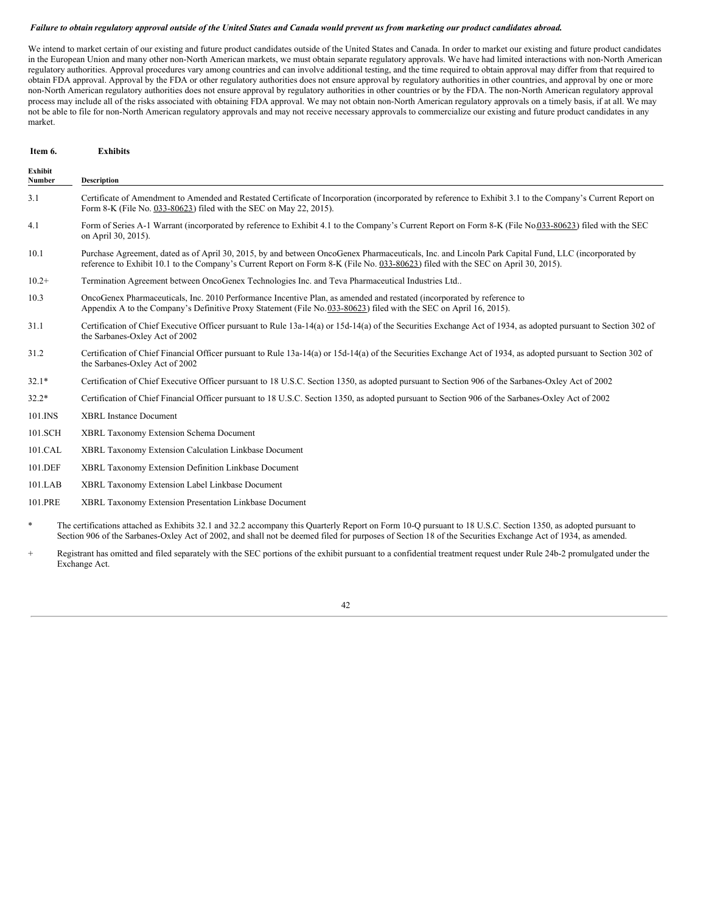### Failure to obtain regulatory approval outside of the United States and Canada would prevent us from marketing our product candidates abroad.

We intend to market certain of our existing and future product candidates outside of the United States and Canada. In order to market our existing and future product candidates in the European Union and many other non-North American markets, we must obtain separate regulatory approvals. We have had limited interactions with non-North American regulatory authorities. Approval procedures vary among countries and can involve additional testing, and the time required to obtain approval may differ from that required to obtain FDA approval. Approval by the FDA or other regulatory authorities does not ensure approval by regulatory authorities in other countries, and approval by one or more non-North American regulatory authorities does not ensure approval by regulatory authorities in other countries or by the FDA. The non-North American regulatory approval process may include all of the risks associated with obtaining FDA approval. We may not obtain non-North American regulatory approvals on a timely basis, if at all. We may not be able to file for non-North American regulatory approvals and may not receive necessary approvals to commercialize our existing and future product candidates in any market.

| Item 6.           | <b>Exhibits</b>                                                                                                                                                                                                                                                                         |  |  |
|-------------------|-----------------------------------------------------------------------------------------------------------------------------------------------------------------------------------------------------------------------------------------------------------------------------------------|--|--|
| Exhibit<br>Number | <b>Description</b>                                                                                                                                                                                                                                                                      |  |  |
| 3.1               | Certificate of Amendment to Amended and Restated Certificate of Incorporation (incorporated by reference to Exhibit 3.1 to the Company's Current Report on<br>Form 8-K (File No. 033-80623) filed with the SEC on May 22, 2015).                                                        |  |  |
| 4.1               | Form of Series A-1 Warrant (incorporated by reference to Exhibit 4.1 to the Company's Current Report on Form 8-K (File No.033-80623) filed with the SEC<br>on April 30, 2015).                                                                                                          |  |  |
| 10.1              | Purchase Agreement, dated as of April 30, 2015, by and between OncoGenex Pharmaceuticals, Inc. and Lincoln Park Capital Fund, LLC (incorporated by<br>reference to Exhibit 10.1 to the Company's Current Report on Form 8-K (File No. 033-80623) filed with the SEC on April 30, 2015). |  |  |
| $10.2+$           | Termination Agreement between OncoGenex Technologies Inc. and Teva Pharmaceutical Industries Ltd                                                                                                                                                                                        |  |  |
| 10.3              | OncoGenex Pharmaceuticals, Inc. 2010 Performance Incentive Plan, as amended and restated (incorporated by reference to<br>Appendix A to the Company's Definitive Proxy Statement (File No.033-80623) filed with the SEC on April 16, 2015).                                             |  |  |
| 31.1              | Certification of Chief Executive Officer pursuant to Rule 13a-14(a) or 15d-14(a) of the Securities Exchange Act of 1934, as adopted pursuant to Section 302 of<br>the Sarbanes-Oxley Act of 2002                                                                                        |  |  |
| 31.2              | Certification of Chief Financial Officer pursuant to Rule 13a-14(a) or 15d-14(a) of the Securities Exchange Act of 1934, as adopted pursuant to Section 302 of<br>the Sarbanes-Oxley Act of 2002                                                                                        |  |  |
| $32.1*$           | Certification of Chief Executive Officer pursuant to 18 U.S.C. Section 1350, as adopted pursuant to Section 906 of the Sarbanes-Oxley Act of 2002                                                                                                                                       |  |  |
| $32.2*$           | Certification of Chief Financial Officer pursuant to 18 U.S.C. Section 1350, as adopted pursuant to Section 906 of the Sarbanes-Oxley Act of 2002                                                                                                                                       |  |  |
| 101.INS           | <b>XBRL Instance Document</b>                                                                                                                                                                                                                                                           |  |  |
| 101.SCH           | XBRL Taxonomy Extension Schema Document                                                                                                                                                                                                                                                 |  |  |
| 101.CAL           | XBRL Taxonomy Extension Calculation Linkbase Document                                                                                                                                                                                                                                   |  |  |
| 101.DEF           | XBRL Taxonomy Extension Definition Linkbase Document                                                                                                                                                                                                                                    |  |  |
| 101.LAB           | XBRL Taxonomy Extension Label Linkbase Document                                                                                                                                                                                                                                         |  |  |
| 101.PRE           | XBRL Taxonomy Extension Presentation Linkbase Document                                                                                                                                                                                                                                  |  |  |
| $\ast$            | The certifications attached as Exhibits 32.1 and 32.2 accompany this Quarterly Report on Form 10-Q pursuant to 18 U.S.C. Section 1350, as adopted pursuant to                                                                                                                           |  |  |

Section 906 of the Sarbanes-Oxley Act of 2002, and shall not be deemed filed for purposes of Section 18 of the Securities Exchange Act of 1934, as amended. Registrant has omitted and filed separately with the SEC portions of the exhibit pursuant to a confidential treatment request under Rule 24b-2 promulgated under the Exchange Act.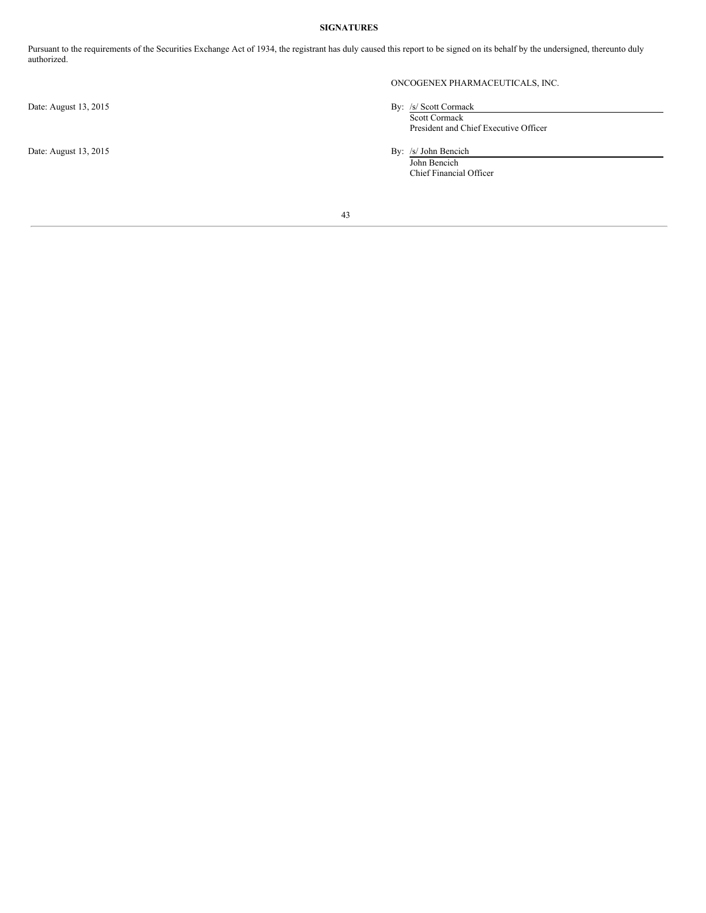## **SIGNATURES**

Pursuant to the requirements of the Securities Exchange Act of 1934, the registrant has duly caused this report to be signed on its behalf by the undersigned, thereunto duly authorized.

Date: August 13, 2015 By: /s/ John Bencich

# ONCOGENEX PHARMACEUTICALS, INC.

- Date: August 13, 2015 By: /s/ Scott Cormack Scott Cormack President and Chief Executive Officer
	-

John Bencich Chief Financial Officer

43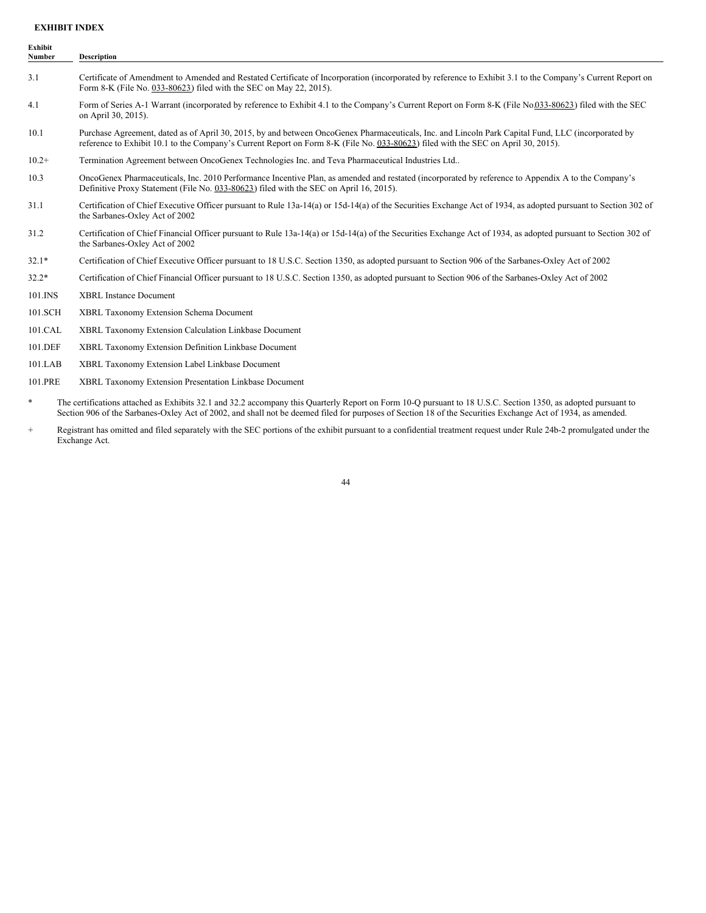## **EXHIBIT INDEX**

| Exhibit<br><b>Number</b> | <b>Description</b>                                                                                                                                                                                                                                                                      |  |
|--------------------------|-----------------------------------------------------------------------------------------------------------------------------------------------------------------------------------------------------------------------------------------------------------------------------------------|--|
| 3.1                      | Certificate of Amendment to Amended and Restated Certificate of Incorporation (incorporated by reference to Exhibit 3.1 to the Company's Current Report on<br>Form 8-K (File No. 033-80623) filed with the SEC on May 22, 2015).                                                        |  |
| 4.1                      | Form of Series A-1 Warrant (incorporated by reference to Exhibit 4.1 to the Company's Current Report on Form 8-K (File No.033-80623) filed with the SEC<br>on April 30, 2015).                                                                                                          |  |
| 10.1                     | Purchase Agreement, dated as of April 30, 2015, by and between OncoGenex Pharmaceuticals, Inc. and Lincoln Park Capital Fund, LLC (incorporated by<br>reference to Exhibit 10.1 to the Company's Current Report on Form 8-K (File No. 033-80623) filed with the SEC on April 30, 2015). |  |
| $10.2+$                  | Termination Agreement between OncoGenex Technologies Inc. and Teva Pharmaceutical Industries Ltd                                                                                                                                                                                        |  |
| 10.3                     | OncoGenex Pharmaceuticals, Inc. 2010 Performance Incentive Plan, as amended and restated (incorporated by reference to Appendix A to the Company's<br>Definitive Proxy Statement (File No. 033-80623) filed with the SEC on April 16, 2015).                                            |  |
| 31.1                     | Certification of Chief Executive Officer pursuant to Rule 13a-14(a) or 15d-14(a) of the Securities Exchange Act of 1934, as adopted pursuant to Section 302 of<br>the Sarbanes-Oxley Act of 2002                                                                                        |  |
| 31.2                     | Certification of Chief Financial Officer pursuant to Rule 13a-14(a) or 15d-14(a) of the Securities Exchange Act of 1934, as adopted pursuant to Section 302 of<br>the Sarbanes-Oxley Act of 2002                                                                                        |  |
| $32.1*$                  | Certification of Chief Executive Officer pursuant to 18 U.S.C. Section 1350, as adopted pursuant to Section 906 of the Sarbanes-Oxley Act of 2002                                                                                                                                       |  |
| $32.2*$                  | Certification of Chief Financial Officer pursuant to 18 U.S.C. Section 1350, as adopted pursuant to Section 906 of the Sarbanes-Oxley Act of 2002                                                                                                                                       |  |
| 101.INS                  | <b>XBRL Instance Document</b>                                                                                                                                                                                                                                                           |  |
| 101.SCH                  | <b>XBRL Taxonomy Extension Schema Document</b>                                                                                                                                                                                                                                          |  |
| 101.CAL                  | XBRL Taxonomy Extension Calculation Linkbase Document                                                                                                                                                                                                                                   |  |
| 101.DEF                  | XBRL Taxonomy Extension Definition Linkbase Document                                                                                                                                                                                                                                    |  |
| 101.LAB                  | XBRL Taxonomy Extension Label Linkbase Document                                                                                                                                                                                                                                         |  |
| 101.PRE                  | XBRL Taxonomy Extension Presentation Linkbase Document                                                                                                                                                                                                                                  |  |

- \* The certifications attached as Exhibits 32.1 and 32.2 accompany this Quarterly Report on Form 10-Q pursuant to 18 U.S.C. Section 1350, as adopted pursuant to Section 906 of the Sarbanes-Oxley Act of 2002, and shall not be deemed filed for purposes of Section 18 of the Securities Exchange Act of 1934, as amended.
- + Registrant has omitted and filed separately with the SEC portions of the exhibit pursuant to a confidential treatment request under Rule 24b-2 promulgated under the Exchange Act.

44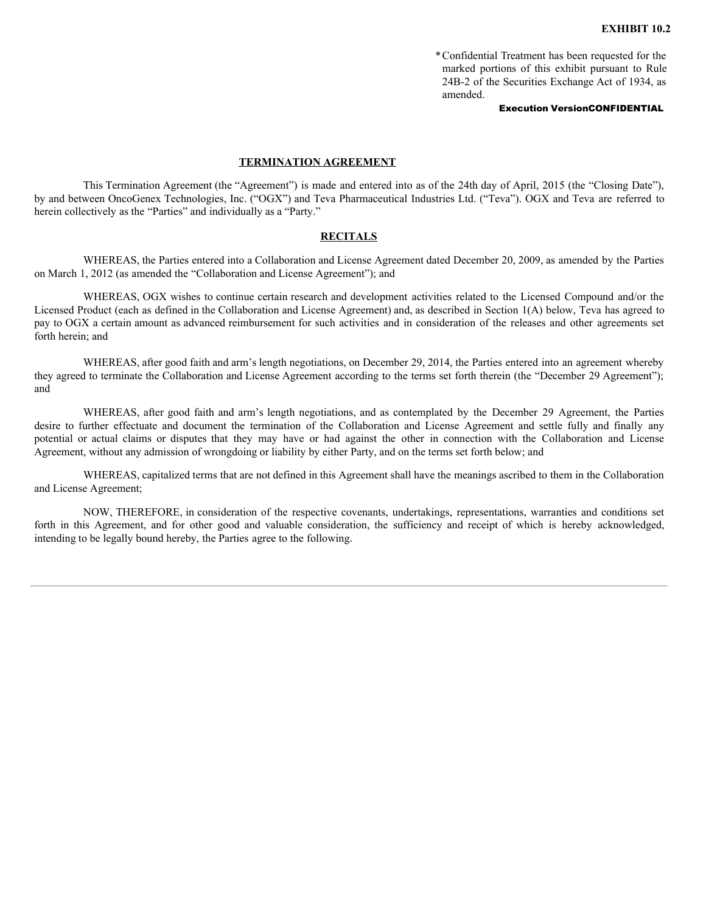\*Confidential Treatment has been requested for the marked portions of this exhibit pursuant to Rule 24B-2 of the Securities Exchange Act of 1934, as amended.

## Execution VersionCONFIDENTIAL

## **TERMINATION AGREEMENT**

This Termination Agreement (the "Agreement") is made and entered into as of the 24th day of April, 2015 (the "Closing Date"), by and between OncoGenex Technologies, Inc. ("OGX") and Teva Pharmaceutical Industries Ltd. ("Teva"). OGX and Teva are referred to herein collectively as the "Parties" and individually as a "Party."

## **RECITALS**

WHEREAS, the Parties entered into a Collaboration and License Agreement dated December 20, 2009, as amended by the Parties on March 1, 2012 (as amended the "Collaboration and License Agreement"); and

WHEREAS, OGX wishes to continue certain research and development activities related to the Licensed Compound and/or the Licensed Product (each as defined in the Collaboration and License Agreement) and, as described in Section 1(A) below, Teva has agreed to pay to OGX a certain amount as advanced reimbursement for such activities and in consideration of the releases and other agreements set forth herein; and

WHEREAS, after good faith and arm's length negotiations, on December 29, 2014, the Parties entered into an agreement whereby they agreed to terminate the Collaboration and License Agreement according to the terms set forth therein (the "December 29 Agreement"); and

WHEREAS, after good faith and arm's length negotiations, and as contemplated by the December 29 Agreement, the Parties desire to further effectuate and document the termination of the Collaboration and License Agreement and settle fully and finally any potential or actual claims or disputes that they may have or had against the other in connection with the Collaboration and License Agreement, without any admission of wrongdoing or liability by either Party, and on the terms set forth below; and

WHEREAS, capitalized terms that are not defined in this Agreement shall have the meanings ascribed to them in the Collaboration and License Agreement;

NOW, THEREFORE, in consideration of the respective covenants, undertakings, representations, warranties and conditions set forth in this Agreement, and for other good and valuable consideration, the sufficiency and receipt of which is hereby acknowledged, intending to be legally bound hereby, the Parties agree to the following.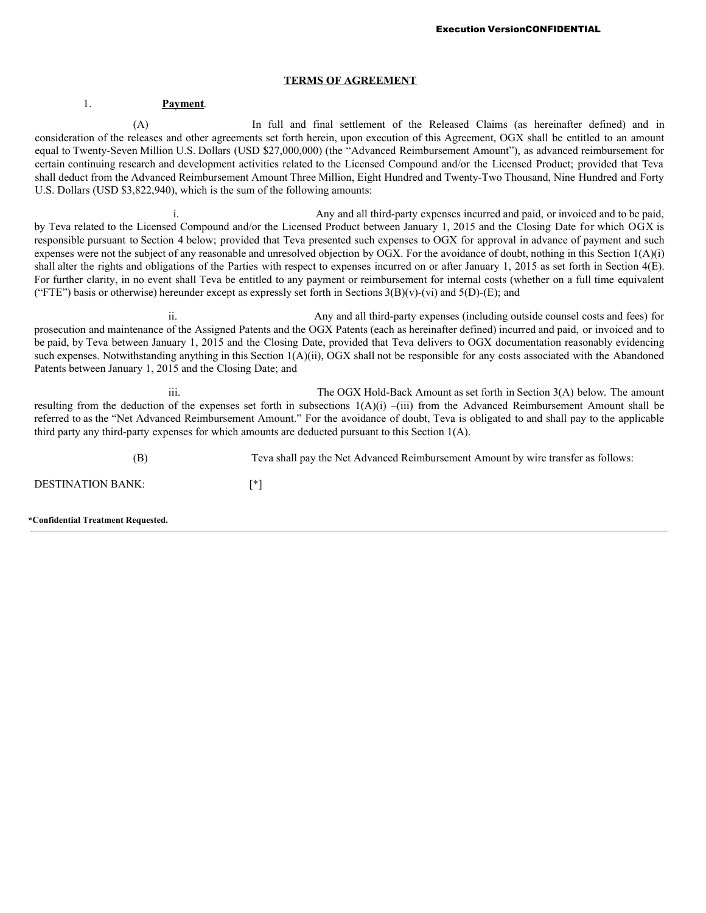## **TERMS OF AGREEMENT**

## 1. **Payment**.

(A) In full and final settlement of the Released Claims (as hereinafter defined) and in consideration of the releases and other agreements set forth herein, upon execution of this Agreement, OGX shall be entitled to an amount equal to Twenty-Seven Million U.S. Dollars (USD \$27,000,000) (the "Advanced Reimbursement Amount"), as advanced reimbursement for certain continuing research and development activities related to the Licensed Compound and/or the Licensed Product; provided that Teva shall deduct from the Advanced Reimbursement Amount Three Million, Eight Hundred and Twenty-Two Thousand, Nine Hundred and Forty U.S. Dollars (USD \$3,822,940), which is the sum of the following amounts:

i. Any and all third-party expenses incurred and paid, or invoiced and to be paid, by Teva related to the Licensed Compound and/or the Licensed Product between January 1, 2015 and the Closing Date for which OGX is responsible pursuant to Section 4 below; provided that Teva presented such expenses to OGX for approval in advance of payment and such expenses were not the subject of any reasonable and unresolved objection by OGX. For the avoidance of doubt, nothing in this Section 1(A)(i) shall alter the rights and obligations of the Parties with respect to expenses incurred on or after January 1, 2015 as set forth in Section 4(E). For further clarity, in no event shall Teva be entitled to any payment or reimbursement for internal costs (whether on a full time equivalent ("FTE") basis or otherwise) hereunder except as expressly set forth in Sections  $3(B)(v)$ -(vi) and  $5(D)$ -(E); and

Any and all third-party expenses (including outside counsel costs and fees) for prosecution and maintenance of the Assigned Patents and the OGX Patents (each as hereinafter defined) incurred and paid, or invoiced and to be paid, by Teva between January 1, 2015 and the Closing Date, provided that Teva delivers to OGX documentation reasonably evidencing such expenses. Notwithstanding anything in this Section 1(A)(ii), OGX shall not be responsible for any costs associated with the Abandoned Patents between January 1, 2015 and the Closing Date; and

iii. The OGX Hold-Back Amount as set forth in Section 3(A) below. The amount resulting from the deduction of the expenses set forth in subsections  $1(A)(i)$  –(iii) from the Advanced Reimbursement Amount shall be referred to as the "Net Advanced Reimbursement Amount." For the avoidance of doubt, Teva is obligated to and shall pay to the applicable third party any third-party expenses for which amounts are deducted pursuant to this Section 1(A).

(B) Teva shall pay the Net Advanced Reimbursement Amount by wire transfer as follows: DESTINATION BANK: [\*]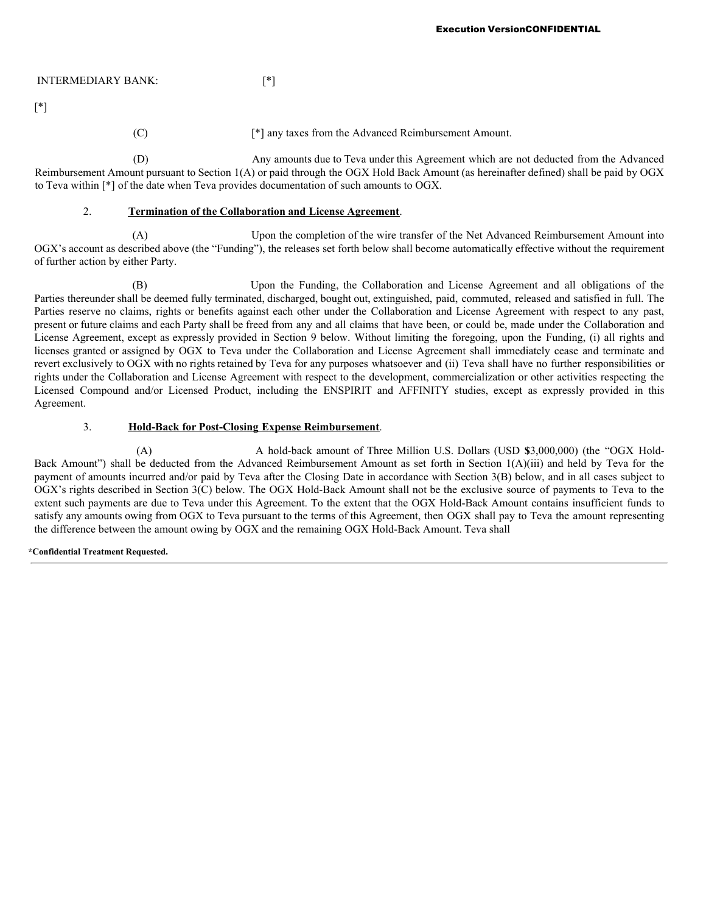# INTERMEDIARY BANK: [\*]

[\*]

(C) [\*] any taxes from the Advanced Reimbursement Amount.

(D) Any amounts due to Teva under this Agreement which are not deducted from the Advanced Reimbursement Amount pursuant to Section 1(A) or paid through the OGX Hold Back Amount (as hereinafter defined) shall be paid by OGX to Teva within [\*] of the date when Teva provides documentation of such amounts to OGX.

# 2. **Termination of the Collaboration and License Agreement**.

(A) Upon the completion of the wire transfer of the Net Advanced Reimbursement Amount into OGX's account as described above (the "Funding"), the releases set forth below shall become automatically effective without the requirement of further action by either Party.

Upon the Funding, the Collaboration and License Agreement and all obligations of the Parties thereunder shall be deemed fully terminated, discharged, bought out, extinguished, paid, commuted, released and satisfied in full. The Parties reserve no claims, rights or benefits against each other under the Collaboration and License Agreement with respect to any past, present or future claims and each Party shall be freed from any and all claims that have been, or could be, made under the Collaboration and License Agreement, except as expressly provided in Section 9 below. Without limiting the foregoing, upon the Funding, (i) all rights and licenses granted or assigned by OGX to Teva under the Collaboration and License Agreement shall immediately cease and terminate and revert exclusively to OGX with no rights retained by Teva for any purposes whatsoever and (ii) Teva shall have no further responsibilities or rights under the Collaboration and License Agreement with respect to the development, commercialization or other activities respecting the Licensed Compound and/or Licensed Product, including the ENSPIRIT and AFFINITY studies, except as expressly provided in this Agreement.

# 3. **Hold-Back for Post-Closing Expense Reimbursement**.

(A) A hold-back amount of Three Million U.S. Dollars (USD **\$**3,000,000) (the "OGX Hold-Back Amount") shall be deducted from the Advanced Reimbursement Amount as set forth in Section 1(A)(iii) and held by Teva for the payment of amounts incurred and/or paid by Teva after the Closing Date in accordance with Section 3(B) below, and in all cases subject to OGX's rights described in Section 3(C) below. The OGX Hold-Back Amount shall not be the exclusive source of payments to Teva to the extent such payments are due to Teva under this Agreement. To the extent that the OGX Hold-Back Amount contains insufficient funds to satisfy any amounts owing from OGX to Teva pursuant to the terms of this Agreement, then OGX shall pay to Teva the amount representing the difference between the amount owing by OGX and the remaining OGX Hold-Back Amount. Teva shall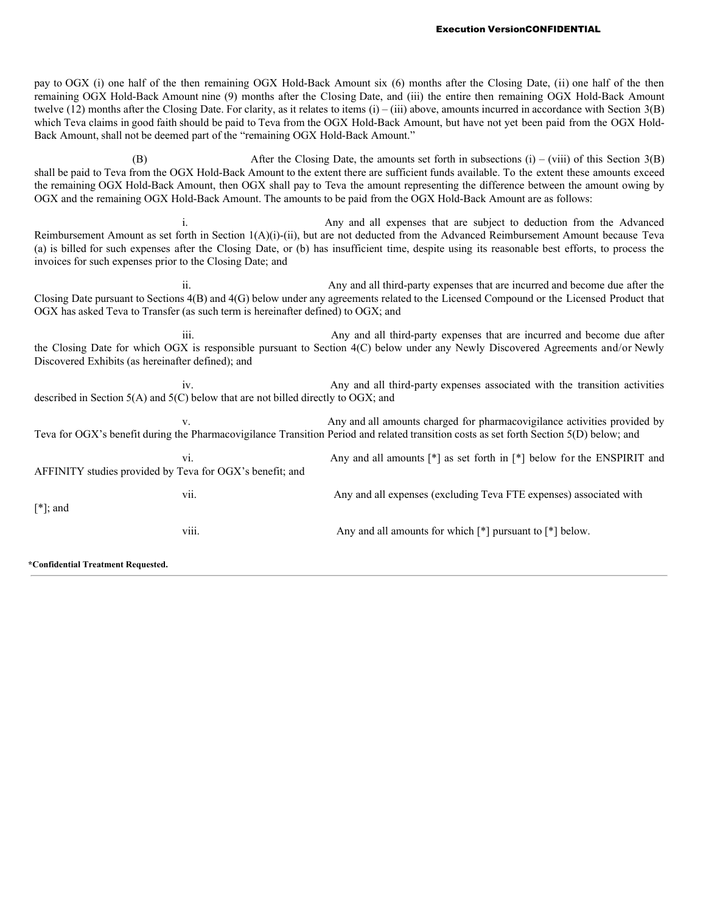pay to OGX (i) one half of the then remaining OGX Hold-Back Amount six (6) months after the Closing Date, (ii) one half of the then remaining OGX Hold-Back Amount nine (9) months after the Closing Date, and (iii) the entire then remaining OGX Hold-Back Amount twelve (12) months after the Closing Date. For clarity, as it relates to items  $(i) - (iii)$  above, amounts incurred in accordance with Section 3(B) which Teva claims in good faith should be paid to Teva from the OGX Hold-Back Amount, but have not yet been paid from the OGX Hold-Back Amount, shall not be deemed part of the "remaining OGX Hold-Back Amount."

(B) After the Closing Date, the amounts set forth in subsections (i) – (viii) of this Section 3(B) shall be paid to Teva from the OGX Hold-Back Amount to the extent there are sufficient funds available. To the extent these amounts exceed the remaining OGX Hold-Back Amount, then OGX shall pay to Teva the amount representing the difference between the amount owing by OGX and the remaining OGX Hold-Back Amount. The amounts to be paid from the OGX Hold-Back Amount are as follows:

i. Any and all expenses that are subject to deduction from the Advanced Reimbursement Amount as set forth in Section 1(A)(i)-(ii), but are not deducted from the Advanced Reimbursement Amount because Teva (a) is billed for such expenses after the Closing Date, or (b) has insufficient time, despite using its reasonable best efforts, to process the invoices for such expenses prior to the Closing Date; and

ii. Any and all third-party expenses that are incurred and become due after the Closing Date pursuant to Sections 4(B) and 4(G) below under any agreements related to the Licensed Compound or the Licensed Product that OGX has asked Teva to Transfer (as such term is hereinafter defined) to OGX; and

iii. Any and all third-party expenses that are incurred and become due after the Closing Date for which OGX is responsible pursuant to Section 4(C) below under any Newly Discovered Agreements and/or Newly Discovered Exhibits (as hereinafter defined); and

iv. Any and all third-party expenses associated with the transition activities described in Section 5(A) and 5(C) below that are not billed directly to OGX; and

v. Any and all amounts charged for pharmacovigilance activities provided by Teva for OGX's benefit during the Pharmacovigilance Transition Period and related transition costs as set forth Section 5(D) below; and vi. Any and all amounts [\*] as set forth in [\*] below for the ENSPIRIT and AFFINITY studies provided by Teva for OGX's benefit; and vii. Any and all expenses (excluding Teva FTE expenses) associated with [\*]; and viii. Any and all amounts for which [\*] pursuant to [\*] below.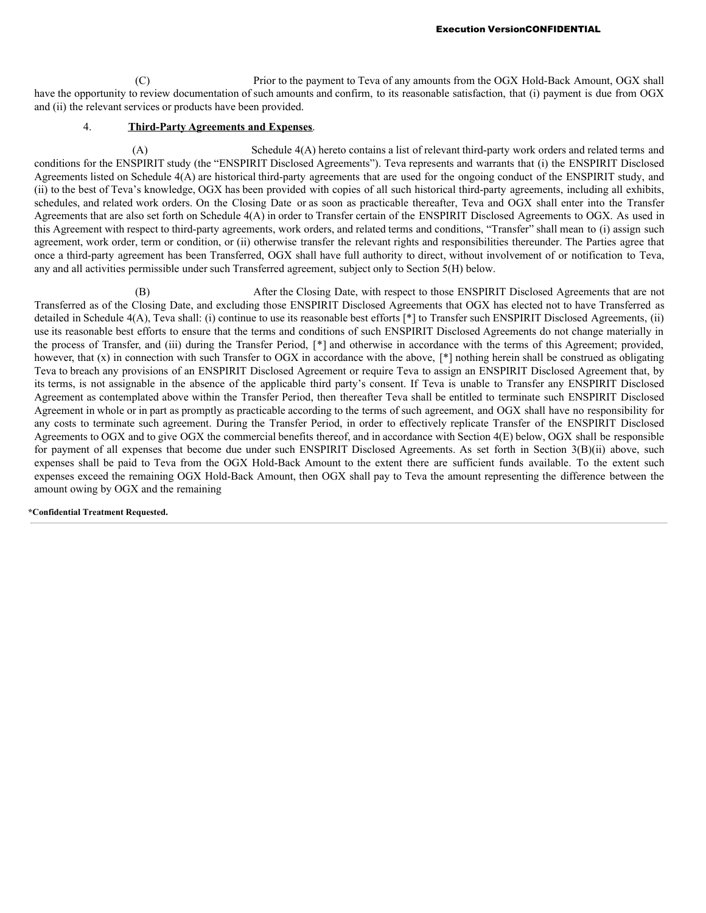(C) Prior to the payment to Teva of any amounts from the OGX Hold-Back Amount, OGX shall have the opportunity to review documentation of such amounts and confirm, to its reasonable satisfaction, that (i) payment is due from OGX and (ii) the relevant services or products have been provided.

# 4. **Third-Party Agreements and Expenses**.

(A) Schedule 4(A) hereto contains a list of relevant third-party work orders and related terms and conditions for the ENSPIRIT study (the "ENSPIRIT Disclosed Agreements"). Teva represents and warrants that (i) the ENSPIRIT Disclosed Agreements listed on Schedule 4(A) are historical third-party agreements that are used for the ongoing conduct of the ENSPIRIT study, and (ii) to the best of Teva's knowledge, OGX has been provided with copies of all such historical third-party agreements, including all exhibits, schedules, and related work orders. On the Closing Date or as soon as practicable thereafter, Teva and OGX shall enter into the Transfer Agreements that are also set forth on Schedule 4(A) in order to Transfer certain of the ENSPIRIT Disclosed Agreements to OGX. As used in this Agreement with respect to third-party agreements, work orders, and related terms and conditions, "Transfer" shall mean to (i) assign such agreement, work order, term or condition, or (ii) otherwise transfer the relevant rights and responsibilities thereunder. The Parties agree that once a third-party agreement has been Transferred, OGX shall have full authority to direct, without involvement of or notification to Teva, any and all activities permissible under such Transferred agreement, subject only to Section 5(H) below.

(B) After the Closing Date, with respect to those ENSPIRIT Disclosed Agreements that are not Transferred as of the Closing Date, and excluding those ENSPIRIT Disclosed Agreements that OGX has elected not to have Transferred as detailed in Schedule 4(A), Teva shall: (i) continue to use its reasonable best efforts [\*] to Transfer such ENSPIRIT Disclosed Agreements, (ii) use its reasonable best efforts to ensure that the terms and conditions of such ENSPIRIT Disclosed Agreements do not change materially in the process of Transfer, and (iii) during the Transfer Period, [\*] and otherwise in accordance with the terms of this Agreement; provided, however, that (x) in connection with such Transfer to OGX in accordance with the above, [\*] nothing herein shall be construed as obligating Teva to breach any provisions of an ENSPIRIT Disclosed Agreement or require Teva to assign an ENSPIRIT Disclosed Agreement that, by its terms, is not assignable in the absence of the applicable third party's consent. If Teva is unable to Transfer any ENSPIRIT Disclosed Agreement as contemplated above within the Transfer Period, then thereafter Teva shall be entitled to terminate such ENSPIRIT Disclosed Agreement in whole or in part as promptly as practicable according to the terms of such agreement, and OGX shall have no responsibility for any costs to terminate such agreement. During the Transfer Period, in order to effectively replicate Transfer of the ENSPIRIT Disclosed Agreements to OGX and to give OGX the commercial benefits thereof, and in accordance with Section 4(E) below, OGX shall be responsible for payment of all expenses that become due under such ENSPIRIT Disclosed Agreements. As set forth in Section 3(B)(ii) above, such expenses shall be paid to Teva from the OGX Hold-Back Amount to the extent there are sufficient funds available. To the extent such expenses exceed the remaining OGX Hold-Back Amount, then OGX shall pay to Teva the amount representing the difference between the amount owing by OGX and the remaining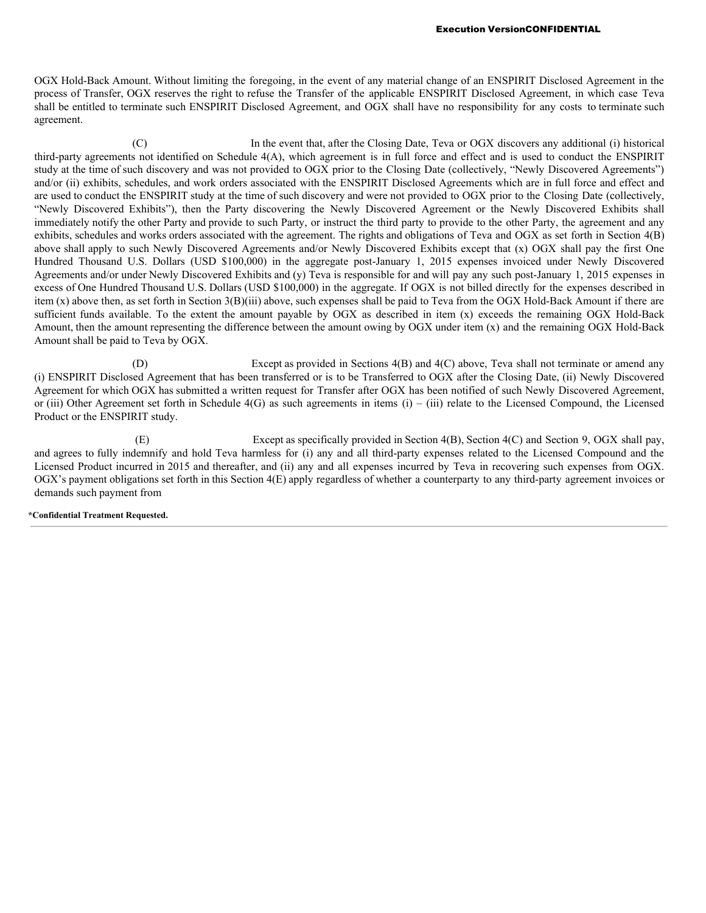OGX Hold-Back Amount. Without limiting the foregoing, in the event of any material change of an ENSPIRIT Disclosed Agreement in the process of Transfer, OGX reserves the right to refuse the Transfer of the applicable ENSPIRIT Disclosed Agreement, in which case Teva shall be entitled to terminate such ENSPIRIT Disclosed Agreement, and OGX shall have no responsibility for any costs to terminate such agreement.

(C) In the event that, after the Closing Date, Teva or OGX discovers any additional (i) historical third-party agreements not identified on Schedule 4(A), which agreement is in full force and effect and is used to conduct the ENSPIRIT study at the time of such discovery and was not provided to OGX prior to the Closing Date (collectively, "Newly Discovered Agreements") and/or (ii) exhibits, schedules, and work orders associated with the ENSPIRIT Disclosed Agreements which are in full force and effect and are used to conduct the ENSPIRIT study at the time of such discovery and were not provided to OGX prior to the Closing Date (collectively, "Newly Discovered Exhibits"), then the Party discovering the Newly Discovered Agreement or the Newly Discovered Exhibits shall immediately notify the other Party and provide to such Party, or instruct the third party to provide to the other Party, the agreement and any exhibits, schedules and works orders associated with the agreement. The rights and obligations of Teva and OGX as set forth in Section 4(B) above shall apply to such Newly Discovered Agreements and/or Newly Discovered Exhibits except that (x) OGX shall pay the first One Hundred Thousand U.S. Dollars (USD \$100,000) in the aggregate post-January 1, 2015 expenses invoiced under Newly Discovered Agreements and/or under Newly Discovered Exhibits and (y) Teva is responsible for and will pay any such post-January 1, 2015 expenses in excess of One Hundred Thousand U.S. Dollars (USD \$100,000) in the aggregate. If OGX is not billed directly for the expenses described in item (x) above then, as set forth in Section 3(B)(iii) above, such expenses shall be paid to Teva from the OGX Hold-Back Amount if there are sufficient funds available. To the extent the amount payable by OGX as described in item (x) exceeds the remaining OGX Hold-Back Amount, then the amount representing the difference between the amount owing by OGX under item (x) and the remaining OGX Hold-Back Amount shall be paid to Teva by OGX.

(D) Except as provided in Sections 4(B) and 4(C) above, Teva shall not terminate or amend any (i) ENSPIRIT Disclosed Agreement that has been transferred or is to be Transferred to OGX after the Closing Date, (ii) Newly Discovered Agreement for which OGX has submitted a written request for Transfer after OGX has been notified of such Newly Discovered Agreement, or (iii) Other Agreement set forth in Schedule  $4(G)$  as such agreements in items (i) – (iii) relate to the Licensed Compound, the Licensed Product or the ENSPIRIT study.

(E) Except as specifically provided in Section 4(B), Section 4(C) and Section 9, OGX shall pay, and agrees to fully indemnify and hold Teva harmless for (i) any and all third-party expenses related to the Licensed Compound and the Licensed Product incurred in 2015 and thereafter, and (ii) any and all expenses incurred by Teva in recovering such expenses from OGX. OGX's payment obligations set forth in this Section 4(E) apply regardless of whether a counterparty to any third-party agreement invoices or demands such payment from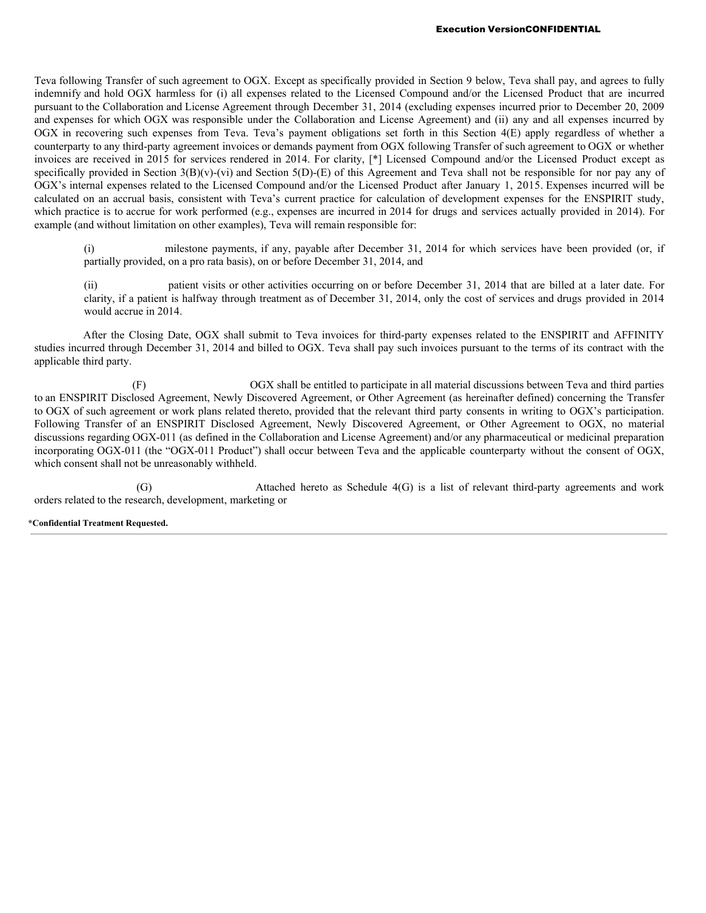Teva following Transfer of such agreement to OGX. Except as specifically provided in Section 9 below, Teva shall pay, and agrees to fully indemnify and hold OGX harmless for (i) all expenses related to the Licensed Compound and/or the Licensed Product that are incurred pursuant to the Collaboration and License Agreement through December 31, 2014 (excluding expenses incurred prior to December 20, 2009 and expenses for which OGX was responsible under the Collaboration and License Agreement) and (ii) any and all expenses incurred by OGX in recovering such expenses from Teva. Teva's payment obligations set forth in this Section 4(E) apply regardless of whether a counterparty to any third-party agreement invoices or demands payment from OGX following Transfer of such agreement to OGX or whether invoices are received in 2015 for services rendered in 2014. For clarity, [\*] Licensed Compound and/or the Licensed Product except as specifically provided in Section  $3(B)(v)$ -(vi) and Section  $5(D)$ -(E) of this Agreement and Teva shall not be responsible for nor pay any of OGX's internal expenses related to the Licensed Compound and/or the Licensed Product after January 1, 2015. Expenses incurred will be calculated on an accrual basis, consistent with Teva's current practice for calculation of development expenses for the ENSPIRIT study, which practice is to accrue for work performed (e.g., expenses are incurred in 2014 for drugs and services actually provided in 2014). For example (and without limitation on other examples), Teva will remain responsible for:

milestone payments, if any, payable after December 31, 2014 for which services have been provided (or, if partially provided, on a pro rata basis), on or before December 31, 2014, and

(ii) patient visits or other activities occurring on or before December 31, 2014 that are billed at a later date. For clarity, if a patient is halfway through treatment as of December 31, 2014, only the cost of services and drugs provided in 2014 would accrue in 2014.

After the Closing Date, OGX shall submit to Teva invoices for third-party expenses related to the ENSPIRIT and AFFINITY studies incurred through December 31, 2014 and billed to OGX. Teva shall pay such invoices pursuant to the terms of its contract with the applicable third party.

(F) OGX shall be entitled to participate in all material discussions between Teva and third parties to an ENSPIRIT Disclosed Agreement, Newly Discovered Agreement, or Other Agreement (as hereinafter defined) concerning the Transfer to OGX of such agreement or work plans related thereto, provided that the relevant third party consents in writing to OGX's participation. Following Transfer of an ENSPIRIT Disclosed Agreement, Newly Discovered Agreement, or Other Agreement to OGX, no material discussions regarding OGX-011 (as defined in the Collaboration and License Agreement) and/or any pharmaceutical or medicinal preparation incorporating OGX-011 (the "OGX-011 Product") shall occur between Teva and the applicable counterparty without the consent of OGX, which consent shall not be unreasonably withheld.

(G) Attached hereto as Schedule 4(G) is a list of relevant third-party agreements and work orders related to the research, development, marketing or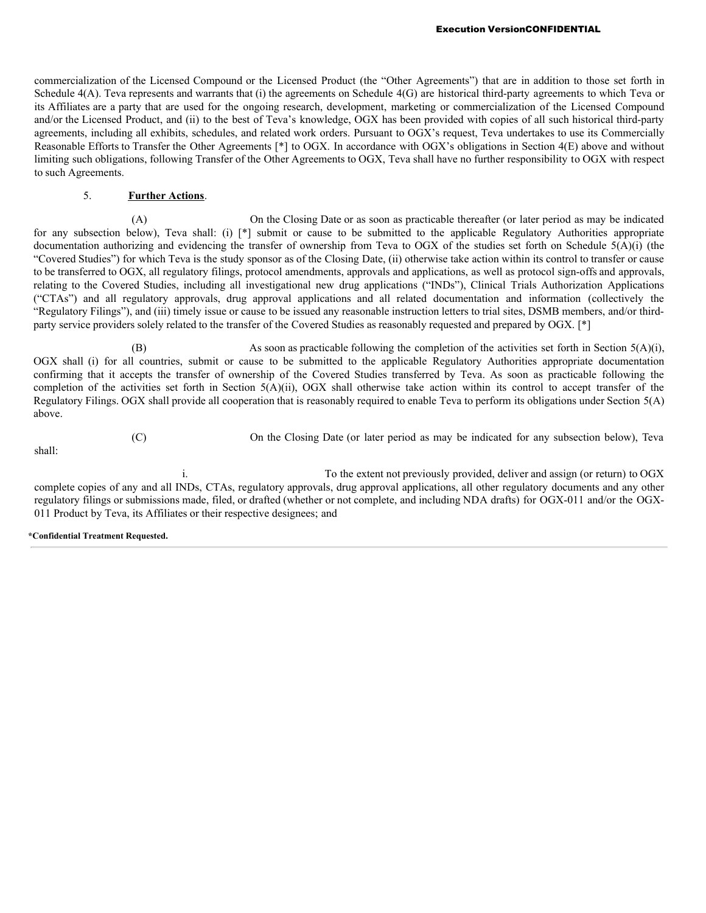commercialization of the Licensed Compound or the Licensed Product (the "Other Agreements") that are in addition to those set forth in Schedule 4(A). Teva represents and warrants that (i) the agreements on Schedule 4(G) are historical third-party agreements to which Teva or its Affiliates are a party that are used for the ongoing research, development, marketing or commercialization of the Licensed Compound and/or the Licensed Product, and (ii) to the best of Teva's knowledge, OGX has been provided with copies of all such historical third-party agreements, including all exhibits, schedules, and related work orders. Pursuant to OGX's request, Teva undertakes to use its Commercially Reasonable Efforts to Transfer the Other Agreements [\*] to OGX. In accordance with OGX's obligations in Section 4(E) above and without limiting such obligations, following Transfer of the Other Agreements to OGX, Teva shall have no further responsibility to OGX with respect to such Agreements.

# 5. **Further Actions**.

(A) On the Closing Date or as soon as practicable thereafter (or later period as may be indicated for any subsection below), Teva shall: (i) [\*] submit or cause to be submitted to the applicable Regulatory Authorities appropriate documentation authorizing and evidencing the transfer of ownership from Teva to OGX of the studies set forth on Schedule 5(A)(i) (the "Covered Studies") for which Teva is the study sponsor as of the Closing Date, (ii) otherwise take action within its control to transfer or cause to be transferred to OGX, all regulatory filings, protocol amendments, approvals and applications, as well as protocol sign-offs and approvals, relating to the Covered Studies, including all investigational new drug applications ("INDs"), Clinical Trials Authorization Applications ("CTAs") and all regulatory approvals, drug approval applications and all related documentation and information (collectively the "Regulatory Filings"), and (iii) timely issue or cause to be issued any reasonable instruction letters to trial sites, DSMB members, and/or thirdparty service providers solely related to the transfer of the Covered Studies as reasonably requested and prepared by OGX. [\*]

(B) As soon as practicable following the completion of the activities set forth in Section 5(A)(i), OGX shall (i) for all countries, submit or cause to be submitted to the applicable Regulatory Authorities appropriate documentation confirming that it accepts the transfer of ownership of the Covered Studies transferred by Teva. As soon as practicable following the completion of the activities set forth in Section 5(A)(ii), OGX shall otherwise take action within its control to accept transfer of the Regulatory Filings. OGX shall provide all cooperation that is reasonably required to enable Teva to perform its obligations under Section 5(A) above.

shall:

(C) On the Closing Date (or later period as may be indicated for any subsection below), Teva

i. To the extent not previously provided, deliver and assign (or return) to OGX complete copies of any and all INDs, CTAs, regulatory approvals, drug approval applications, all other regulatory documents and any other regulatory filings or submissions made, filed, or drafted (whether or not complete, and including NDA drafts) for OGX-011 and/or the OGX-011 Product by Teva, its Affiliates or their respective designees; and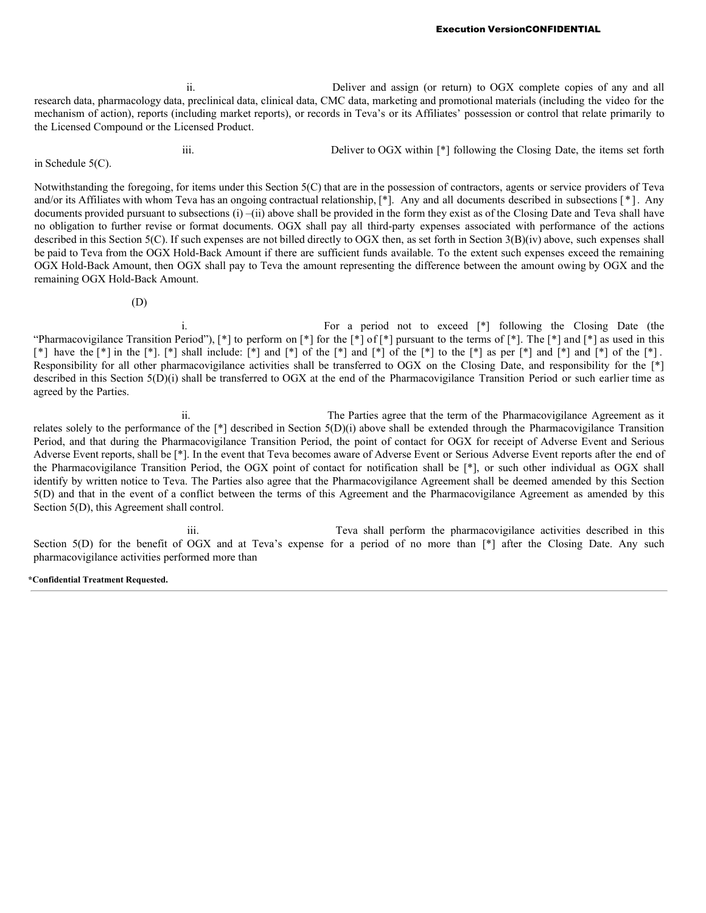Execution VersionCONFIDENTIAL

ii. Deliver and assign (or return) to OGX complete copies of any and all research data, pharmacology data, preclinical data, clinical data, CMC data, marketing and promotional materials (including the video for the mechanism of action), reports (including market reports), or records in Teva's or its Affiliates' possession or control that relate primarily to the Licensed Compound or the Licensed Product.

iii. Deliver to OGX within [\*] following the Closing Date, the items set forth in Schedule 5(C).

Notwithstanding the foregoing, for items under this Section 5(C) that are in the possession of contractors, agents or service providers of Teva and/or its Affiliates with whom Teva has an ongoing contractual relationship, [\*]. Any and all documents described in subsections [ \* ]. Any documents provided pursuant to subsections (i) –(ii) above shall be provided in the form they exist as of the Closing Date and Teva shall have no obligation to further revise or format documents. OGX shall pay all third-party expenses associated with performance of the actions described in this Section 5(C). If such expenses are not billed directly to OGX then, as set forth in Section 3(B)(iv) above, such expenses shall be paid to Teva from the OGX Hold-Back Amount if there are sufficient funds available. To the extent such expenses exceed the remaining OGX Hold-Back Amount, then OGX shall pay to Teva the amount representing the difference between the amount owing by OGX and the remaining OGX Hold-Back Amount.

(D)

i. For a period not to exceed [\*] following the Closing Date (the "Pharmacovigilance Transition Period"),  $\lceil * \rceil$  to perform on  $\lceil * \rceil$  for the  $\lceil * \rceil$  pursuant to the terms of  $\lceil * \rceil$ . The  $\lceil * \rceil$  and  $\lceil * \rceil$  as used in this [\*] have the  $[*]$  in the  $[*]$ . [\*] shall include:  $[*]$  and  $[*]$  of the  $[*]$  and  $[*]$  to the  $[*]$  as per  $[*]$  and  $[*]$  and  $[*]$  of the  $[*]$ . Responsibility for all other pharmacovigilance activities shall be transferred to OGX on the Closing Date, and responsibility for the [\*] described in this Section 5(D)(i) shall be transferred to OGX at the end of the Pharmacovigilance Transition Period or such earlier time as agreed by the Parties.

ii. The Parties agree that the term of the Pharmacovigilance Agreement as it relates solely to the performance of the  $\lceil \cdot \rceil$  described in Section 5(D)(i) above shall be extended through the Pharmacovigilance Transition Period, and that during the Pharmacovigilance Transition Period, the point of contact for OGX for receipt of Adverse Event and Serious Adverse Event reports, shall be [\*]. In the event that Teva becomes aware of Adverse Event or Serious Adverse Event reports after the end of the Pharmacovigilance Transition Period, the OGX point of contact for notification shall be [\*], or such other individual as OGX shall identify by written notice to Teva. The Parties also agree that the Pharmacovigilance Agreement shall be deemed amended by this Section 5(D) and that in the event of a conflict between the terms of this Agreement and the Pharmacovigilance Agreement as amended by this Section 5(D), this Agreement shall control.

iii. Teva shall perform the pharmacovigilance activities described in this Section 5(D) for the benefit of OGX and at Teva's expense for a period of no more than [\*] after the Closing Date. Any such pharmacovigilance activities performed more than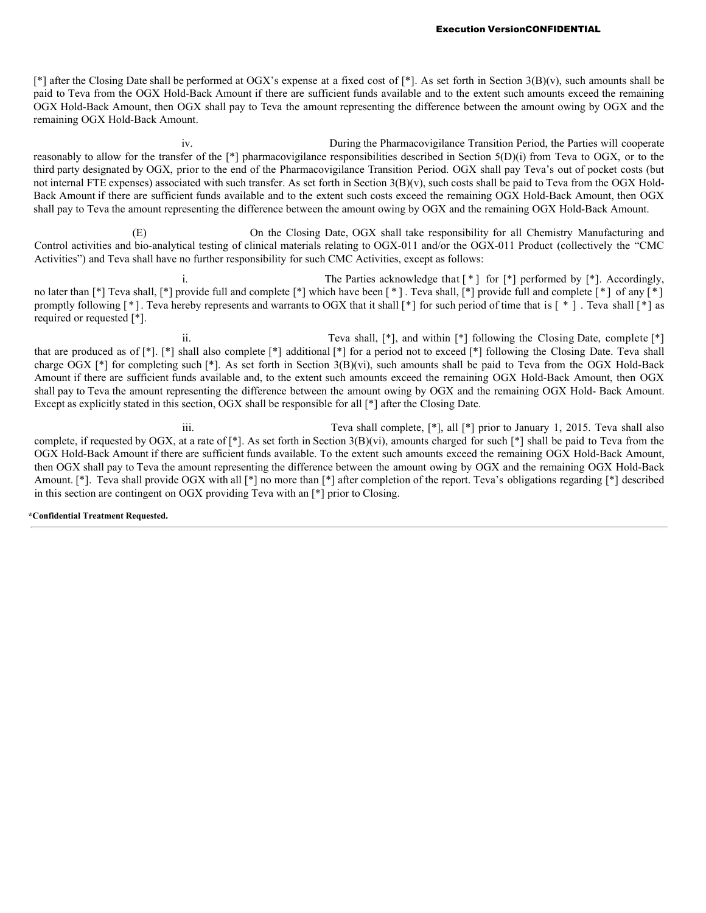[\*] after the Closing Date shall be performed at OGX's expense at a fixed cost of [\*]. As set forth in Section 3(B)(v), such amounts shall be paid to Teva from the OGX Hold-Back Amount if there are sufficient funds available and to the extent such amounts exceed the remaining OGX Hold-Back Amount, then OGX shall pay to Teva the amount representing the difference between the amount owing by OGX and the remaining OGX Hold-Back Amount.

iv. During the Pharmacovigilance Transition Period, the Parties will cooperate reasonably to allow for the transfer of the [\*] pharmacovigilance responsibilities described in Section 5(D)(i) from Teva to OGX, or to the third party designated by OGX, prior to the end of the Pharmacovigilance Transition Period. OGX shall pay Teva's out of pocket costs (but not internal FTE expenses) associated with such transfer. As set forth in Section 3(B)(v), such costs shall be paid to Teva from the OGX Hold-Back Amount if there are sufficient funds available and to the extent such costs exceed the remaining OGX Hold-Back Amount, then OGX shall pay to Teva the amount representing the difference between the amount owing by OGX and the remaining OGX Hold-Back Amount.

(E) On the Closing Date, OGX shall take responsibility for all Chemistry Manufacturing and Control activities and bio-analytical testing of clinical materials relating to OGX-011 and/or the OGX-011 Product (collectively the "CMC Activities") and Teva shall have no further responsibility for such CMC Activities, except as follows:

i. The Parties acknowledge that  $[ * ]$  for  $[ * ]$  performed by  $[ * ]$ . Accordingly, no later than [\*] Teva shall, [\*] provide full and complete [\*] which have been [\*]. Teva shall, [\*] provide full and complete [\*] of any [\*] promptly following [ \* ]. Teva hereby represents and warrants to OGX that it shall [\*] for such period of time that is [ \* ] . Teva shall [\*] as required or requested [\*].

ii. Teva shall, [\*], and within [\*] following the Closing Date, complete [\*] that are produced as of  $[*]$ .  $[*]$  shall also complete  $[*]$  additional  $[*]$  for a period not to exceed  $[*]$  following the Closing Date. Teva shall charge OGX [\*] for completing such [\*]. As set forth in Section 3(B)(vi), such amounts shall be paid to Teva from the OGX Hold-Back Amount if there are sufficient funds available and, to the extent such amounts exceed the remaining OGX Hold-Back Amount, then OGX shall pay to Teva the amount representing the difference between the amount owing by OGX and the remaining OGX Hold- Back Amount. Except as explicitly stated in this section, OGX shall be responsible for all [\*] after the Closing Date.

iii. Teva shall complete, [\*], all [\*] prior to January 1, 2015. Teva shall also complete, if requested by OGX, at a rate of  $\lceil * \rceil$ . As set forth in Section 3(B)(vi), amounts charged for such  $\lceil * \rceil$  shall be paid to Teva from the OGX Hold-Back Amount if there are sufficient funds available. To the extent such amounts exceed the remaining OGX Hold-Back Amount, then OGX shall pay to Teva the amount representing the difference between the amount owing by OGX and the remaining OGX Hold-Back Amount. [\*]. Teva shall provide OGX with all [\*] no more than [\*] after completion of the report. Teva's obligations regarding [\*] described in this section are contingent on OGX providing Teva with an [\*] prior to Closing.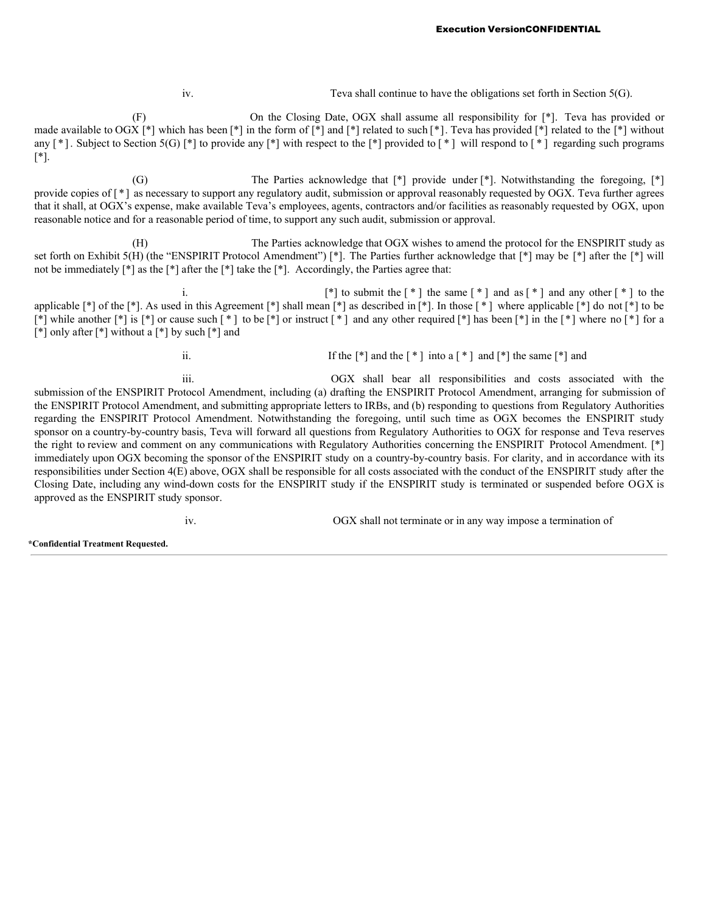iv. Teva shall continue to have the obligations set forth in Section 5(G).

(F) On the Closing Date, OGX shall assume all responsibility for [\*]. Teva has provided or made available to OGX [\*] which has been [\*] in the form of [\*] and [\*] related to such [\*]. Teva has provided [\*] related to the [\*] without any [\*]. Subject to Section 5(G) [\*] to provide any [\*] with respect to the [\*] provided to [\*] will respond to [\*] regarding such programs [\*].

(G) The Parties acknowledge that [\*] provide under [\*]. Notwithstanding the foregoing, [\*] provide copies of [ \* ] as necessary to support any regulatory audit, submission or approval reasonably requested by OGX. Teva further agrees that it shall, at OGX's expense, make available Teva's employees, agents, contractors and/or facilities as reasonably requested by OGX, upon reasonable notice and for a reasonable period of time, to support any such audit, submission or approval.

(H) The Parties acknowledge that OGX wishes to amend the protocol for the ENSPIRIT study as set forth on Exhibit 5(H) (the "ENSPIRIT Protocol Amendment") [\*]. The Parties further acknowledge that [\*] may be [\*] after the [\*] will not be immediately  $\lceil * \rceil$  as the  $\lceil * \rceil$  after the  $\lceil * \rceil$  take the  $\lceil * \rceil$ . Accordingly, the Parties agree that:

i.  $[*]$  to submit the  $[*]$  the same  $[*]$  and as  $[*]$  and any other  $[*]$  to the applicable  $[*]$  of the  $[*]$ . As used in this Agreement  $[*]$  shall mean  $[*]$  as described in  $[*]$ . In those  $[*]$  where applicable  $[*]$  do not  $[*]$  to be  $\lceil * \rceil$  while another  $\lceil * \rceil$  is  $\lceil * \rceil$  or cause such  $\lceil * \rceil$  to be  $\lceil * \rceil$  or instruct  $\lceil * \rceil$  and any other required  $\lceil * \rceil$  has been  $\lceil * \rceil$  in the  $\lceil * \rceil$  where no  $\lceil * \rceil$  for a  $\lceil * \rceil$  only after  $\lceil * \rceil$  without a  $\lceil * \rceil$  by such  $\lceil * \rceil$  and

ii. If the  $[*]$  and the  $[*]$  into a  $[*]$  and  $[*]$  the same  $[*]$  and

iii. OGX shall bear all responsibilities and costs associated with the submission of the ENSPIRIT Protocol Amendment, including (a) drafting the ENSPIRIT Protocol Amendment, arranging for submission of the ENSPIRIT Protocol Amendment, and submitting appropriate letters to IRBs, and (b) responding to questions from Regulatory Authorities regarding the ENSPIRIT Protocol Amendment. Notwithstanding the foregoing, until such time as OGX becomes the ENSPIRIT study sponsor on a country-by-country basis, Teva will forward all questions from Regulatory Authorities to OGX for response and Teva reserves the right to review and comment on any communications with Regulatory Authorities concerning the ENSPIRIT Protocol Amendment. [\*] immediately upon OGX becoming the sponsor of the ENSPIRIT study on a country-by-country basis. For clarity, and in accordance with its responsibilities under Section 4(E) above, OGX shall be responsible for all costs associated with the conduct of the ENSPIRIT study after the Closing Date, including any wind-down costs for the ENSPIRIT study if the ENSPIRIT study is terminated or suspended before OGX is approved as the ENSPIRIT study sponsor.

iv. OGX shall not terminate or in any way impose a termination of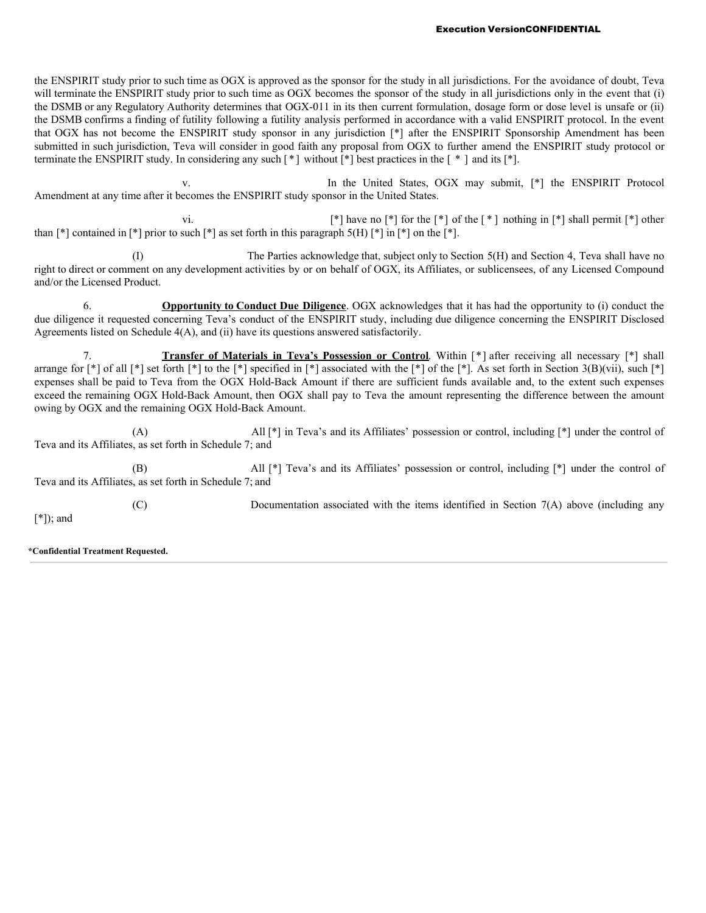the ENSPIRIT study prior to such time as OGX is approved as the sponsor for the study in all jurisdictions. For the avoidance of doubt, Teva will terminate the ENSPIRIT study prior to such time as OGX becomes the sponsor of the study in all jurisdictions only in the event that (i) the DSMB or any Regulatory Authority determines that OGX-011 in its then current formulation, dosage form or dose level is unsafe or (ii) the DSMB confirms a finding of futility following a futility analysis performed in accordance with a valid ENSPIRIT protocol. In the event that OGX has not become the ENSPIRIT study sponsor in any jurisdiction [\*] after the ENSPIRIT Sponsorship Amendment has been submitted in such jurisdiction, Teva will consider in good faith any proposal from OGX to further amend the ENSPIRIT study protocol or terminate the ENSPIRIT study. In considering any such [ \* ] without [\*] best practices in the [ \* ] and its [\*].

v. In the United States, OGX may submit, [\*] the ENSPIRIT Protocol Amendment at any time after it becomes the ENSPIRIT study sponsor in the United States.

vi.  $\lceil * \rceil$  have no  $\lceil * \rceil$  for the  $\lceil * \rceil$  of the  $\lceil * \rceil$  nothing in  $\lceil * \rceil$  shall permit  $\lceil * \rceil$  other than  $\lceil * \rceil$  contained in  $\lceil * \rceil$  prior to such  $\lceil * \rceil$  as set forth in this paragraph 5(H)  $\lceil * \rceil$  in  $\lceil * \rceil$  on the  $\lceil * \rceil$ .

(I) The Parties acknowledge that, subject only to Section 5(H) and Section 4, Teva shall have no right to direct or comment on any development activities by or on behalf of OGX, its Affiliates, or sublicensees, of any Licensed Compound and/or the Licensed Product.

6. **Opportunity to Conduct Due Diligence**. OGX acknowledges that it has had the opportunity to (i) conduct the due diligence it requested concerning Teva's conduct of the ENSPIRIT study, including due diligence concerning the ENSPIRIT Disclosed Agreements listed on Schedule 4(A), and (ii) have its questions answered satisfactorily.

7. **Transfer of Materials in Teva's Possession or Control**. Within [\*] after receiving all necessary [\*] shall arrange for  $\lceil * \rceil$  of all  $\lceil * \rceil$  set forth  $\lceil * \rceil$  to the  $\lceil * \rceil$  specified in  $\lceil * \rceil$  associated with the  $\lceil * \rceil$  of the  $\lceil * \rceil$ . As set forth in Section 3(B)(vii), such  $\lceil * \rceil$ expenses shall be paid to Teva from the OGX Hold-Back Amount if there are sufficient funds available and, to the extent such expenses exceed the remaining OGX Hold-Back Amount, then OGX shall pay to Teva the amount representing the difference between the amount owing by OGX and the remaining OGX Hold-Back Amount.

(A) All [\*] in Teva's and its Affiliates' possession or control, including [\*] under the control of Teva and its Affiliates, as set forth in Schedule 7; and

(B) All [\*] Teva's and its Affiliates' possession or control, including [\*] under the control of Teva and its Affiliates, as set forth in Schedule 7; and

(C) Documentation associated with the items identified in Section 7(A) above (including any [\*]); and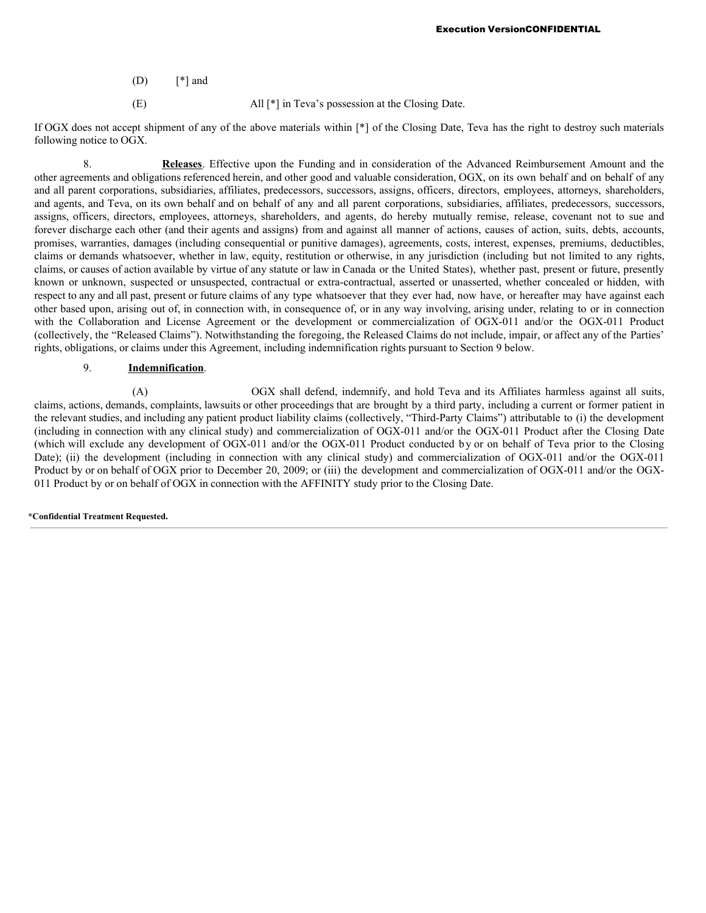- $(D)$  [\*] and
- (E) All [\*] in Teva's possession at the Closing Date.

If OGX does not accept shipment of any of the above materials within [\*] of the Closing Date, Teva has the right to destroy such materials following notice to OGX.

8. **Releases**. Effective upon the Funding and in consideration of the Advanced Reimbursement Amount and the other agreements and obligations referenced herein, and other good and valuable consideration, OGX, on its own behalf and on behalf of any and all parent corporations, subsidiaries, affiliates, predecessors, successors, assigns, officers, directors, employees, attorneys, shareholders, and agents, and Teva, on its own behalf and on behalf of any and all parent corporations, subsidiaries, affiliates, predecessors, successors, assigns, officers, directors, employees, attorneys, shareholders, and agents, do hereby mutually remise, release, covenant not to sue and forever discharge each other (and their agents and assigns) from and against all manner of actions, causes of action, suits, debts, accounts, promises, warranties, damages (including consequential or punitive damages), agreements, costs, interest, expenses, premiums, deductibles, claims or demands whatsoever, whether in law, equity, restitution or otherwise, in any jurisdiction (including but not limited to any rights, claims, or causes of action available by virtue of any statute or law in Canada or the United States), whether past, present or future, presently known or unknown, suspected or unsuspected, contractual or extra-contractual, asserted or unasserted, whether concealed or hidden, with respect to any and all past, present or future claims of any type whatsoever that they ever had, now have, or hereafter may have against each other based upon, arising out of, in connection with, in consequence of, or in any way involving, arising under, relating to or in connection with the Collaboration and License Agreement or the development or commercialization of OGX-011 and/or the OGX-011 Product (collectively, the "Released Claims"). Notwithstanding the foregoing, the Released Claims do not include, impair, or affect any of the Parties' rights, obligations, or claims under this Agreement, including indemnification rights pursuant to Section 9 below.

# 9. **Indemnification**.

(A) OGX shall defend, indemnify, and hold Teva and its Affiliates harmless against all suits, claims, actions, demands, complaints, lawsuits or other proceedings that are brought by a third party, including a current or former patient in the relevant studies, and including any patient product liability claims (collectively, "Third-Party Claims") attributable to (i) the development (including in connection with any clinical study) and commercialization of OGX-011 and/or the OGX-011 Product after the Closing Date (which will exclude any development of OGX-011 and/or the OGX-011 Product conducted b y or on behalf of Teva prior to the Closing Date); (ii) the development (including in connection with any clinical study) and commercialization of OGX-011 and/or the OGX-011 Product by or on behalf of OGX prior to December 20, 2009; or (iii) the development and commercialization of OGX-011 and/or the OGX-011 Product by or on behalf of OGX in connection with the AFFINITY study prior to the Closing Date.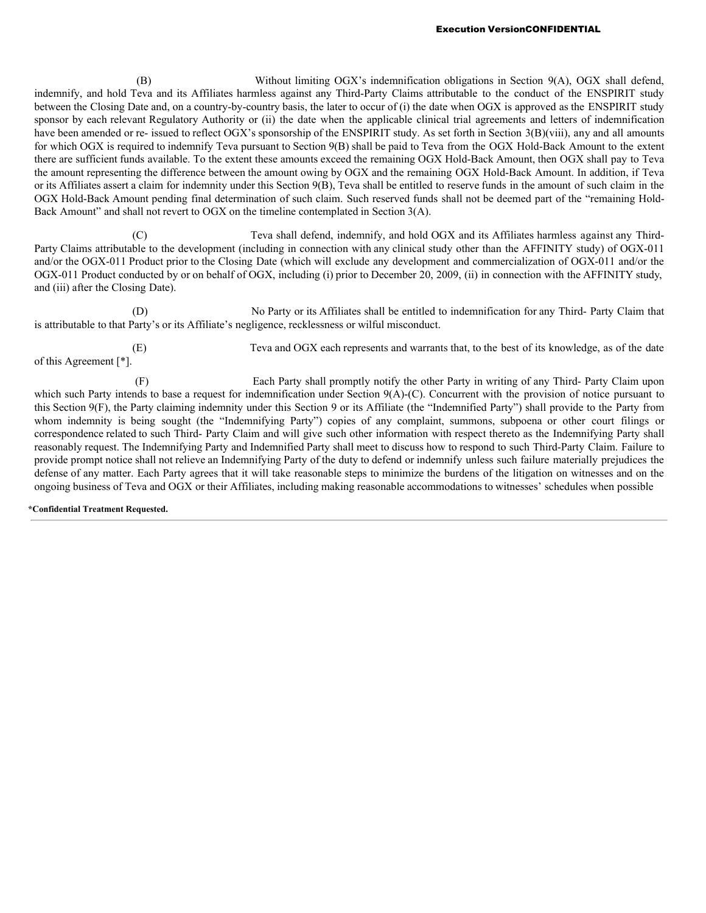(B) Without limiting OGX's indemnification obligations in Section 9(A), OGX shall defend, indemnify, and hold Teva and its Affiliates harmless against any Third-Party Claims attributable to the conduct of the ENSPIRIT study between the Closing Date and, on a country-by-country basis, the later to occur of (i) the date when OGX is approved as the ENSPIRIT study sponsor by each relevant Regulatory Authority or (ii) the date when the applicable clinical trial agreements and letters of indemnification have been amended or re- issued to reflect OGX's sponsorship of the ENSPIRIT study. As set forth in Section 3(B)(viii), any and all amounts for which OGX is required to indemnify Teva pursuant to Section 9(B) shall be paid to Teva from the OGX Hold-Back Amount to the extent there are sufficient funds available. To the extent these amounts exceed the remaining OGX Hold-Back Amount, then OGX shall pay to Teva the amount representing the difference between the amount owing by OGX and the remaining OGX Hold-Back Amount. In addition, if Teva or its Affiliates assert a claim for indemnity under this Section 9(B), Teva shall be entitled to reserve funds in the amount of such claim in the OGX Hold-Back Amount pending final determination of such claim. Such reserved funds shall not be deemed part of the "remaining Hold-Back Amount" and shall not revert to OGX on the timeline contemplated in Section 3(A).

(C) Teva shall defend, indemnify, and hold OGX and its Affiliates harmless against any Third-Party Claims attributable to the development (including in connection with any clinical study other than the AFFINITY study) of OGX-011 and/or the OGX-011 Product prior to the Closing Date (which will exclude any development and commercialization of OGX-011 and/or the OGX-011 Product conducted by or on behalf of OGX, including (i) prior to December 20, 2009, (ii) in connection with the AFFINITY study, and (iii) after the Closing Date).

(D) No Party or its Affiliates shall be entitled to indemnification for any Third- Party Claim that is attributable to that Party's or its Affiliate's negligence, recklessness or wilful misconduct.

of this Agreement [\*].

(E) Teva and OGX each represents and warrants that, to the best of its knowledge, as of the date

(F) Each Party shall promptly notify the other Party in writing of any Third- Party Claim upon which such Party intends to base a request for indemnification under Section 9(A)-(C). Concurrent with the provision of notice pursuant to this Section 9(F), the Party claiming indemnity under this Section 9 or its Affiliate (the "Indemnified Party") shall provide to the Party from whom indemnity is being sought (the "Indemnifying Party") copies of any complaint, summons, subpoena or other court filings or correspondence related to such Third- Party Claim and will give such other information with respect thereto as the Indemnifying Party shall reasonably request. The Indemnifying Party and Indemnified Party shall meet to discuss how to respond to such Third-Party Claim. Failure to provide prompt notice shall not relieve an Indemnifying Party of the duty to defend or indemnify unless such failure materially prejudices the defense of any matter. Each Party agrees that it will take reasonable steps to minimize the burdens of the litigation on witnesses and on the ongoing business of Teva and OGX or their Affiliates, including making reasonable accommodations to witnesses' schedules when possible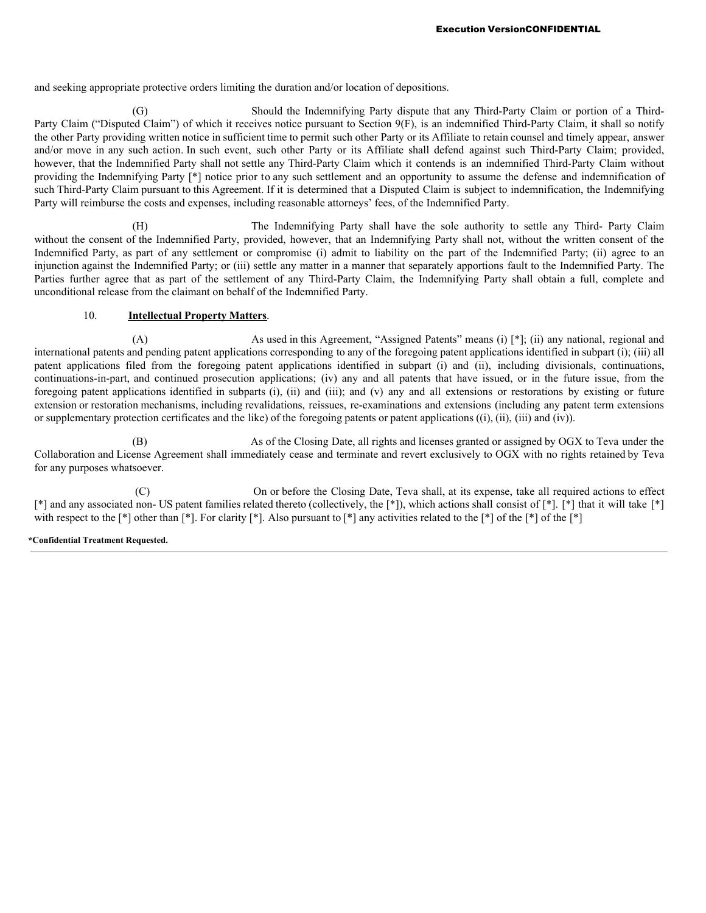and seeking appropriate protective orders limiting the duration and/or location of depositions.

(G) Should the Indemnifying Party dispute that any Third-Party Claim or portion of a Third-Party Claim ("Disputed Claim") of which it receives notice pursuant to Section 9(F), is an indemnified Third-Party Claim, it shall so notify the other Party providing written notice in sufficient time to permit such other Party or its Affiliate to retain counsel and timely appear, answer and/or move in any such action. In such event, such other Party or its Affiliate shall defend against such Third-Party Claim; provided, however, that the Indemnified Party shall not settle any Third-Party Claim which it contends is an indemnified Third-Party Claim without providing the Indemnifying Party [\*] notice prior to any such settlement and an opportunity to assume the defense and indemnification of such Third-Party Claim pursuant to this Agreement. If it is determined that a Disputed Claim is subject to indemnification, the Indemnifying Party will reimburse the costs and expenses, including reasonable attorneys' fees, of the Indemnified Party.

(H) The Indemnifying Party shall have the sole authority to settle any Third- Party Claim without the consent of the Indemnified Party, provided, however, that an Indemnifying Party shall not, without the written consent of the Indemnified Party, as part of any settlement or compromise (i) admit to liability on the part of the Indemnified Party; (ii) agree to an injunction against the Indemnified Party; or (iii) settle any matter in a manner that separately apportions fault to the Indemnified Party. The Parties further agree that as part of the settlement of any Third-Party Claim, the Indemnifying Party shall obtain a full, complete and unconditional release from the claimant on behalf of the Indemnified Party.

## 10. **Intellectual Property Matters**.

(A) As used in this Agreement, "Assigned Patents" means (i) [\*]; (ii) any national, regional and international patents and pending patent applications corresponding to any of the foregoing patent applications identified in subpart (i); (iii) all patent applications filed from the foregoing patent applications identified in subpart (i) and (ii), including divisionals, continuations, continuations-in-part, and continued prosecution applications; (iv) any and all patents that have issued, or in the future issue, from the foregoing patent applications identified in subparts (i), (ii) and (iii); and (v) any and all extensions or restorations by existing or future extension or restoration mechanisms, including revalidations, reissues, re-examinations and extensions (including any patent term extensions or supplementary protection certificates and the like) of the foregoing patents or patent applications ((i), (ii), (iii) and (iv)).

(B) As of the Closing Date, all rights and licenses granted or assigned by OGX to Teva under the Collaboration and License Agreement shall immediately cease and terminate and revert exclusively to OGX with no rights retained by Teva for any purposes whatsoever.

(C) On or before the Closing Date, Teva shall, at its expense, take all required actions to effect [\*] and any associated non- US patent families related thereto (collectively, the [\*]), which actions shall consist of [\*]. [\*] that it will take [\*] with respect to the  $\lceil * \rceil$  other than  $\lceil * \rceil$ . For clarity  $\lceil * \rceil$ . Also pursuant to  $\lceil * \rceil$  any activities related to the  $\lceil * \rceil$  of the  $\lceil * \rceil$  of the  $\lceil * \rceil$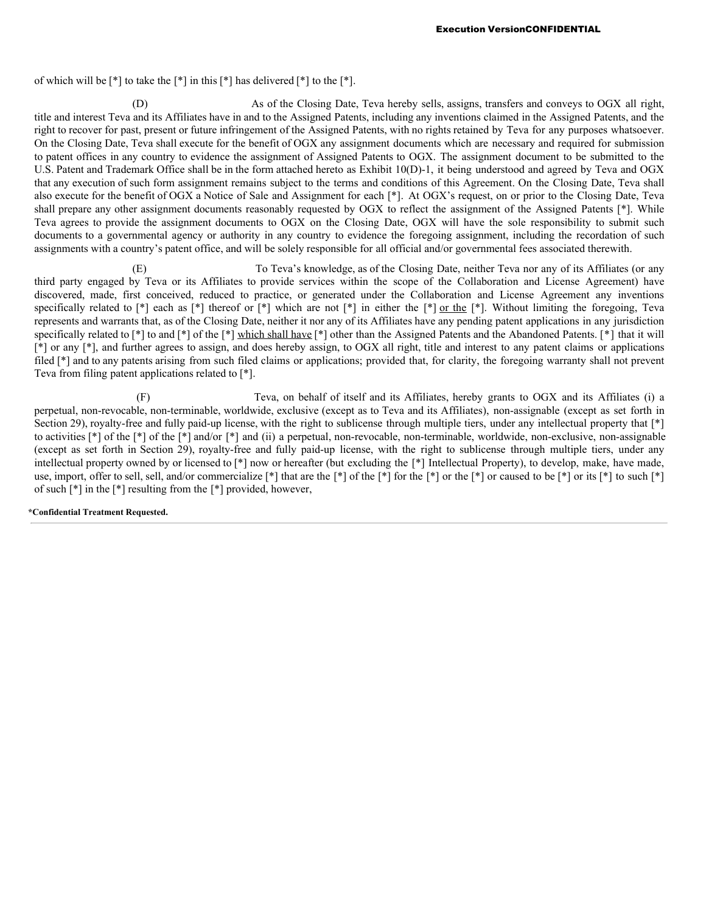of which will be  $\lceil * \rceil$  to take the  $\lceil * \rceil$  in this  $\lceil * \rceil$  has delivered  $\lceil * \rceil$  to the  $\lceil * \rceil$ .

(D) As of the Closing Date, Teva hereby sells, assigns, transfers and conveys to OGX all right, title and interest Teva and its Affiliates have in and to the Assigned Patents, including any inventions claimed in the Assigned Patents, and the right to recover for past, present or future infringement of the Assigned Patents, with no rights retained by Teva for any purposes whatsoever. On the Closing Date, Teva shall execute for the benefit of OGX any assignment documents which are necessary and required for submission to patent offices in any country to evidence the assignment of Assigned Patents to OGX. The assignment document to be submitted to the U.S. Patent and Trademark Office shall be in the form attached hereto as Exhibit 10(D)-1, it being understood and agreed by Teva and OGX that any execution of such form assignment remains subject to the terms and conditions of this Agreement. On the Closing Date, Teva shall also execute for the benefit of OGX a Notice of Sale and Assignment for each [\*]. At OGX's request, on or prior to the Closing Date, Teva shall prepare any other assignment documents reasonably requested by OGX to reflect the assignment of the Assigned Patents [\*]. While Teva agrees to provide the assignment documents to OGX on the Closing Date, OGX will have the sole responsibility to submit such documents to a governmental agency or authority in any country to evidence the foregoing assignment, including the recordation of such assignments with a country's patent office, and will be solely responsible for all official and/or governmental fees associated therewith.

(E) To Teva's knowledge, as of the Closing Date, neither Teva nor any of its Affiliates (or any third party engaged by Teva or its Affiliates to provide services within the scope of the Collaboration and License Agreement) have discovered, made, first conceived, reduced to practice, or generated under the Collaboration and License Agreement any inventions specifically related to [\*] each as [\*] thereof or [\*] which are not [\*] in either the [\*] or the [\*]. Without limiting the foregoing, Teva represents and warrants that, as of the Closing Date, neither it nor any of its Affiliates have any pending patent applications in any jurisdiction specifically related to [\*] to and [\*] of the [\*] which shall have [\*] other than the Assigned Patents and the Abandoned Patents. [\*] that it will [\*] or any [\*], and further agrees to assign, and does hereby assign, to OGX all right, title and interest to any patent claims or applications filed [\*] and to any patents arising from such filed claims or applications; provided that, for clarity, the foregoing warranty shall not prevent Teva from filing patent applications related to [\*].

(F) Teva, on behalf of itself and its Affiliates, hereby grants to OGX and its Affiliates (i) a perpetual, non-revocable, non-terminable, worldwide, exclusive (except as to Teva and its Affiliates), non-assignable (except as set forth in Section 29), royalty-free and fully paid-up license, with the right to sublicense through multiple tiers, under any intellectual property that [\*] to activities [\*] of the [\*] of the [\*] and/or [\*] and (ii) a perpetual, non-revocable, non-terminable, worldwide, non-exclusive, non-assignable (except as set forth in Section 29), royalty-free and fully paid-up license, with the right to sublicense through multiple tiers, under any intellectual property owned by or licensed to [\*] now or hereafter (but excluding the [\*] Intellectual Property), to develop, make, have made, use, import, offer to sell, sell, and/or commercialize [\*] that are the [\*] of the [\*] for the [\*] or the [\*] or caused to be [\*] or its [\*] to such [\*] of such [\*] in the [\*] resulting from the [\*] provided, however,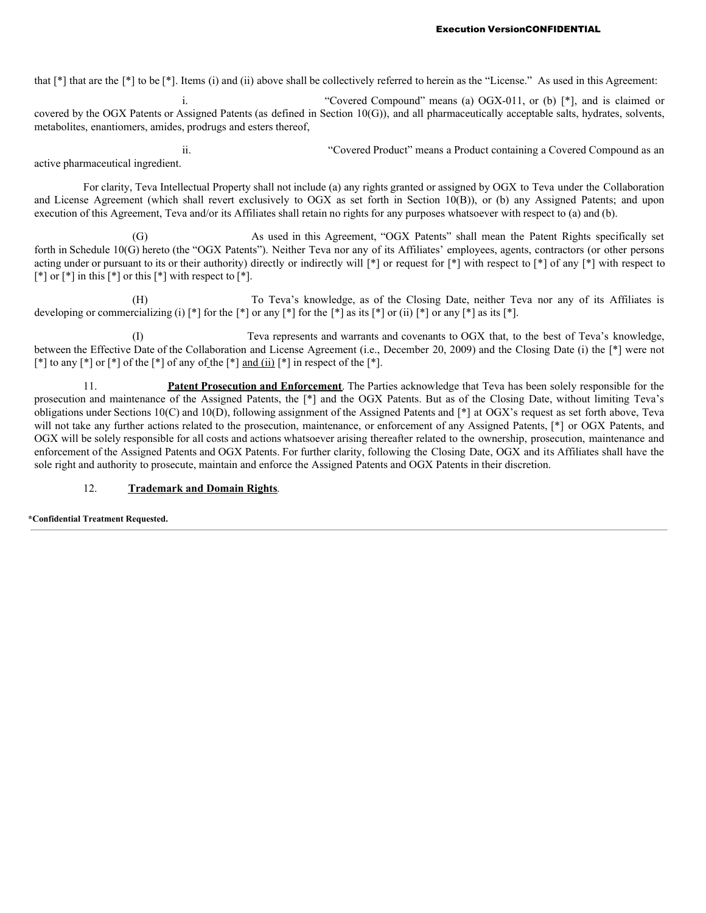that [\*] that are the [\*] to be [\*]. Items (i) and (ii) above shall be collectively referred to herein as the "License." As used in this Agreement:

i. "Covered Compound" means (a) OGX-011, or (b) [\*], and is claimed or covered by the OGX Patents or Assigned Patents (as defined in Section 10(G)), and all pharmaceutically acceptable salts, hydrates, solvents, metabolites, enantiomers, amides, prodrugs and esters thereof,

ii. "Covered Product" means a Product containing a Covered Compound as an active pharmaceutical ingredient.

For clarity, Teva Intellectual Property shall not include (a) any rights granted or assigned by OGX to Teva under the Collaboration and License Agreement (which shall revert exclusively to OGX as set forth in Section 10(B)), or (b) any Assigned Patents; and upon execution of this Agreement, Teva and/or its Affiliates shall retain no rights for any purposes whatsoever with respect to (a) and (b).

(G) As used in this Agreement, "OGX Patents" shall mean the Patent Rights specifically set forth in Schedule 10(G) hereto (the "OGX Patents"). Neither Teva nor any of its Affiliates' employees, agents, contractors (or other persons acting under or pursuant to its or their authority) directly or indirectly will  $[*]$  or request for  $[*]$  with respect to  $[*]$  of any  $[*]$  with respect to  $\lceil * \rceil$  or  $\lceil * \rceil$  in this  $\lceil * \rceil$  or this  $\lceil * \rceil$  with respect to  $\lceil * \rceil$ .

(H) To Teva's knowledge, as of the Closing Date, neither Teva nor any of its Affiliates is developing or commercializing (i)  $\lceil * \rceil$  for the  $\lceil * \rceil$  or any  $\lceil * \rceil$  for the  $\lceil * \rceil$  as its  $\lceil * \rceil$  or any  $\lceil * \rceil$  as its  $\lceil * \rceil$ .

(I) Teva represents and warrants and covenants to OGX that, to the best of Teva's knowledge, between the Effective Date of the Collaboration and License Agreement (i.e., December 20, 2009) and the Closing Date (i) the [\*] were not  $\lceil * \rceil$  to any  $\lceil * \rceil$  or  $\lceil * \rceil$  of the  $\lceil * \rceil$  of any of the  $\lceil * \rceil$  and (ii)  $\lceil * \rceil$  in respect of the  $\lceil * \rceil$ .

11. **Patent Prosecution and Enforcement**. The Parties acknowledge that Teva has been solely responsible for the prosecution and maintenance of the Assigned Patents, the [\*] and the OGX Patents. But as of the Closing Date, without limiting Teva's obligations under Sections 10(C) and 10(D), following assignment of the Assigned Patents and [\*] at OGX's request as set forth above, Teva will not take any further actions related to the prosecution, maintenance, or enforcement of any Assigned Patents,  $[*]$  or OGX Patents, and OGX will be solely responsible for all costs and actions whatsoever arising thereafter related to the ownership, prosecution, maintenance and enforcement of the Assigned Patents and OGX Patents. For further clarity, following the Closing Date, OGX and its Affiliates shall have the sole right and authority to prosecute, maintain and enforce the Assigned Patents and OGX Patents in their discretion.

# 12. **Trademark and Domain Rights**.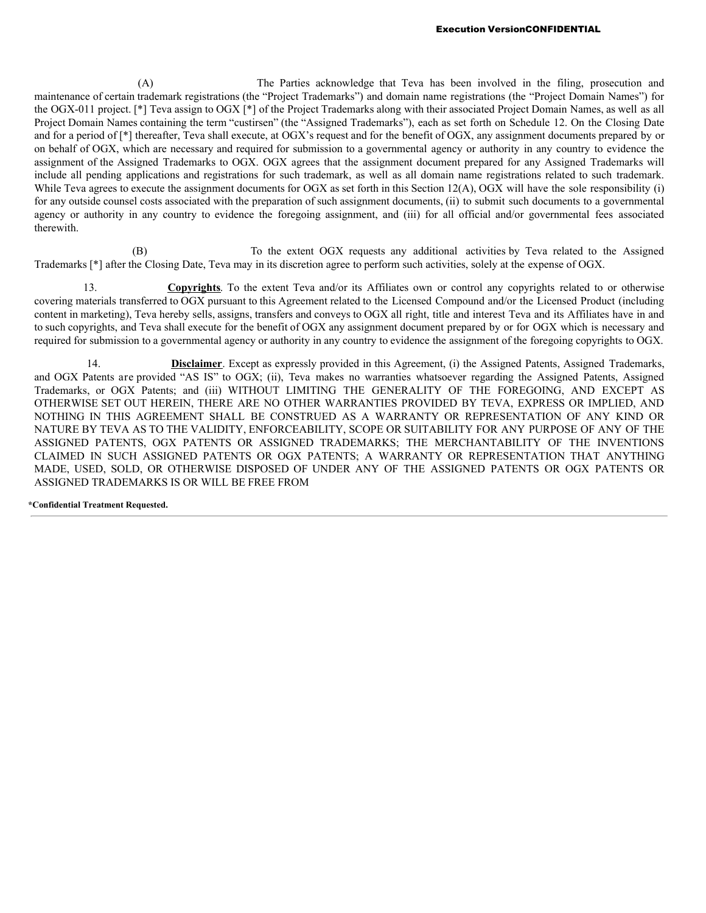(A) The Parties acknowledge that Teva has been involved in the filing, prosecution and maintenance of certain trademark registrations (the "Project Trademarks") and domain name registrations (the "Project Domain Names") for the OGX-011 project. [\*] Teva assign to OGX [\*] of the Project Trademarks along with their associated Project Domain Names, as well as all Project Domain Names containing the term "custirsen" (the "Assigned Trademarks"), each as set forth on Schedule 12. On the Closing Date and for a period of [\*] thereafter, Teva shall execute, at OGX's request and for the benefit of OGX, any assignment documents prepared by or on behalf of OGX, which are necessary and required for submission to a governmental agency or authority in any country to evidence the assignment of the Assigned Trademarks to OGX. OGX agrees that the assignment document prepared for any Assigned Trademarks will include all pending applications and registrations for such trademark, as well as all domain name registrations related to such trademark. While Teva agrees to execute the assignment documents for OGX as set forth in this Section 12(A), OGX will have the sole responsibility (i) for any outside counsel costs associated with the preparation of such assignment documents, (ii) to submit such documents to a governmental agency or authority in any country to evidence the foregoing assignment, and (iii) for all official and/or governmental fees associated therewith.

(B) To the extent OGX requests any additional activities by Teva related to the Assigned Trademarks [\*] after the Closing Date, Teva may in its discretion agree to perform such activities, solely at the expense of OGX.

13. **Copyrights**. To the extent Teva and/or its Affiliates own or control any copyrights related to or otherwise covering materials transferred to OGX pursuant to this Agreement related to the Licensed Compound and/or the Licensed Product (including content in marketing), Teva hereby sells, assigns, transfers and conveys to OGX all right, title and interest Teva and its Affiliates have in and to such copyrights, and Teva shall execute for the benefit of OGX any assignment document prepared by or for OGX which is necessary and required for submission to a governmental agency or authority in any country to evidence the assignment of the foregoing copyrights to OGX.

14. **Disclaimer**. Except as expressly provided in this Agreement, (i) the Assigned Patents, Assigned Trademarks, and OGX Patents are provided "AS IS" to OGX; (ii), Teva makes no warranties whatsoever regarding the Assigned Patents, Assigned Trademarks, or OGX Patents; and (iii) WITHOUT LIMITING THE GENERALITY OF THE FOREGOING, AND EXCEPT AS OTHERWISE SET OUT HEREIN, THERE ARE NO OTHER WARRANTIES PROVIDED BY TEVA, EXPRESS OR IMPLIED, AND NOTHING IN THIS AGREEMENT SHALL BE CONSTRUED AS A WARRANTY OR REPRESENTATION OF ANY KIND OR NATURE BY TEVA AS TO THE VALIDITY, ENFORCEABILITY, SCOPE OR SUITABILITY FOR ANY PURPOSE OF ANY OF THE ASSIGNED PATENTS, OGX PATENTS OR ASSIGNED TRADEMARKS; THE MERCHANTABILITY OF THE INVENTIONS CLAIMED IN SUCH ASSIGNED PATENTS OR OGX PATENTS; A WARRANTY OR REPRESENTATION THAT ANYTHING MADE, USED, SOLD, OR OTHERWISE DISPOSED OF UNDER ANY OF THE ASSIGNED PATENTS OR OGX PATENTS OR ASSIGNED TRADEMARKS IS OR WILL BE FREE FROM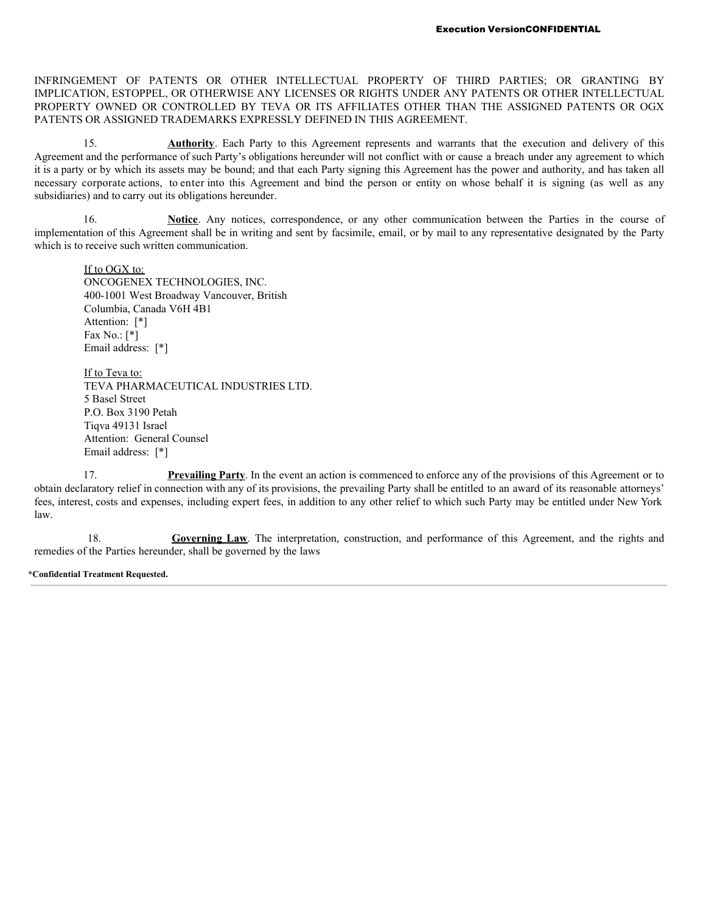INFRINGEMENT OF PATENTS OR OTHER INTELLECTUAL PROPERTY OF THIRD PARTIES; OR GRANTING BY IMPLICATION, ESTOPPEL, OR OTHERWISE ANY LICENSES OR RIGHTS UNDER ANY PATENTS OR OTHER INTELLECTUAL PROPERTY OWNED OR CONTROLLED BY TEVA OR ITS AFFILIATES OTHER THAN THE ASSIGNED PATENTS OR OGX PATENTS OR ASSIGNED TRADEMARKS EXPRESSLY DEFINED IN THIS AGREEMENT.

15. **Authority**. Each Party to this Agreement represents and warrants that the execution and delivery of this Agreement and the performance of such Party's obligations hereunder will not conflict with or cause a breach under any agreement to which it is a party or by which its assets may be bound; and that each Party signing this Agreement has the power and authority, and has taken all necessary corporate actions, to enter into this Agreement and bind the person or entity on whose behalf it is signing (as well as any subsidiaries) and to carry out its obligations hereunder.

16. **Notice**. Any notices, correspondence, or any other communication between the Parties in the course of implementation of this Agreement shall be in writing and sent by facsimile, email, or by mail to any representative designated by the Party which is to receive such written communication.

If to OGX to: ONCOGENEX TECHNOLOGIES, INC. 400-1001 West Broadway Vancouver, British Columbia, Canada V6H 4B1 Attention: [\*] Fax No.: [\*] Email address: [\*]

If to Teva to: TEVA PHARMACEUTICAL INDUSTRIES LTD. 5 Basel Street P.O. Box 3190 Petah Tiqva 49131 Israel Attention: General Counsel Email address: [\*]

17. **Prevailing Party**. In the event an action is commenced to enforce any of the provisions of this Agreement or to obtain declaratory relief in connection with any of its provisions, the prevailing Party shall be entitled to an award of its reasonable attorneys' fees, interest, costs and expenses, including expert fees, in addition to any other relief to which such Party may be entitled under New York law.

18. **Governing Law**. The interpretation, construction, and performance of this Agreement, and the rights and remedies of the Parties hereunder, shall be governed by the laws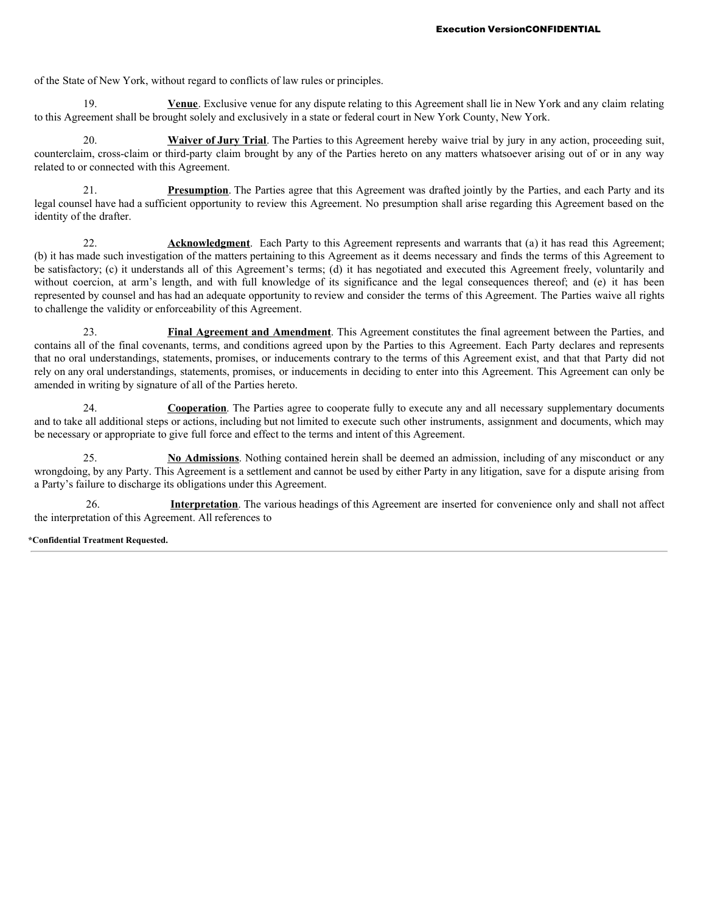of the State of New York, without regard to conflicts of law rules or principles.

19. **Venue**. Exclusive venue for any dispute relating to this Agreement shall lie in New York and any claim relating to this Agreement shall be brought solely and exclusively in a state or federal court in New York County, New York.

**Waiver of Jury Trial**. The Parties to this Agreement hereby waive trial by jury in any action, proceeding suit, counterclaim, cross-claim or third-party claim brought by any of the Parties hereto on any matters whatsoever arising out of or in any way related to or connected with this Agreement.

21. **Presumption**. The Parties agree that this Agreement was drafted jointly by the Parties, and each Party and its legal counsel have had a sufficient opportunity to review this Agreement. No presumption shall arise regarding this Agreement based on the identity of the drafter.

22. **Acknowledgment**. Each Party to this Agreement represents and warrants that (a) it has read this Agreement; (b) it has made such investigation of the matters pertaining to this Agreement as it deems necessary and finds the terms of this Agreement to be satisfactory; (c) it understands all of this Agreement's terms; (d) it has negotiated and executed this Agreement freely, voluntarily and without coercion, at arm's length, and with full knowledge of its significance and the legal consequences thereof; and (e) it has been represented by counsel and has had an adequate opportunity to review and consider the terms of this Agreement. The Parties waive all rights to challenge the validity or enforceability of this Agreement.

23. **Final Agreement and Amendment**. This Agreement constitutes the final agreement between the Parties, and contains all of the final covenants, terms, and conditions agreed upon by the Parties to this Agreement. Each Party declares and represents that no oral understandings, statements, promises, or inducements contrary to the terms of this Agreement exist, and that that Party did not rely on any oral understandings, statements, promises, or inducements in deciding to enter into this Agreement. This Agreement can only be amended in writing by signature of all of the Parties hereto.

24. **Cooperation**. The Parties agree to cooperate fully to execute any and all necessary supplementary documents and to take all additional steps or actions, including but not limited to execute such other instruments, assignment and documents, which may be necessary or appropriate to give full force and effect to the terms and intent of this Agreement.

25. **No Admissions**. Nothing contained herein shall be deemed an admission, including of any misconduct or any wrongdoing, by any Party. This Agreement is a settlement and cannot be used by either Party in any litigation, save for a dispute arising from a Party's failure to discharge its obligations under this Agreement.

26. **Interpretation**. The various headings of this Agreement are inserted for convenience only and shall not affect the interpretation of this Agreement. All references to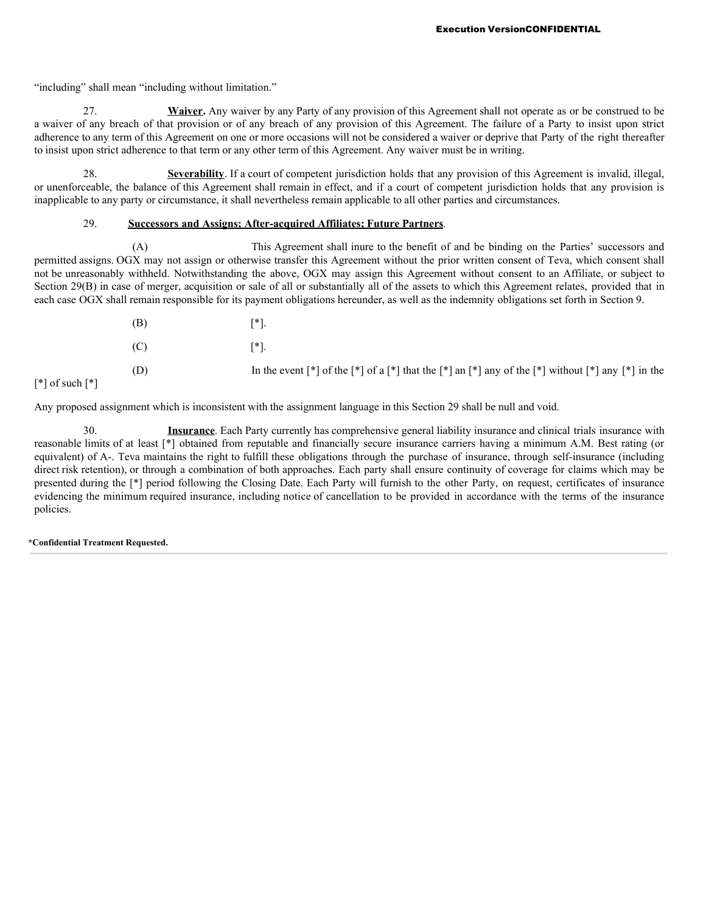"including" shall mean "including without limitation."

27. **Waiver.** Any waiver by any Party of any provision of this Agreement shall not operate as or be construed to be a waiver of any breach of that provision or of any breach of any provision of this Agreement. The failure of a Party to insist upon strict adherence to any term of this Agreement on one or more occasions will not be considered a waiver or deprive that Party of the right thereafter to insist upon strict adherence to that term or any other term of this Agreement. Any waiver must be in writing.

28. **Severability**. If a court of competent jurisdiction holds that any provision of this Agreement is invalid, illegal, or unenforceable, the balance of this Agreement shall remain in effect, and if a court of competent jurisdiction holds that any provision is inapplicable to any party or circumstance, it shall nevertheless remain applicable to all other parties and circumstances.

# 29. **Successors and Assigns; After-acquired Affiliates; Future Partners**.

(A) This Agreement shall inure to the benefit of and be binding on the Parties' successors and permitted assigns. OGX may not assign or otherwise transfer this Agreement without the prior written consent of Teva, which consent shall not be unreasonably withheld. Notwithstanding the above, OGX may assign this Agreement without consent to an Affiliate, or subject to Section 29(B) in case of merger, acquisition or sale of all or substantially all of the assets to which this Agreement relates, provided that in each case OGX shall remain responsible for its payment obligations hereunder, as well as the indemnity obligations set forth in Section 9.

| (B) | ™ไ.                                                                                                                                                                                                                 |
|-----|---------------------------------------------------------------------------------------------------------------------------------------------------------------------------------------------------------------------|
| (C) | 「*].                                                                                                                                                                                                                |
| (D) | In the event $\lceil * \rceil$ of the $\lceil * \rceil$ of a $\lceil * \rceil$ that the $\lceil * \rceil$ and $\lceil * \rceil$ any of the $\lceil * \rceil$ without $\lceil * \rceil$ any $\lceil * \rceil$ in the |

 $\lceil$ \*] of such  $\lceil$ \*]

Any proposed assignment which is inconsistent with the assignment language in this Section 29 shall be null and void.

30. **Insurance**. Each Party currently has comprehensive general liability insurance and clinical trials insurance with reasonable limits of at least [\*] obtained from reputable and financially secure insurance carriers having a minimum A.M. Best rating (or equivalent) of A-. Teva maintains the right to fulfill these obligations through the purchase of insurance, through self-insurance (including direct risk retention), or through a combination of both approaches. Each party shall ensure continuity of coverage for claims which may be presented during the [\*] period following the Closing Date. Each Party will furnish to the other Party, on request, certificates of insurance evidencing the minimum required insurance, including notice of cancellation to be provided in accordance with the terms of the insurance policies.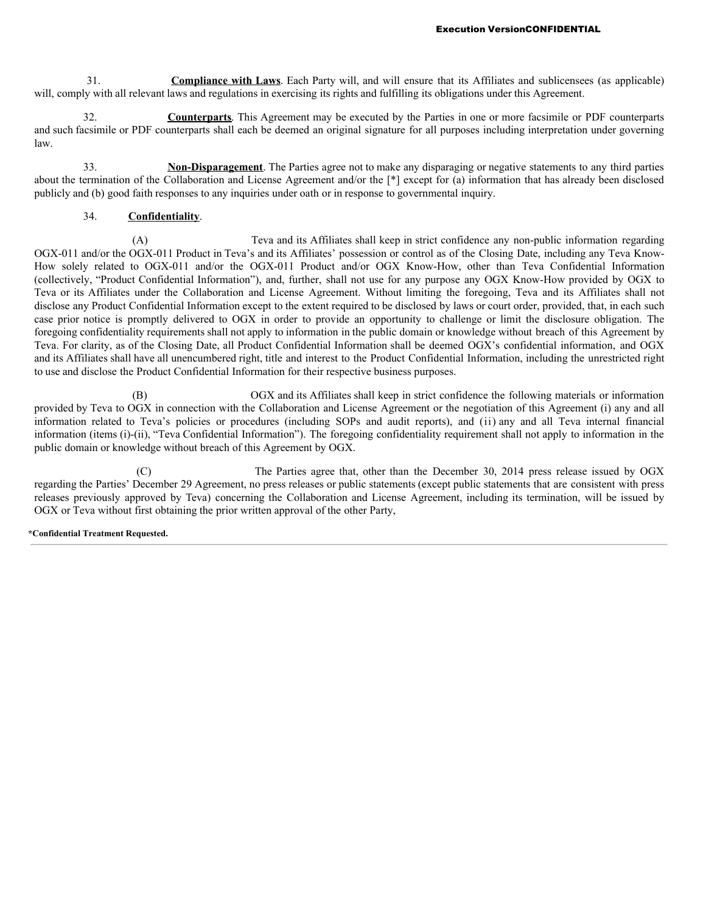31. **Compliance with Laws**. Each Party will, and will ensure that its Affiliates and sublicensees (as applicable) will, comply with all relevant laws and regulations in exercising its rights and fulfilling its obligations under this Agreement.

32. **Counterparts**. This Agreement may be executed by the Parties in one or more facsimile or PDF counterparts and such facsimile or PDF counterparts shall each be deemed an original signature for all purposes including interpretation under governing law.

33. **Non-Disparagement**. The Parties agree not to make any disparaging or negative statements to any third parties about the termination of the Collaboration and License Agreement and/or the [\*] except for (a) information that has already been disclosed publicly and (b) good faith responses to any inquiries under oath or in response to governmental inquiry.

# 34. **Confidentiality**.

(A) Teva and its Affiliates shall keep in strict confidence any non-public information regarding OGX-011 and/or the OGX-011 Product in Teva's and its Affiliates' possession or control as of the Closing Date, including any Teva Know-How solely related to OGX-011 and/or the OGX-011 Product and/or OGX Know-How, other than Teva Confidential Information (collectively, "Product Confidential Information"), and, further, shall not use for any purpose any OGX Know-How provided by OGX to Teva or its Affiliates under the Collaboration and License Agreement. Without limiting the foregoing, Teva and its Affiliates shall not disclose any Product Confidential Information except to the extent required to be disclosed by laws or court order, provided, that, in each such case prior notice is promptly delivered to OGX in order to provide an opportunity to challenge or limit the disclosure obligation. The foregoing confidentiality requirements shall not apply to information in the public domain or knowledge without breach of this Agreement by Teva. For clarity, as of the Closing Date, all Product Confidential Information shall be deemed OGX's confidential information, and OGX and its Affiliates shall have all unencumbered right, title and interest to the Product Confidential Information, including the unrestricted right to use and disclose the Product Confidential Information for their respective business purposes.

(B) OGX and its Affiliates shall keep in strict confidence the following materials or information provided by Teva to OGX in connection with the Collaboration and License Agreement or the negotiation of this Agreement (i) any and all information related to Teva's policies or procedures (including SOPs and audit reports), and (ii) any and all Teva internal financial information (items (i)-(ii), "Teva Confidential Information"). The foregoing confidentiality requirement shall not apply to information in the public domain or knowledge without breach of this Agreement by OGX.

(C) The Parties agree that, other than the December 30, 2014 press release issued by OGX regarding the Parties' December 29 Agreement, no press releases or public statements (except public statements that are consistent with press releases previously approved by Teva) concerning the Collaboration and License Agreement, including its termination, will be issued by OGX or Teva without first obtaining the prior written approval of the other Party,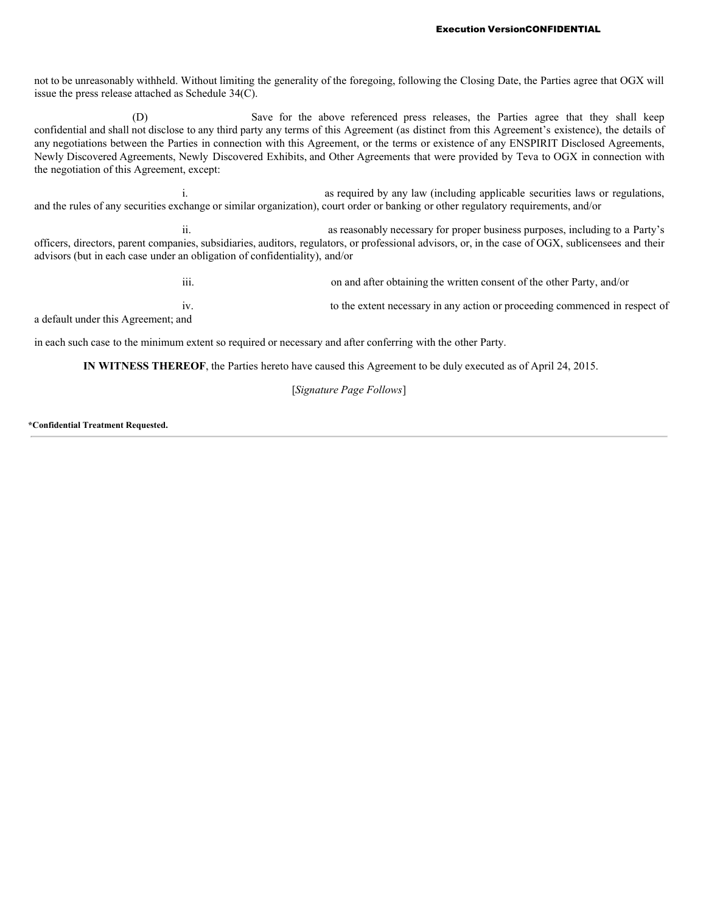not to be unreasonably withheld. Without limiting the generality of the foregoing, following the Closing Date, the Parties agree that OGX will issue the press release attached as Schedule 34(C).

(D) Save for the above referenced press releases, the Parties agree that they shall keep confidential and shall not disclose to any third party any terms of this Agreement (as distinct from this Agreement's existence), the details of any negotiations between the Parties in connection with this Agreement, or the terms or existence of any ENSPIRIT Disclosed Agreements, Newly Discovered Agreements, Newly Discovered Exhibits, and Other Agreements that were provided by Teva to OGX in connection with the negotiation of this Agreement, except:

i. as required by any law (including applicable securities laws or regulations, and the rules of any securities exchange or similar organization), court order or banking or other regulatory requirements, and/or

ii. as reasonably necessary for proper business purposes, including to a Party's officers, directors, parent companies, subsidiaries, auditors, regulators, or professional advisors, or, in the case of OGX, sublicensees and their advisors (but in each case under an obligation of confidentiality), and/or

iii. on and after obtaining the written consent of the other Party, and/or iv. to the extent necessary in any action or proceeding commenced in respect of a default under this Agreement; and

in each such case to the minimum extent so required or necessary and after conferring with the other Party.

**IN WITNESS THEREOF**, the Parties hereto have caused this Agreement to be duly executed as of April 24, 2015.

[*Signature Page Follows*]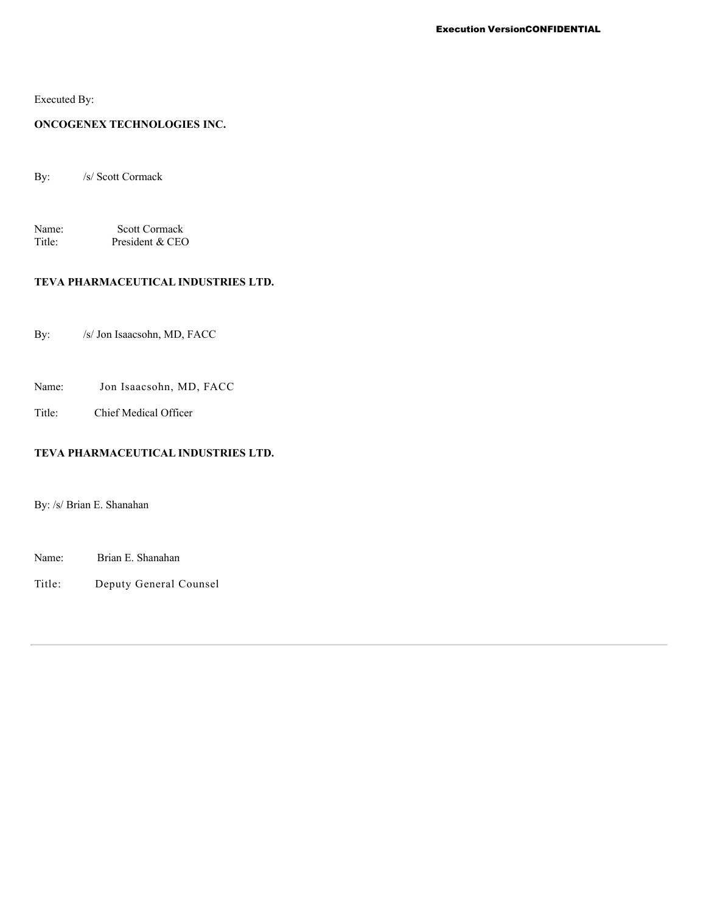Executed By:

# **ONCOGENEX TECHNOLOGIES INC.**

By: /s/ Scott Cormack

Name: Scott Cormack<br>Title: President & CEC President & CEO

# **TEVA PHARMACEUTICAL INDUSTRIES LTD.**

By: /s/ Jon Isaacsohn, MD, FACC

Name: Jon Isaacsohn, MD, FACC

Title: Chief Medical Officer

# **TEVA PHARMACEUTICAL INDUSTRIES LTD.**

By: /s/ Brian E. Shanahan

Name: Brian E. Shanahan

Title: Deputy General Counsel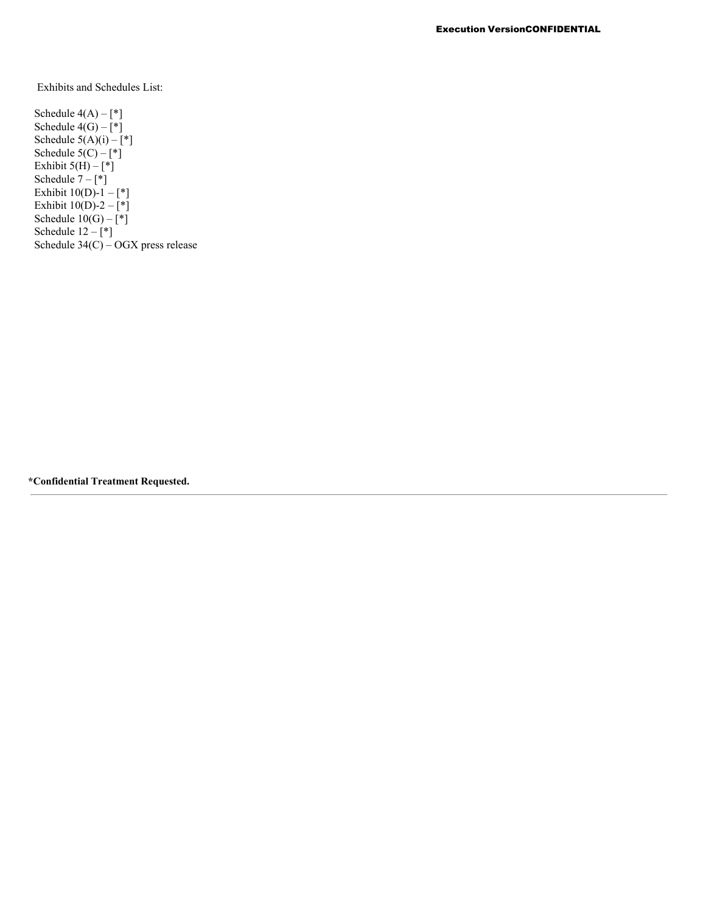Exhibits and Schedules List:

Schedule  $4(A) - [$ <sup>\*</sup>] Schedule  $4(G) - \lceil * \rceil$ Schedule  $5(A)(i) - [*]$ Schedule  $5(C) - \binom{*}{k}$ Exhibit  $5(H) - \binom{4}{1}$ Schedule  $7 - \binom{1}{1}$ Exhibit  $10(D)-1 - [$ <sup>\*</sup>] Exhibit  $10(D)-2 - [*]$ Schedule  $10(G) - \binom{*}{k}$ Schedule  $12 - \binom{*}{}$ Schedule 34(C) – OGX press release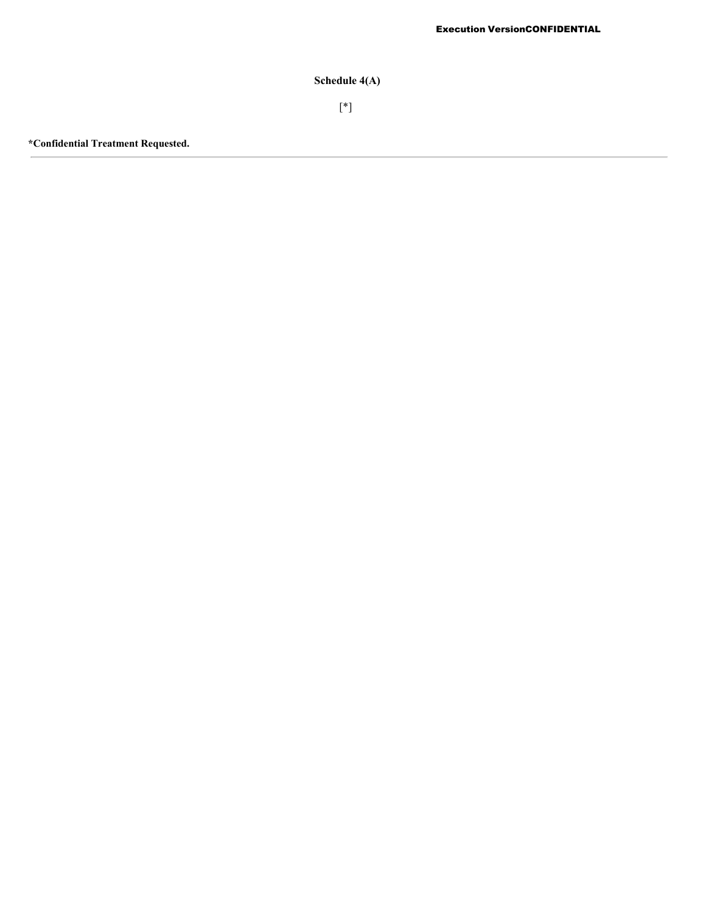**Schedule 4(A)**

[\*]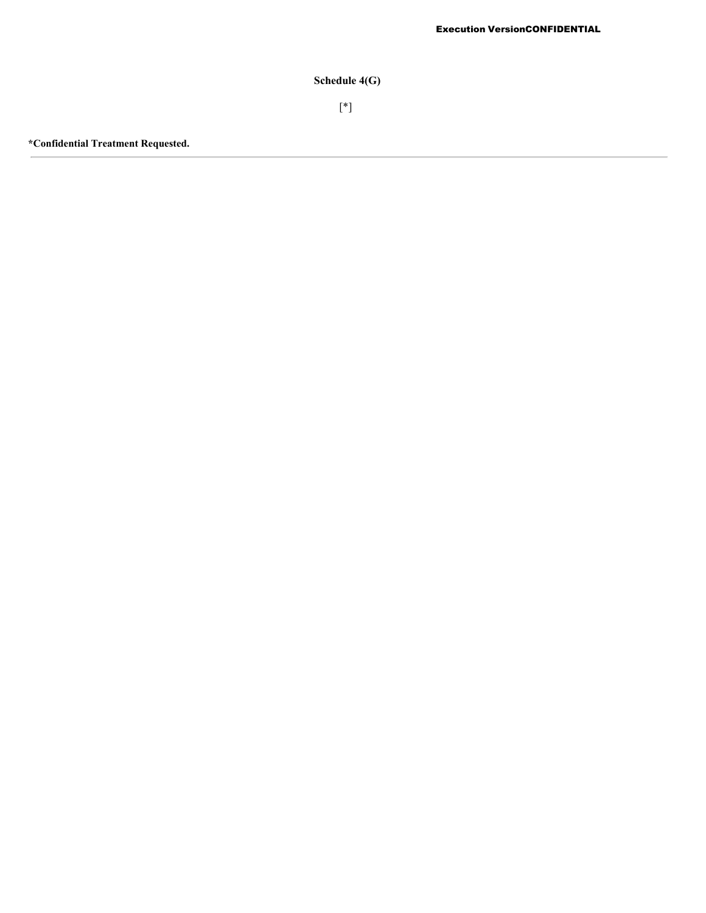**Schedule 4(G)**

[\*]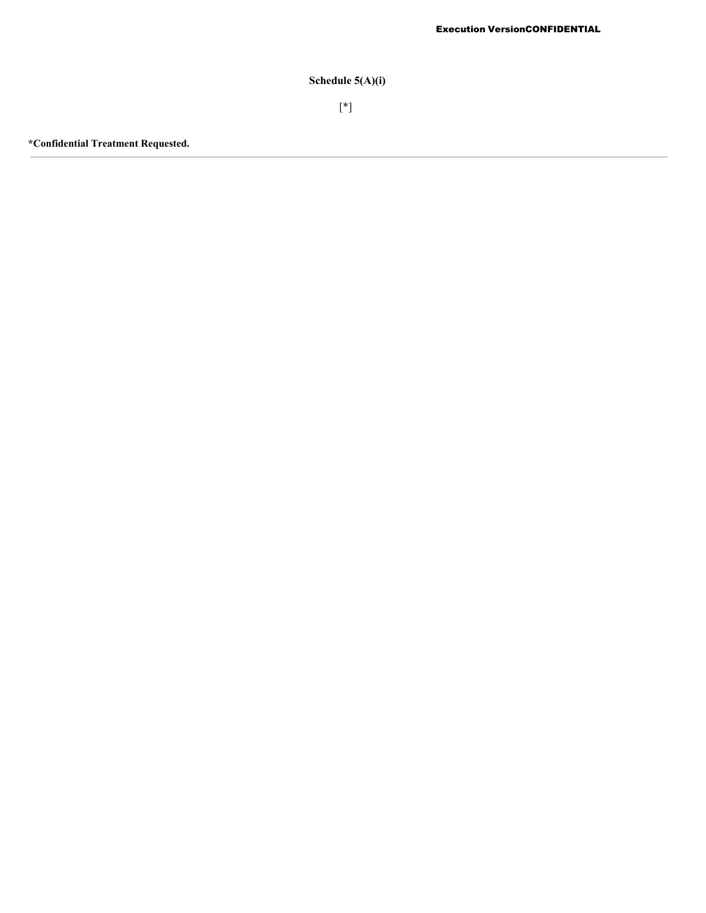# **Schedule 5(A)(i)**

[\*]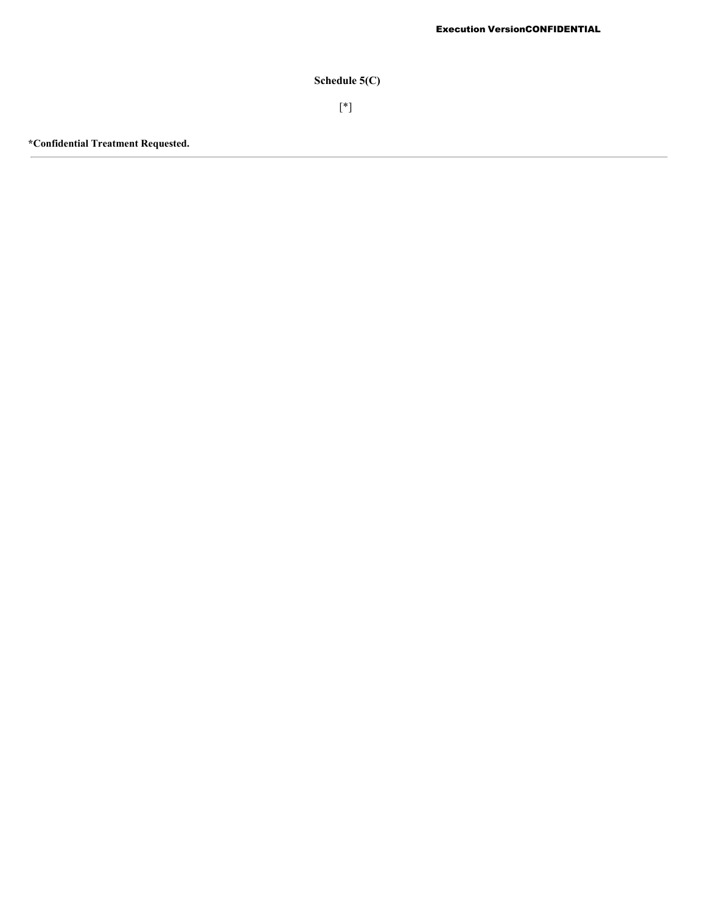**Schedule 5(C)**

[\*]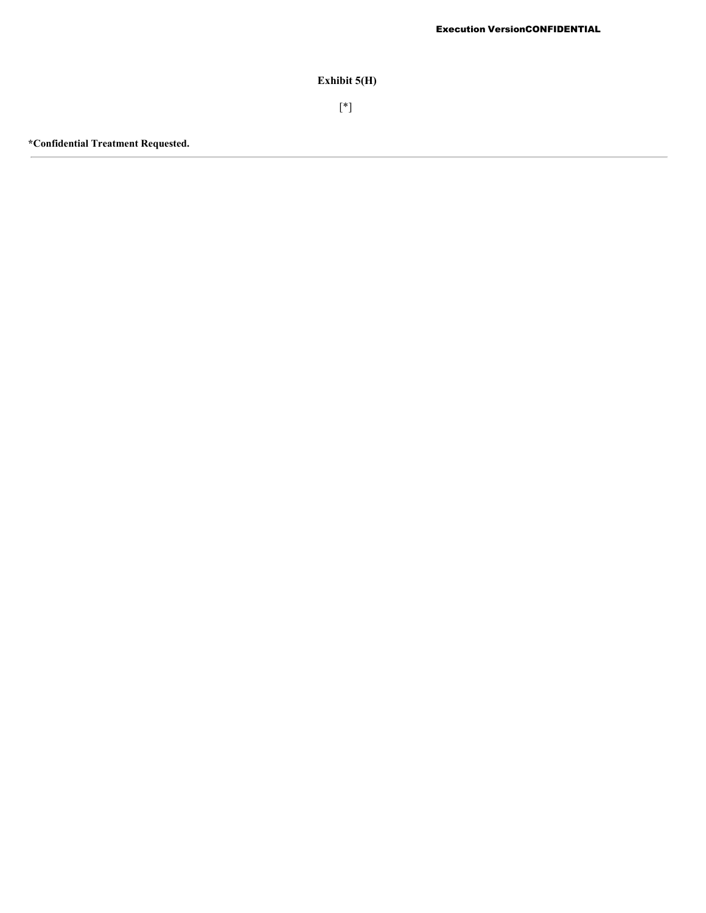**Exhibit 5(H)**

[\*]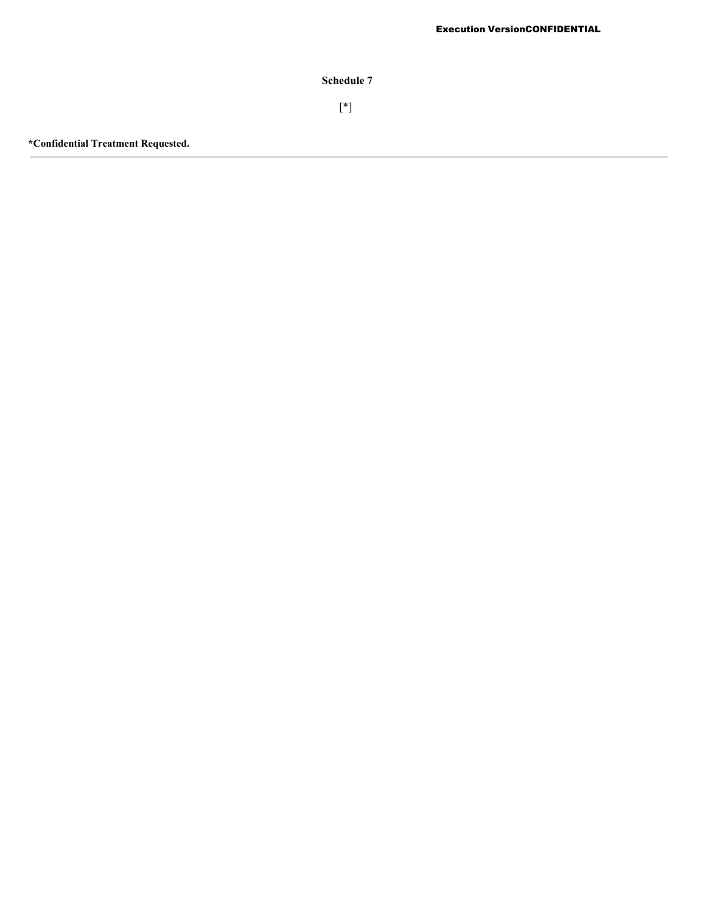**Schedule 7**

[\*]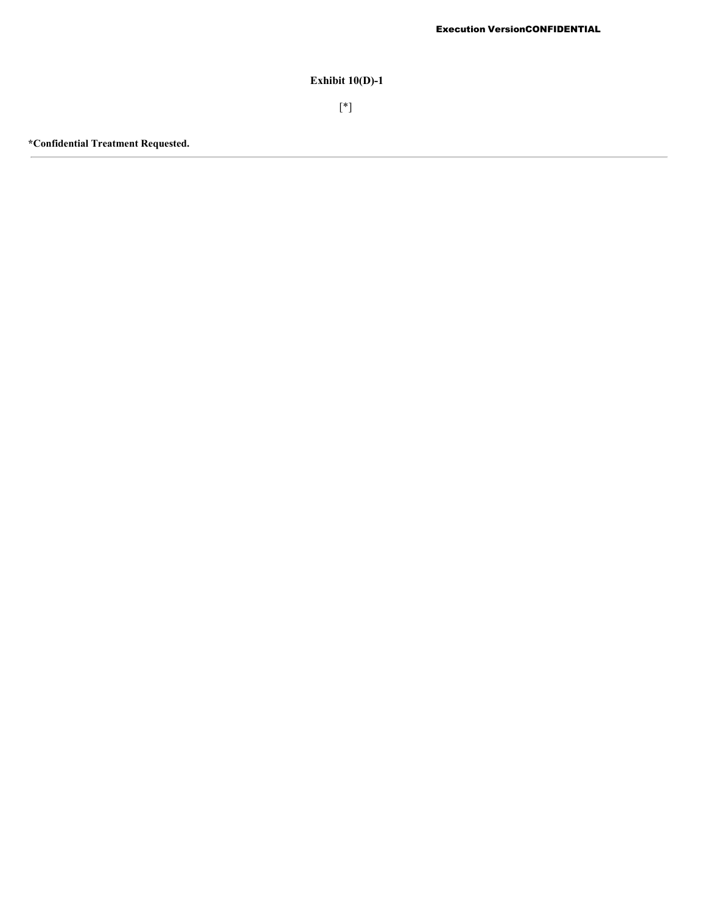# **Exhibit 10(D)-1**

[\*]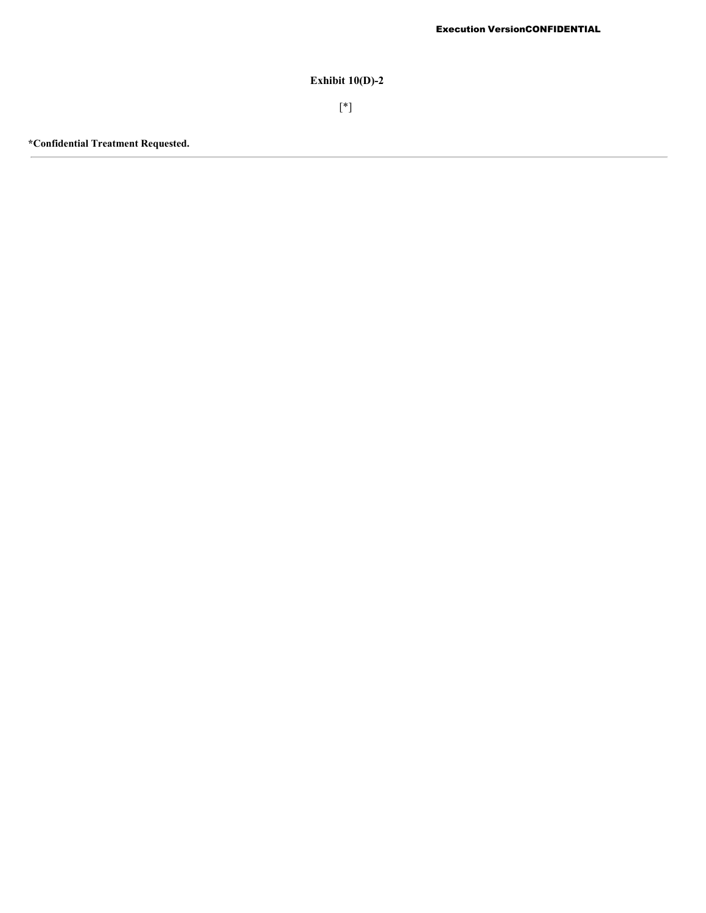## **Exhibit 10(D)-2**

[\*]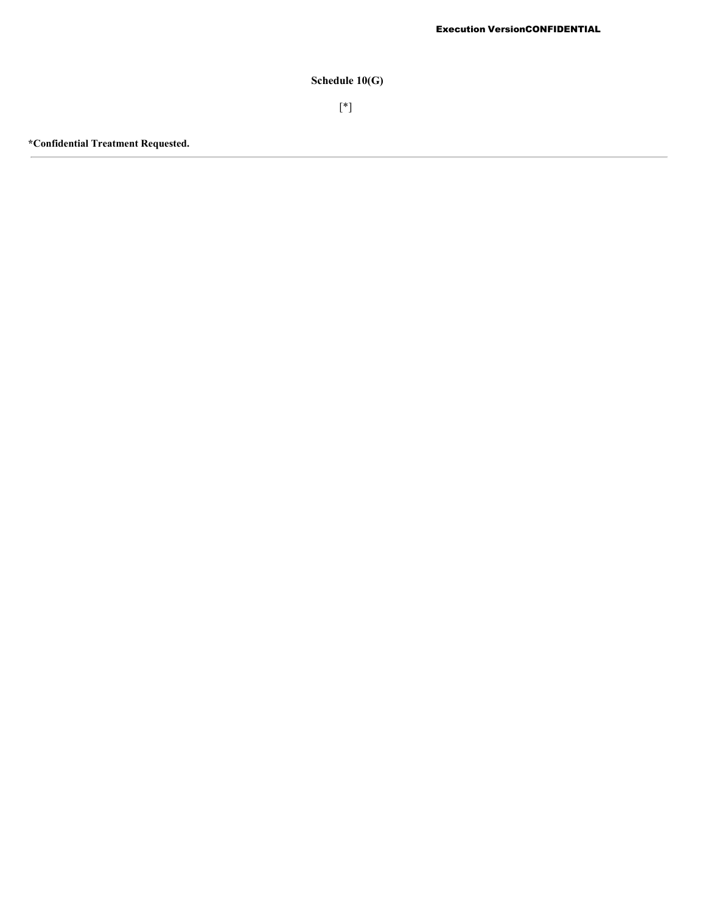# **Schedule 10(G)**

[\*]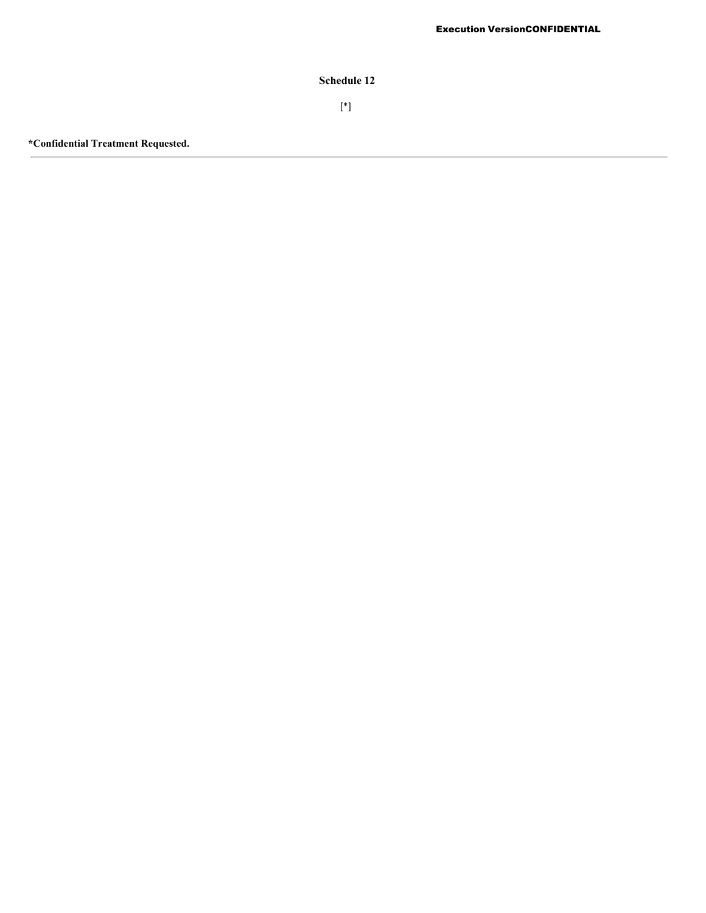**Schedule 12**

[\*]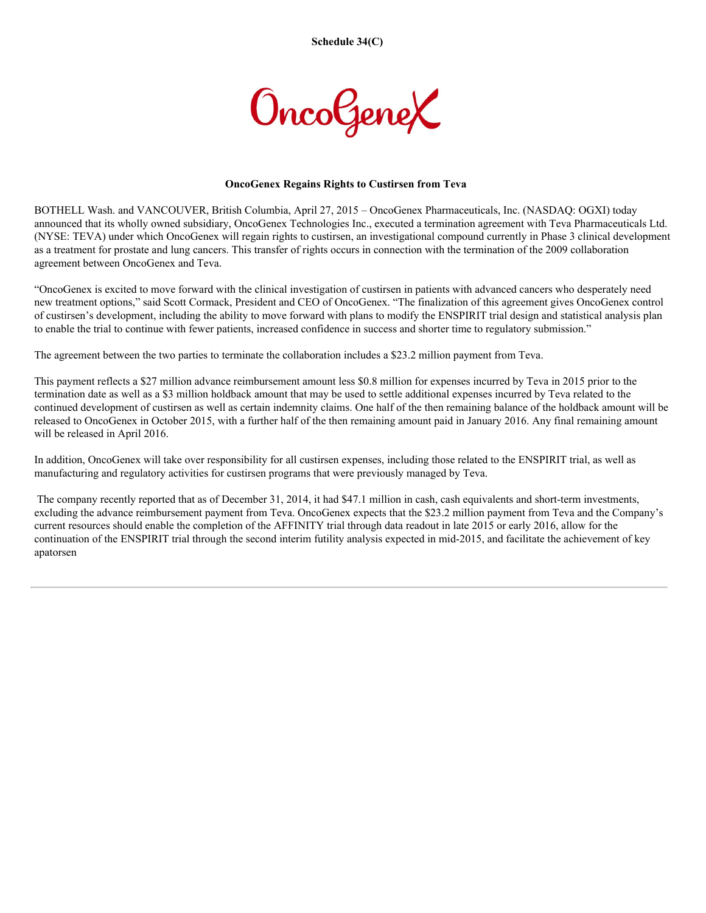

### **OncoGenex Regains Rights to Custirsen from Teva**

BOTHELL Wash. and VANCOUVER, British Columbia, April 27, 2015 – OncoGenex Pharmaceuticals, Inc. (NASDAQ: OGXI) today announced that its wholly owned subsidiary, OncoGenex Technologies Inc., executed a termination agreement with Teva Pharmaceuticals Ltd. (NYSE: TEVA) under which OncoGenex will regain rights to custirsen, an investigational compound currently in Phase 3 clinical development as a treatment for prostate and lung cancers. This transfer of rights occurs in connection with the termination of the 2009 collaboration agreement between OncoGenex and Teva.

"OncoGenex is excited to move forward with the clinical investigation of custirsen in patients with advanced cancers who desperately need new treatment options," said Scott Cormack, President and CEO of OncoGenex. "The finalization of this agreement gives OncoGenex control of custirsen's development, including the ability to move forward with plans to modify the ENSPIRIT trial design and statistical analysis plan to enable the trial to continue with fewer patients, increased confidence in success and shorter time to regulatory submission."

The agreement between the two parties to terminate the collaboration includes a \$23.2 million payment from Teva.

This payment reflects a \$27 million advance reimbursement amount less \$0.8 million for expenses incurred by Teva in 2015 prior to the termination date as well as a \$3 million holdback amount that may be used to settle additional expenses incurred by Teva related to the continued development of custirsen as well as certain indemnity claims. One half of the then remaining balance of the holdback amount will be released to OncoGenex in October 2015, with a further half of the then remaining amount paid in January 2016. Any final remaining amount will be released in April 2016.

In addition, OncoGenex will take over responsibility for all custirsen expenses, including those related to the ENSPIRIT trial, as well as manufacturing and regulatory activities for custirsen programs that were previously managed by Teva.

The company recently reported that as of December 31, 2014, it had \$47.1 million in cash, cash equivalents and short-term investments, excluding the advance reimbursement payment from Teva. OncoGenex expects that the \$23.2 million payment from Teva and the Company's current resources should enable the completion of the AFFINITY trial through data readout in late 2015 or early 2016, allow for the continuation of the ENSPIRIT trial through the second interim futility analysis expected in mid-2015, and facilitate the achievement of key apatorsen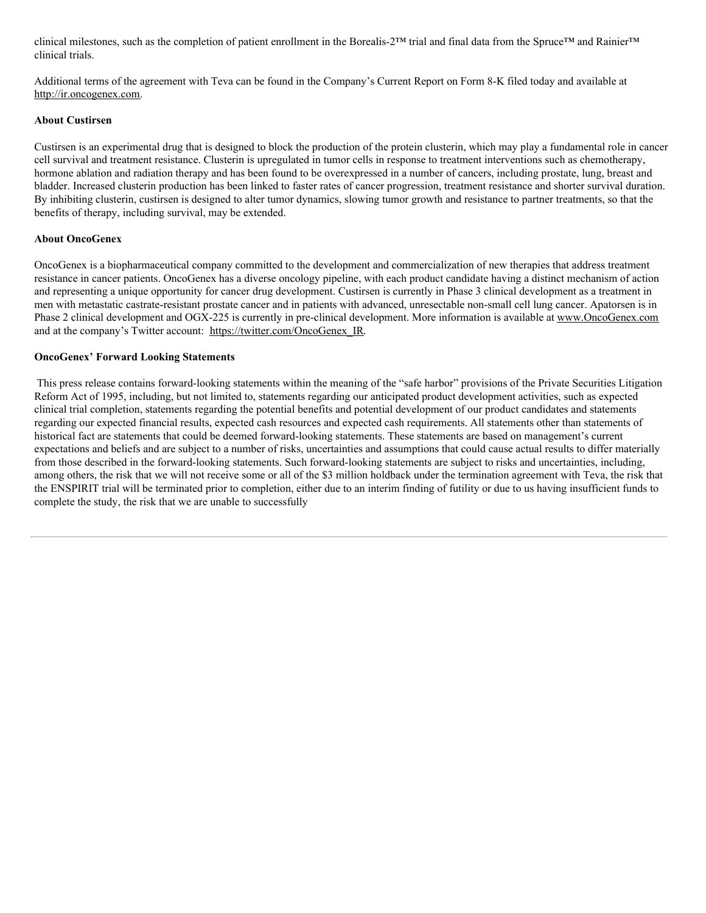clinical milestones, such as the completion of patient enrollment in the Borealis-2™ trial and final data from the Spruce™ and Rainier™ clinical trials.

Additional terms of the agreement with Teva can be found in the Company's Current Report on Form 8-K filed today and available at http://ir.oncogenex.com.

### **About Custirsen**

Custirsen is an experimental drug that is designed to block the production of the protein clusterin, which may play a fundamental role in cancer cell survival and treatment resistance. Clusterin is upregulated in tumor cells in response to treatment interventions such as chemotherapy, hormone ablation and radiation therapy and has been found to be overexpressed in a number of cancers, including prostate, lung, breast and bladder. Increased clusterin production has been linked to faster rates of cancer progression, treatment resistance and shorter survival duration. By inhibiting clusterin, custirsen is designed to alter tumor dynamics, slowing tumor growth and resistance to partner treatments, so that the benefits of therapy, including survival, may be extended.

### **About OncoGenex**

OncoGenex is a biopharmaceutical company committed to the development and commercialization of new therapies that address treatment resistance in cancer patients. OncoGenex has a diverse oncology pipeline, with each product candidate having a distinct mechanism of action and representing a unique opportunity for cancer drug development. Custirsen is currently in Phase 3 clinical development as a treatment in men with metastatic castrate-resistant prostate cancer and in patients with advanced, unresectable non-small cell lung cancer. Apatorsen is in Phase 2 clinical development and OGX-225 is currently in pre-clinical development. More information is available at www.OncoGenex.com and at the company's Twitter account: https://twitter.com/OncoGenex\_IR.

### **OncoGenex' Forward Looking Statements**

This press release contains forward-looking statements within the meaning of the "safe harbor" provisions of the Private Securities Litigation Reform Act of 1995, including, but not limited to, statements regarding our anticipated product development activities, such as expected clinical trial completion, statements regarding the potential benefits and potential development of our product candidates and statements regarding our expected financial results, expected cash resources and expected cash requirements. All statements other than statements of historical fact are statements that could be deemed forward-looking statements. These statements are based on management's current expectations and beliefs and are subject to a number of risks, uncertainties and assumptions that could cause actual results to differ materially from those described in the forward-looking statements. Such forward-looking statements are subject to risks and uncertainties, including, among others, the risk that we will not receive some or all of the \$3 million holdback under the termination agreement with Teva, the risk that the ENSPIRIT trial will be terminated prior to completion, either due to an interim finding of futility or due to us having insufficient funds to complete the study, the risk that we are unable to successfully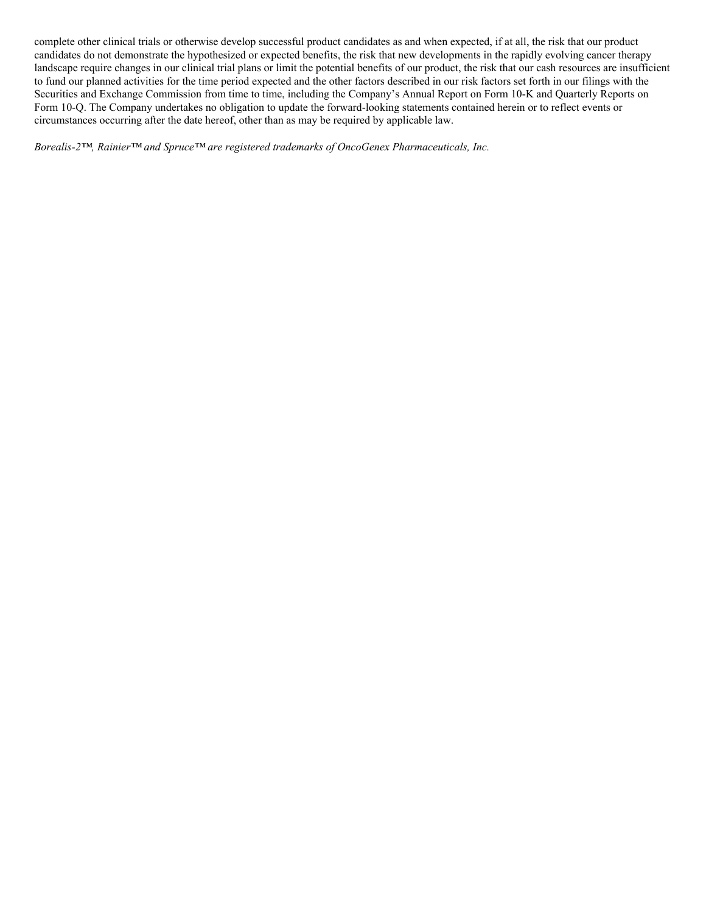complete other clinical trials or otherwise develop successful product candidates as and when expected, if at all, the risk that our product candidates do not demonstrate the hypothesized or expected benefits, the risk that new developments in the rapidly evolving cancer therapy landscape require changes in our clinical trial plans or limit the potential benefits of our product, the risk that our cash resources are insufficient to fund our planned activities for the time period expected and the other factors described in our risk factors set forth in our filings with the Securities and Exchange Commission from time to time, including the Company's Annual Report on Form 10-K and Quarterly Reports on Form 10-Q. The Company undertakes no obligation to update the forward-looking statements contained herein or to reflect events or circumstances occurring after the date hereof, other than as may be required by applicable law.

*Borealis-2™, Rainier™ and Spruce™ are registered trademarks of OncoGenex Pharmaceuticals, Inc.*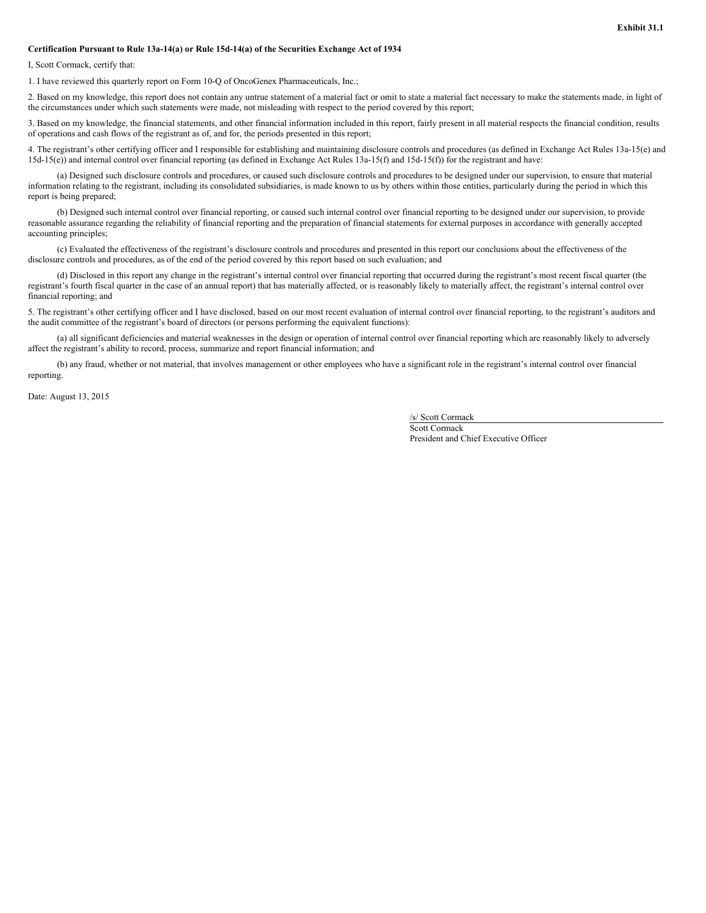#### **Certification Pursuant to Rule 13a-14(a) or Rule 15d-14(a) of the Securities Exchange Act of 1934**

I, Scott Cormack, certify that:

1. I have reviewed this quarterly report on Form 10-Q of OncoGenex Pharmaceuticals, Inc.;

2. Based on my knowledge, this report does not contain any untrue statement of a material fact or omit to state a material fact necessary to make the statements made, in light of the circumstances under which such statements were made, not misleading with respect to the period covered by this report;

3. Based on my knowledge, the financial statements, and other financial information included in this report, fairly present in all material respects the financial condition, results of operations and cash flows of the registrant as of, and for, the periods presented in this report;

4. The registrant's other certifying officer and I responsible for establishing and maintaining disclosure controls and procedures (as defined in Exchange Act Rules 13a-15(e) and 15d-15(e)) and internal control over financial reporting (as defined in Exchange Act Rules 13a-15(f) and 15d-15(f)) for the registrant and have:

(a) Designed such disclosure controls and procedures, or caused such disclosure controls and procedures to be designed under our supervision, to ensure that material information relating to the registrant, including its consolidated subsidiaries, is made known to us by others within those entities, particularly during the period in which this report is being prepared;

(b) Designed such internal control over financial reporting, or caused such internal control over financial reporting to be designed under our supervision, to provide reasonable assurance regarding the reliability of financial reporting and the preparation of financial statements for external purposes in accordance with generally accepted accounting principles;

(c) Evaluated the effectiveness of the registrant's disclosure controls and procedures and presented in this report our conclusions about the effectiveness of the disclosure controls and procedures, as of the end of the period covered by this report based on such evaluation; and

(d) Disclosed in this report any change in the registrant's internal control over financial reporting that occurred during the registrant's most recent fiscal quarter (the registrant's fourth fiscal quarter in the case of an annual report) that has materially affected, or is reasonably likely to materially affect, the registrant's internal control over financial reporting; and

5. The registrant's other certifying officer and I have disclosed, based on our most recent evaluation of internal control over financial reporting, to the registrant's auditors and the audit committee of the registrant's board of directors (or persons performing the equivalent functions):

(a) all significant deficiencies and material weaknesses in the design or operation of internal control over financial reporting which are reasonably likely to adversely affect the registrant's ability to record, process, summarize and report financial information; and

(b) any fraud, whether or not material, that involves management or other employees who have a significant role in the registrant's internal control over financial reporting.

Date: August 13, 2015

/s/ Scott Cormack

Scott Cormack President and Chief Executive Officer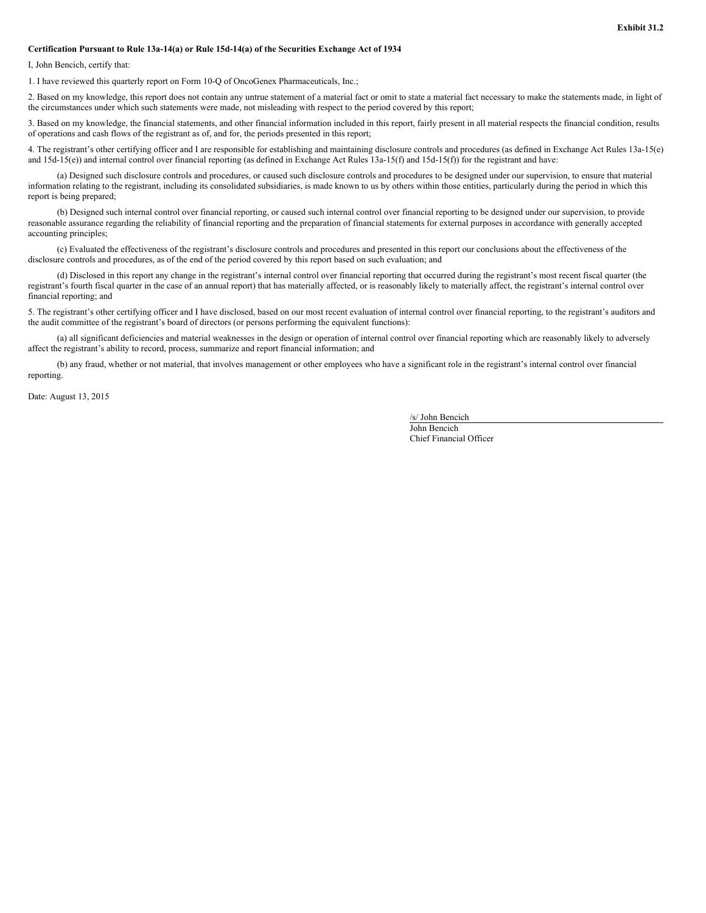#### **Certification Pursuant to Rule 13a-14(a) or Rule 15d-14(a) of the Securities Exchange Act of 1934**

I, John Bencich, certify that:

1. I have reviewed this quarterly report on Form 10-Q of OncoGenex Pharmaceuticals, Inc.;

2. Based on my knowledge, this report does not contain any untrue statement of a material fact or omit to state a material fact necessary to make the statements made, in light of the circumstances under which such statements were made, not misleading with respect to the period covered by this report;

3. Based on my knowledge, the financial statements, and other financial information included in this report, fairly present in all material respects the financial condition, results of operations and cash flows of the registrant as of, and for, the periods presented in this report;

4. The registrant's other certifying officer and I are responsible for establishing and maintaining disclosure controls and procedures (as defined in Exchange Act Rules 13a-15(e) and  $15d-15(e)$ ) and internal control over financial reporting (as defined in Exchange Act Rules  $13a-15(f)$  and  $15d-15(f)$ ) for the registrant and have:

(a) Designed such disclosure controls and procedures, or caused such disclosure controls and procedures to be designed under our supervision, to ensure that material information relating to the registrant, including its consolidated subsidiaries, is made known to us by others within those entities, particularly during the period in which this report is being prepared;

(b) Designed such internal control over financial reporting, or caused such internal control over financial reporting to be designed under our supervision, to provide reasonable assurance regarding the reliability of financial reporting and the preparation of financial statements for external purposes in accordance with generally accepted accounting principles;

(c) Evaluated the effectiveness of the registrant's disclosure controls and procedures and presented in this report our conclusions about the effectiveness of the disclosure controls and procedures, as of the end of the period covered by this report based on such evaluation; and

(d) Disclosed in this report any change in the registrant's internal control over financial reporting that occurred during the registrant's most recent fiscal quarter (the registrant's fourth fiscal quarter in the case of an annual report) that has materially affected, or is reasonably likely to materially affect, the registrant's internal control over financial reporting; and

5. The registrant's other certifying officer and I have disclosed, based on our most recent evaluation of internal control over financial reporting, to the registrant's auditors and the audit committee of the registrant's board of directors (or persons performing the equivalent functions):

(a) all significant deficiencies and material weaknesses in the design or operation of internal control over financial reporting which are reasonably likely to adversely affect the registrant's ability to record, process, summarize and report financial information; and

(b) any fraud, whether or not material, that involves management or other employees who have a significant role in the registrant's internal control over financial reporting.

Date: August 13, 2015

/s/ John Bencich

John Bencich Chief Financial Officer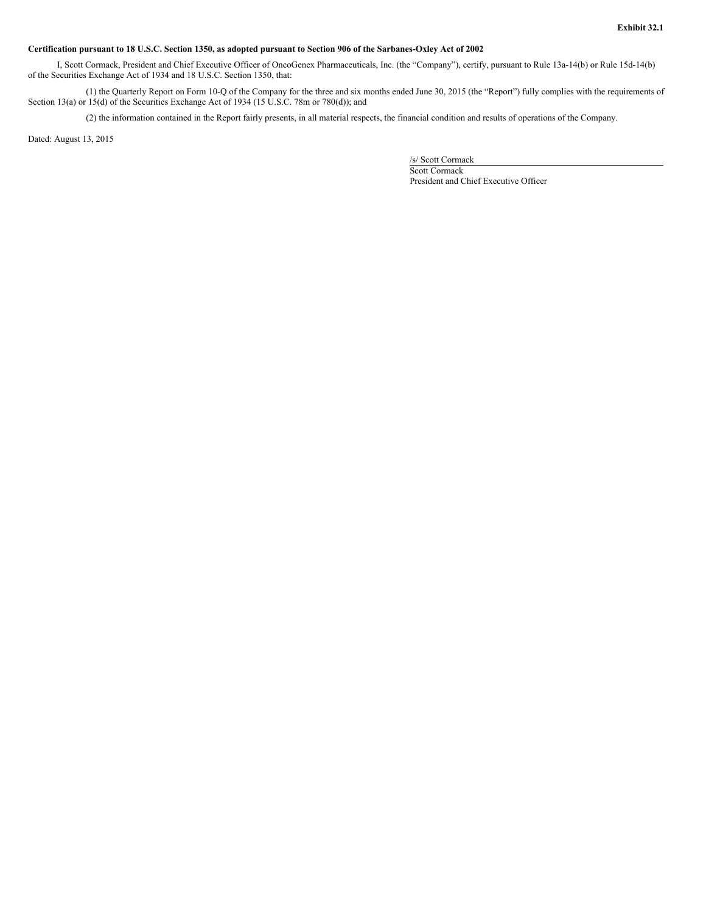#### Certification pursuant to 18 U.S.C. Section 1350, as adopted pursuant to Section 906 of the Sarbanes-Oxley Act of 2002

I, Scott Cormack, President and Chief Executive Officer of OncoGenex Pharmaceuticals, Inc. (the "Company"), certify, pursuant to Rule 13a-14(b) or Rule 15d-14(b) of the Securities Exchange Act of 1934 and 18 U.S.C. Section 1350, that:

(1) the Quarterly Report on Form 10-Q of the Company for the three and six months ended June 30, 2015 (the "Report") fully complies with the requirements of Section 13(a) or 15(d) of the Securities Exchange Act of 1934 (15 U.S.C. 78m or 780(d)); and

(2) the information contained in the Report fairly presents, in all material respects, the financial condition and results of operations of the Company.

Dated: August 13, 2015

/s/ Scott Cormack

Scott Cormack President and Chief Executive Officer